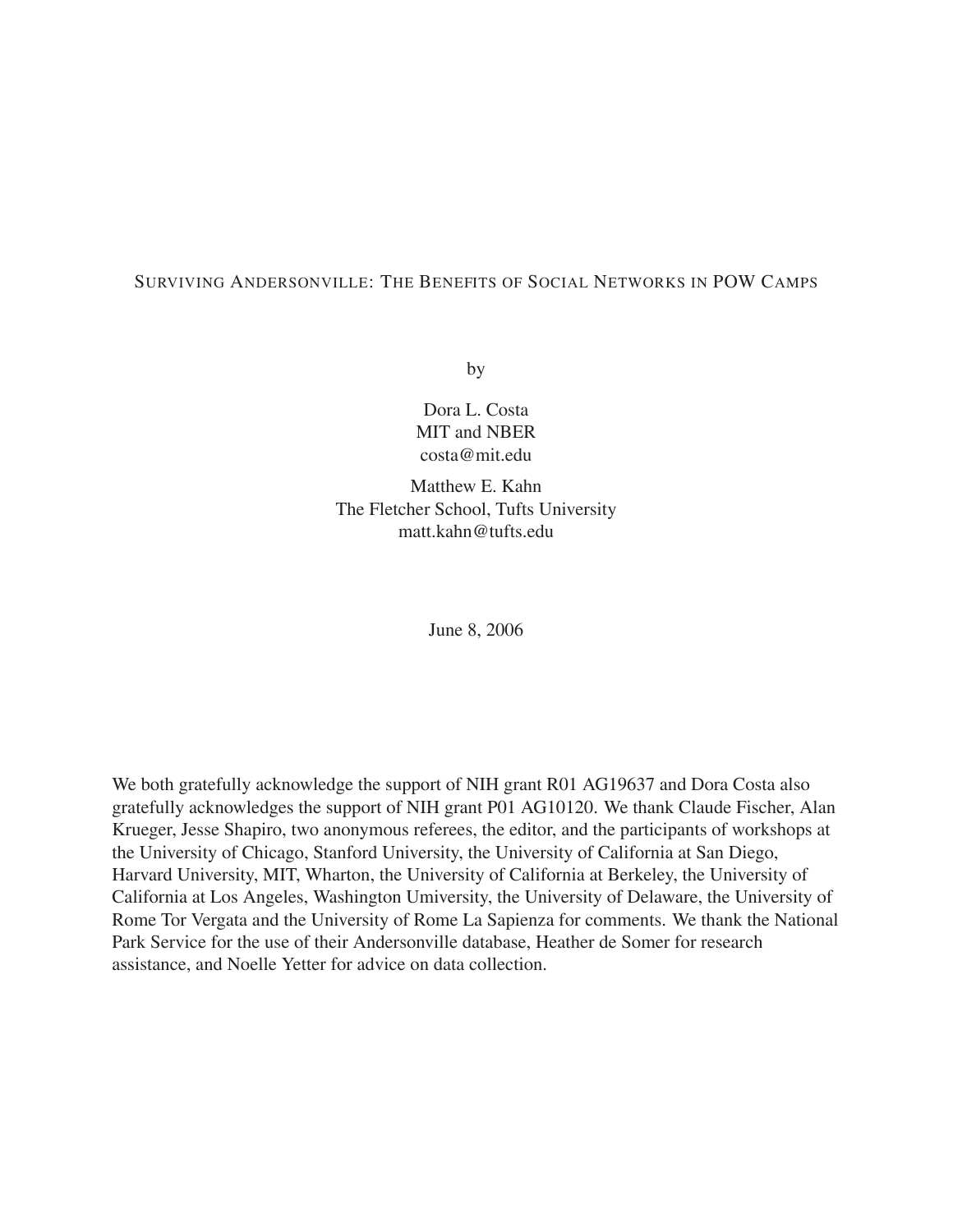### SURVIVING ANDERSONVILLE: THE BENEFITS OF SOCIAL NETWORKS IN POW CAMPS

by

Dora L. Costa MIT and NBER costa@mit.edu

Matthew E. Kahn The Fletcher School, Tufts University matt.kahn@tufts.edu

June 8, 2006

We both gratefully acknowledge the support of NIH grant R01 AG19637 and Dora Costa also gratefully acknowledges the support of NIH grant P01 AG10120. We thank Claude Fischer, Alan Krueger, Jesse Shapiro, two anonymous referees, the editor, and the participants of workshops at the University of Chicago, Stanford University, the University of California at San Diego, Harvard University, MIT, Wharton, the University of California at Berkeley, the University of California at Los Angeles, Washington Umiversity, the University of Delaware, the University of Rome Tor Vergata and the University of Rome La Sapienza for comments. We thank the National Park Service for the use of their Andersonville database, Heather de Somer for research assistance, and Noelle Yetter for advice on data collection.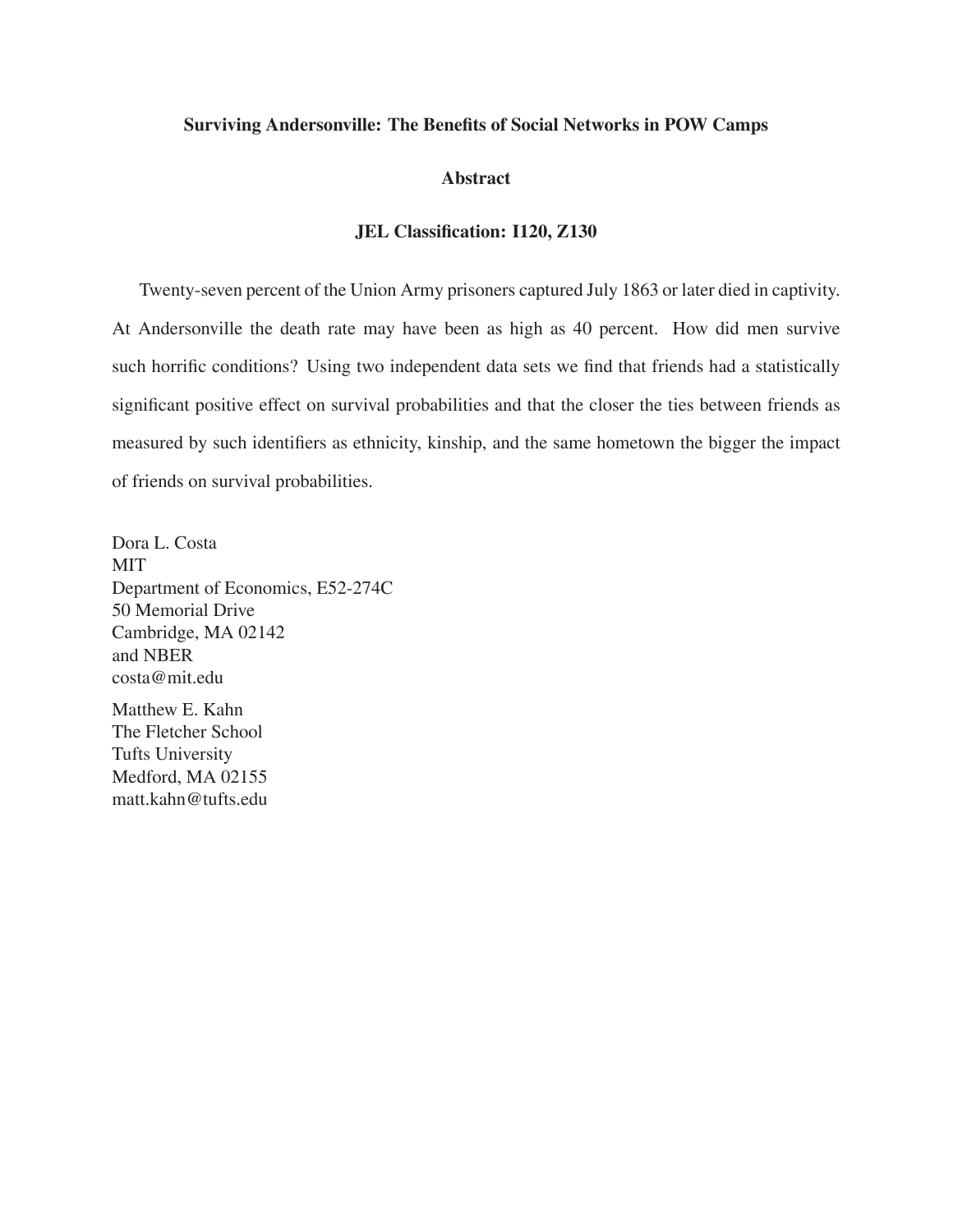#### **Surviving Andersonville: The Benefits of Social Networks in POW Camps**

#### **Abstract**

### **JEL Classification: I120, Z130**

Twenty-seven percent of the Union Army prisoners captured July 1863 or later died in captivity. At Andersonville the death rate may have been as high as 40 percent. How did men survive such horrific conditions? Using two independent data sets we find that friends had a statistically significant positive effect on survival probabilities and that the closer the ties between friends as measured by such identifiers as ethnicity, kinship, and the same hometown the bigger the impact of friends on survival probabilities.

Dora L. Costa MIT Department of Economics, E52-274C 50 Memorial Drive Cambridge, MA 02142 and NBER costa@mit.edu

Matthew E. Kahn The Fletcher School Tufts University Medford, MA 02155 matt.kahn@tufts.edu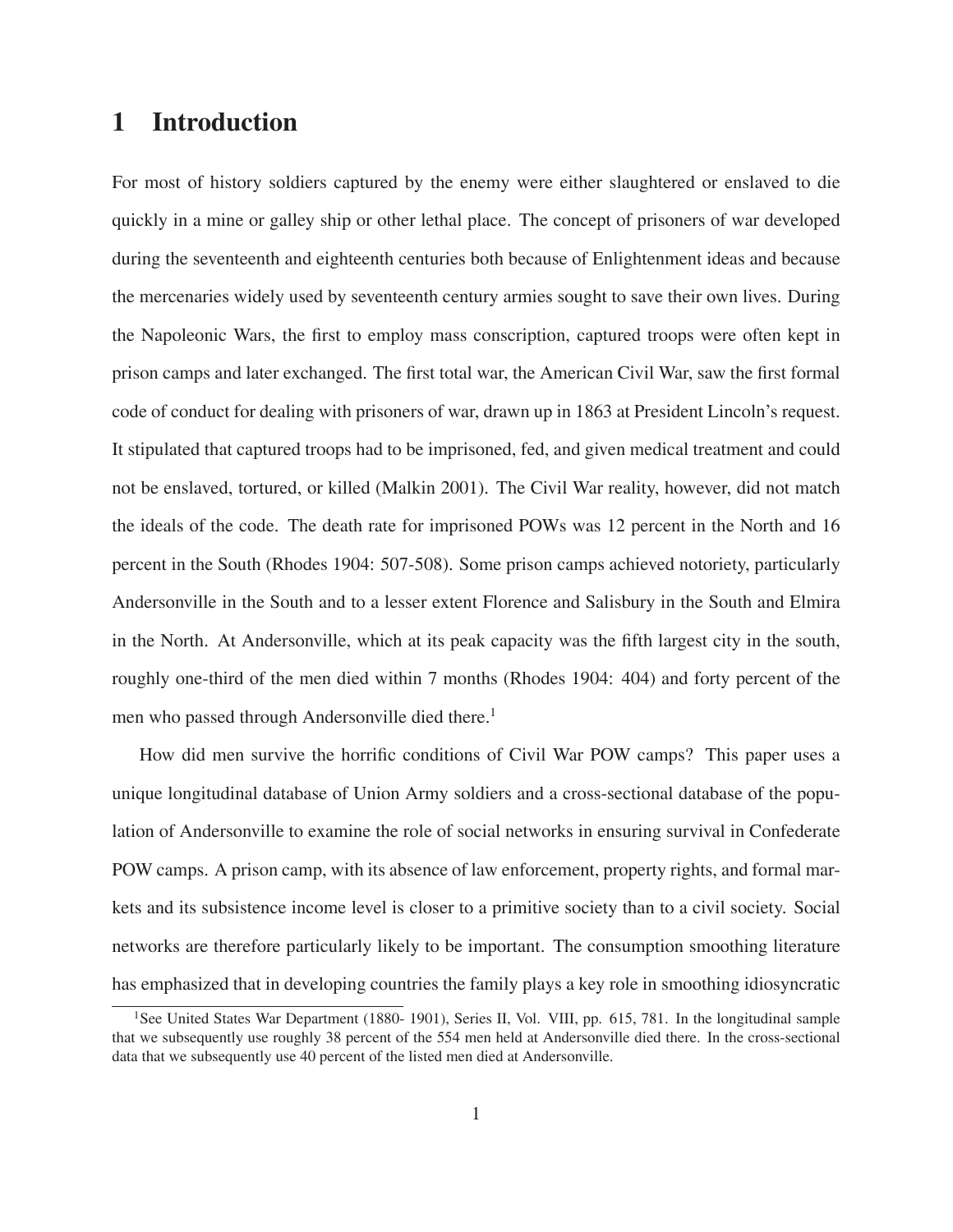# **1 Introduction**

For most of history soldiers captured by the enemy were either slaughtered or enslaved to die quickly in a mine or galley ship or other lethal place. The concept of prisoners of war developed during the seventeenth and eighteenth centuries both because of Enlightenment ideas and because the mercenaries widely used by seventeenth century armies sought to save their own lives. During the Napoleonic Wars, the first to employ mass conscription, captured troops were often kept in prison camps and later exchanged. The first total war, the American Civil War, saw the first formal code of conduct for dealing with prisoners of war, drawn up in 1863 at President Lincoln's request. It stipulated that captured troops had to be imprisoned, fed, and given medical treatment and could not be enslaved, tortured, or killed (Malkin 2001). The Civil War reality, however, did not match the ideals of the code. The death rate for imprisoned POWs was 12 percent in the North and 16 percent in the South (Rhodes 1904: 507-508). Some prison camps achieved notoriety, particularly Andersonville in the South and to a lesser extent Florence and Salisbury in the South and Elmira in the North. At Andersonville, which at its peak capacity was the fifth largest city in the south, roughly one-third of the men died within 7 months (Rhodes 1904: 404) and forty percent of the men who passed through Andersonville died there.<sup>1</sup>

How did men survive the horrific conditions of Civil War POW camps? This paper uses a unique longitudinal database of Union Army soldiers and a cross-sectional database of the population of Andersonville to examine the role of social networks in ensuring survival in Confederate POW camps. A prison camp, with its absence of law enforcement, property rights, and formal markets and its subsistence income level is closer to a primitive society than to a civil society. Social networks are therefore particularly likely to be important. The consumption smoothing literature has emphasized that in developing countries the family plays a key role in smoothing idiosyncratic

<sup>&</sup>lt;sup>1</sup>See United States War Department (1880- 1901), Series II, Vol. VIII, pp. 615, 781. In the longitudinal sample that we subsequently use roughly 38 percent of the 554 men held at Andersonville died there. In the cross-sectional data that we subsequently use 40 percent of the listed men died at Andersonville.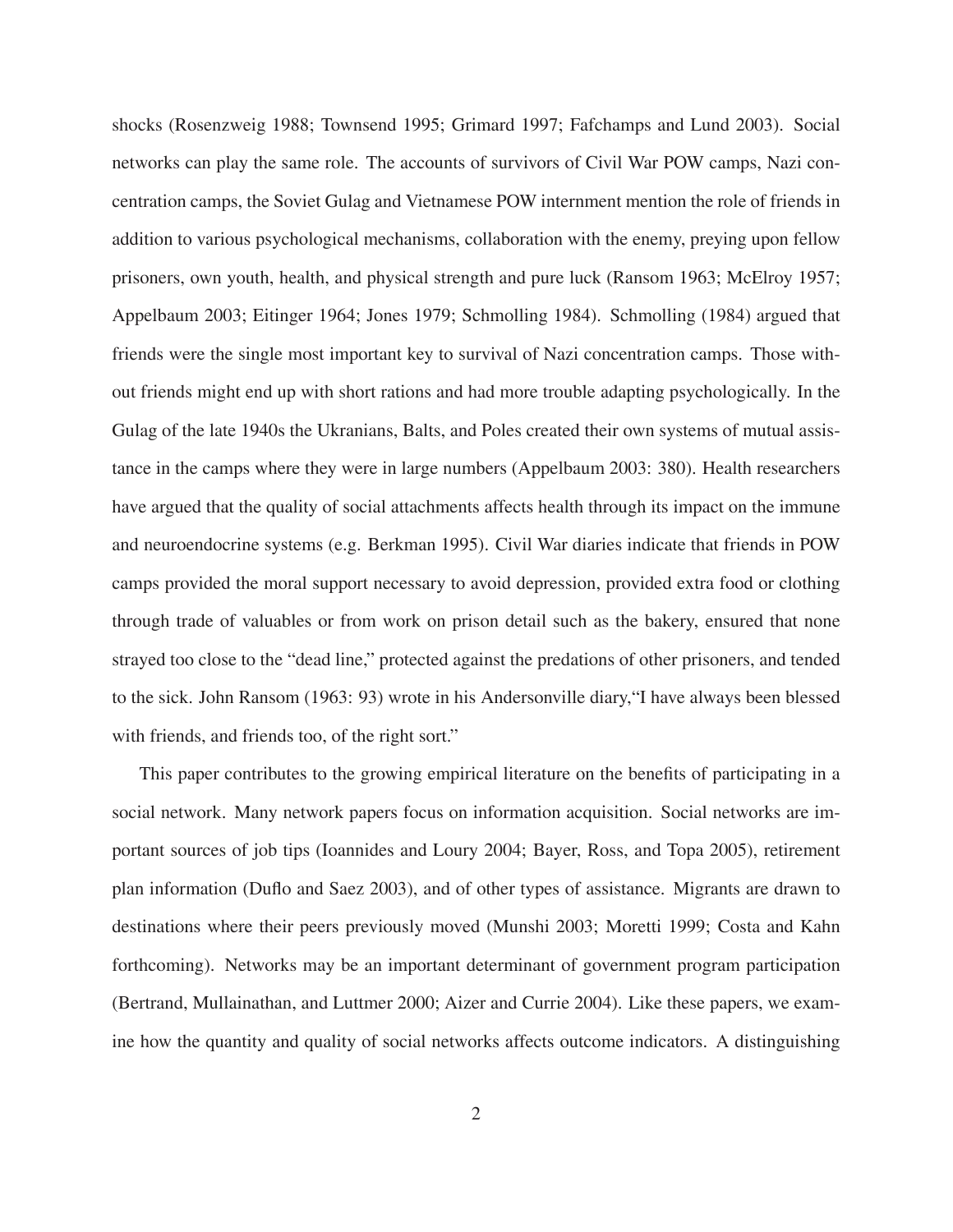shocks (Rosenzweig 1988; Townsend 1995; Grimard 1997; Fafchamps and Lund 2003). Social networks can play the same role. The accounts of survivors of Civil War POW camps, Nazi concentration camps, the Soviet Gulag and Vietnamese POW internment mention the role of friends in addition to various psychological mechanisms, collaboration with the enemy, preying upon fellow prisoners, own youth, health, and physical strength and pure luck (Ransom 1963; McElroy 1957; Appelbaum 2003; Eitinger 1964; Jones 1979; Schmolling 1984). Schmolling (1984) argued that friends were the single most important key to survival of Nazi concentration camps. Those without friends might end up with short rations and had more trouble adapting psychologically. In the Gulag of the late 1940s the Ukranians, Balts, and Poles created their own systems of mutual assistance in the camps where they were in large numbers (Appelbaum 2003: 380). Health researchers have argued that the quality of social attachments affects health through its impact on the immune and neuroendocrine systems (e.g. Berkman 1995). Civil War diaries indicate that friends in POW camps provided the moral support necessary to avoid depression, provided extra food or clothing through trade of valuables or from work on prison detail such as the bakery, ensured that none strayed too close to the "dead line," protected against the predations of other prisoners, and tended to the sick. John Ransom (1963: 93) wrote in his Andersonville diary,"I have always been blessed with friends, and friends too, of the right sort."

This paper contributes to the growing empirical literature on the benefits of participating in a social network. Many network papers focus on information acquisition. Social networks are important sources of job tips (Ioannides and Loury 2004; Bayer, Ross, and Topa 2005), retirement plan information (Duflo and Saez 2003), and of other types of assistance. Migrants are drawn to destinations where their peers previously moved (Munshi 2003; Moretti 1999; Costa and Kahn forthcoming). Networks may be an important determinant of government program participation (Bertrand, Mullainathan, and Luttmer 2000; Aizer and Currie 2004). Like these papers, we examine how the quantity and quality of social networks affects outcome indicators. A distinguishing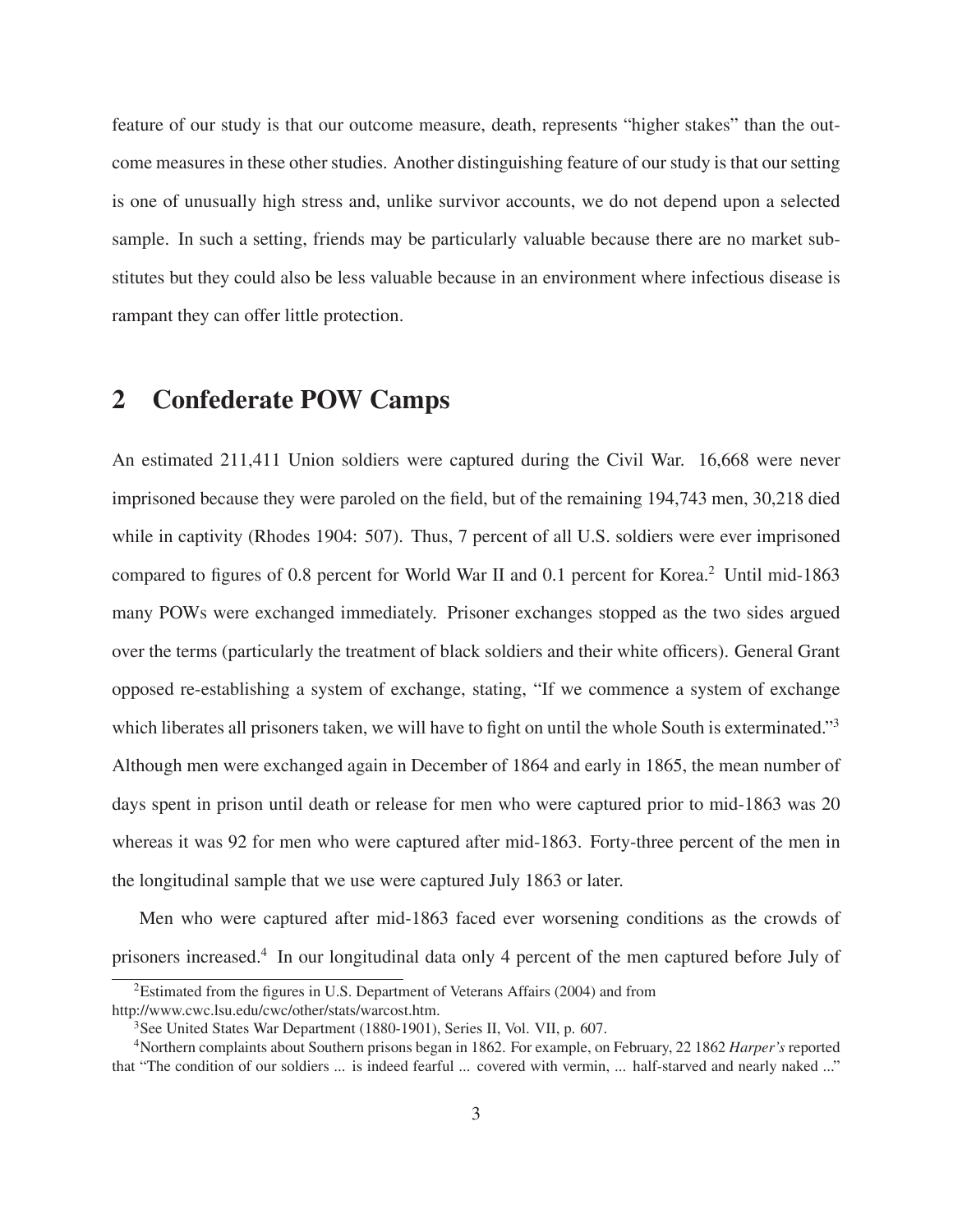feature of our study is that our outcome measure, death, represents "higher stakes" than the outcome measures in these other studies. Another distinguishing feature of our study is that our setting is one of unusually high stress and, unlike survivor accounts, we do not depend upon a selected sample. In such a setting, friends may be particularly valuable because there are no market substitutes but they could also be less valuable because in an environment where infectious disease is rampant they can offer little protection.

### **2 Confederate POW Camps**

An estimated 211,411 Union soldiers were captured during the Civil War. 16,668 were never imprisoned because they were paroled on the field, but of the remaining 194,743 men, 30,218 died while in captivity (Rhodes 1904: 507). Thus, 7 percent of all U.S. soldiers were ever imprisoned compared to figures of 0.8 percent for World War II and 0.1 percent for Korea.<sup>2</sup> Until mid-1863 many POWs were exchanged immediately. Prisoner exchanges stopped as the two sides argued over the terms (particularly the treatment of black soldiers and their white officers). General Grant opposed re-establishing a system of exchange, stating, "If we commence a system of exchange which liberates all prisoners taken, we will have to fight on until the whole South is exterminated."<sup>3</sup> Although men were exchanged again in December of 1864 and early in 1865, the mean number of days spent in prison until death or release for men who were captured prior to mid-1863 was 20 whereas it was 92 for men who were captured after mid-1863. Forty-three percent of the men in the longitudinal sample that we use were captured July 1863 or later.

Men who were captured after mid-1863 faced ever worsening conditions as the crowds of prisoners increased.4 In our longitudinal data only 4 percent of the men captured before July of

<sup>&</sup>lt;sup>2</sup>Estimated from the figures in U.S. Department of Veterans Affairs (2004) and from

http://www.cwc.lsu.edu/cwc/other/stats/warcost.htm.

<sup>&</sup>lt;sup>3</sup>See United States War Department (1880-1901), Series II, Vol. VII, p. 607.

<sup>4</sup>Northern complaints about Southern prisons began in 1862. For example, on February, 22 1862 *Harper's* reported that "The condition of our soldiers ... is indeed fearful ... covered with vermin, ... half-starved and nearly naked ..."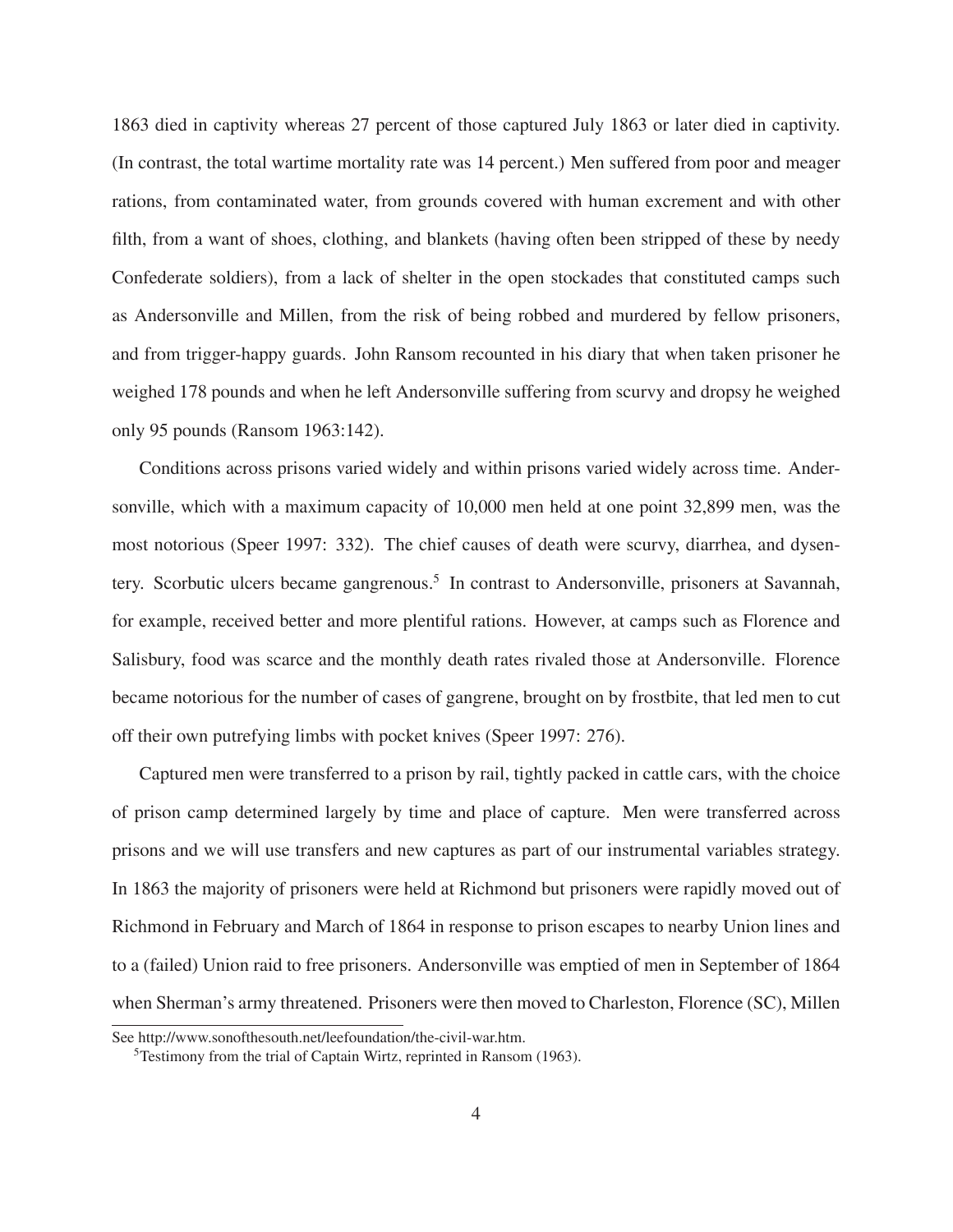1863 died in captivity whereas 27 percent of those captured July 1863 or later died in captivity. (In contrast, the total wartime mortality rate was 14 percent.) Men suffered from poor and meager rations, from contaminated water, from grounds covered with human excrement and with other filth, from a want of shoes, clothing, and blankets (having often been stripped of these by needy Confederate soldiers), from a lack of shelter in the open stockades that constituted camps such as Andersonville and Millen, from the risk of being robbed and murdered by fellow prisoners, and from trigger-happy guards. John Ransom recounted in his diary that when taken prisoner he weighed 178 pounds and when he left Andersonville suffering from scurvy and dropsy he weighed only 95 pounds (Ransom 1963:142).

Conditions across prisons varied widely and within prisons varied widely across time. Andersonville, which with a maximum capacity of 10,000 men held at one point 32,899 men, was the most notorious (Speer 1997: 332). The chief causes of death were scurvy, diarrhea, and dysentery. Scorbutic ulcers became gangrenous.<sup>5</sup> In contrast to Andersonville, prisoners at Savannah, for example, received better and more plentiful rations. However, at camps such as Florence and Salisbury, food was scarce and the monthly death rates rivaled those at Andersonville. Florence became notorious for the number of cases of gangrene, brought on by frostbite, that led men to cut off their own putrefying limbs with pocket knives (Speer 1997: 276).

Captured men were transferred to a prison by rail, tightly packed in cattle cars, with the choice of prison camp determined largely by time and place of capture. Men were transferred across prisons and we will use transfers and new captures as part of our instrumental variables strategy. In 1863 the majority of prisoners were held at Richmond but prisoners were rapidly moved out of Richmond in February and March of 1864 in response to prison escapes to nearby Union lines and to a (failed) Union raid to free prisoners. Andersonville was emptied of men in September of 1864 when Sherman's army threatened. Prisoners were then moved to Charleston, Florence (SC), Millen

See http://www.sonofthesouth.net/leefoundation/the-civil-war.htm.

<sup>&</sup>lt;sup>5</sup>Testimony from the trial of Captain Wirtz, reprinted in Ransom (1963).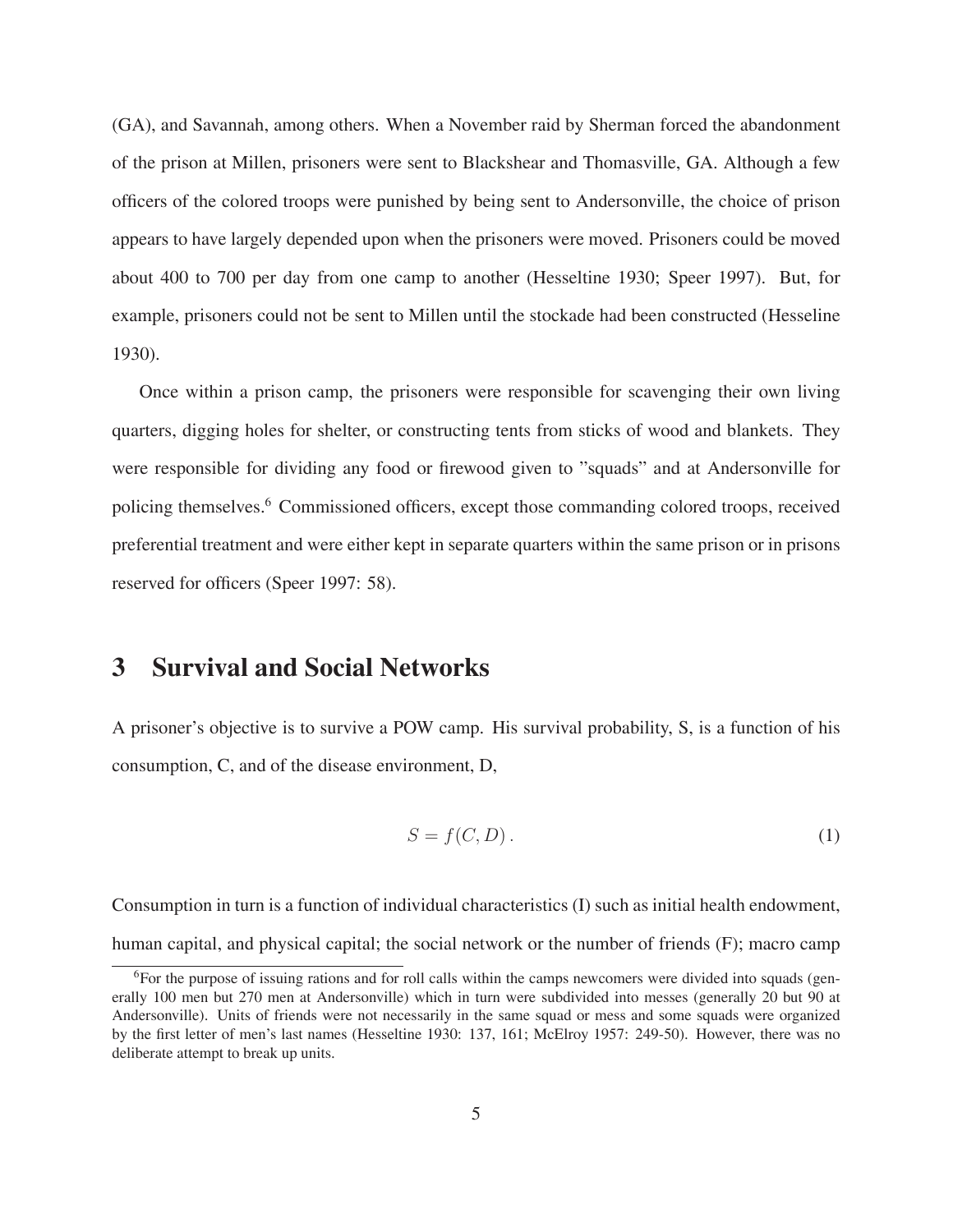(GA), and Savannah, among others. When a November raid by Sherman forced the abandonment of the prison at Millen, prisoners were sent to Blackshear and Thomasville, GA. Although a few officers of the colored troops were punished by being sent to Andersonville, the choice of prison appears to have largely depended upon when the prisoners were moved. Prisoners could be moved about 400 to 700 per day from one camp to another (Hesseltine 1930; Speer 1997). But, for example, prisoners could not be sent to Millen until the stockade had been constructed (Hesseline 1930).

Once within a prison camp, the prisoners were responsible for scavenging their own living quarters, digging holes for shelter, or constructing tents from sticks of wood and blankets. They were responsible for dividing any food or firewood given to "squads" and at Andersonville for policing themselves.6 Commissioned officers, except those commanding colored troops, received preferential treatment and were either kept in separate quarters within the same prison or in prisons reserved for officers (Speer 1997: 58).

## **3 Survival and Social Networks**

A prisoner's objective is to survive a POW camp. His survival probability, S, is a function of his consumption, C, and of the disease environment, D,

$$
S = f(C, D). \tag{1}
$$

Consumption in turn is a function of individual characteristics (I) such as initial health endowment, human capital, and physical capital; the social network or the number of friends (F); macro camp

<sup>&</sup>lt;sup>6</sup>For the purpose of issuing rations and for roll calls within the camps newcomers were divided into squads (generally 100 men but 270 men at Andersonville) which in turn were subdivided into messes (generally 20 but 90 at Andersonville). Units of friends were not necessarily in the same squad or mess and some squads were organized by the first letter of men's last names (Hesseltine 1930: 137, 161; McElroy 1957: 249-50). However, there was no deliberate attempt to break up units.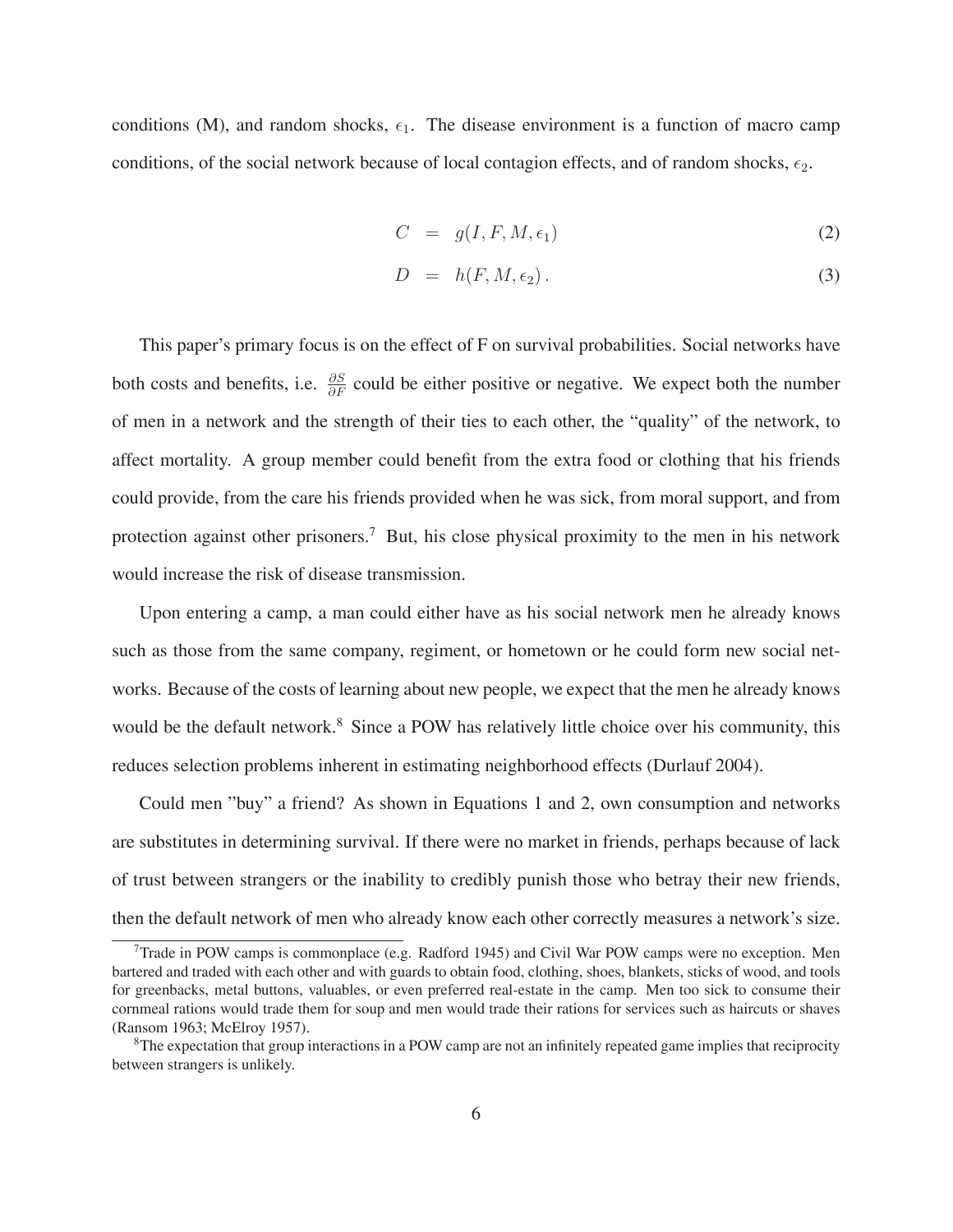conditions (M), and random shocks,  $\epsilon_1$ . The disease environment is a function of macro camp conditions, of the social network because of local contagion effects, and of random shocks,  $\epsilon_2$ .

$$
C = g(I, F, M, \epsilon_1) \tag{2}
$$

$$
D = h(F, M, \epsilon_2). \tag{3}
$$

This paper's primary focus is on the effect of F on survival probabilities. Social networks have both costs and benefits, i.e.  $\frac{\partial S}{\partial F}$  could be either positive or negative. We expect both the number of men in a network and the strength of their ties to each other, the "quality" of the network, to affect mortality. A group member could benefit from the extra food or clothing that his friends could provide, from the care his friends provided when he was sick, from moral support, and from protection against other prisoners.<sup>7</sup> But, his close physical proximity to the men in his network would increase the risk of disease transmission.

Upon entering a camp, a man could either have as his social network men he already knows such as those from the same company, regiment, or hometown or he could form new social networks. Because of the costs of learning about new people, we expect that the men he already knows would be the default network.<sup>8</sup> Since a POW has relatively little choice over his community, this reduces selection problems inherent in estimating neighborhood effects (Durlauf 2004).

Could men "buy" a friend? As shown in Equations 1 and 2, own consumption and networks are substitutes in determining survival. If there were no market in friends, perhaps because of lack of trust between strangers or the inability to credibly punish those who betray their new friends, then the default network of men who already know each other correctly measures a network's size.

<sup>&</sup>lt;sup>7</sup>Trade in POW camps is commonplace (e.g. Radford 1945) and Civil War POW camps were no exception. Men bartered and traded with each other and with guards to obtain food, clothing, shoes, blankets, sticks of wood, and tools for greenbacks, metal buttons, valuables, or even preferred real-estate in the camp. Men too sick to consume their cornmeal rations would trade them for soup and men would trade their rations for services such as haircuts or shaves (Ransom 1963; McElroy 1957).

 ${}^{8}$ The expectation that group interactions in a POW camp are not an infinitely repeated game implies that reciprocity between strangers is unlikely.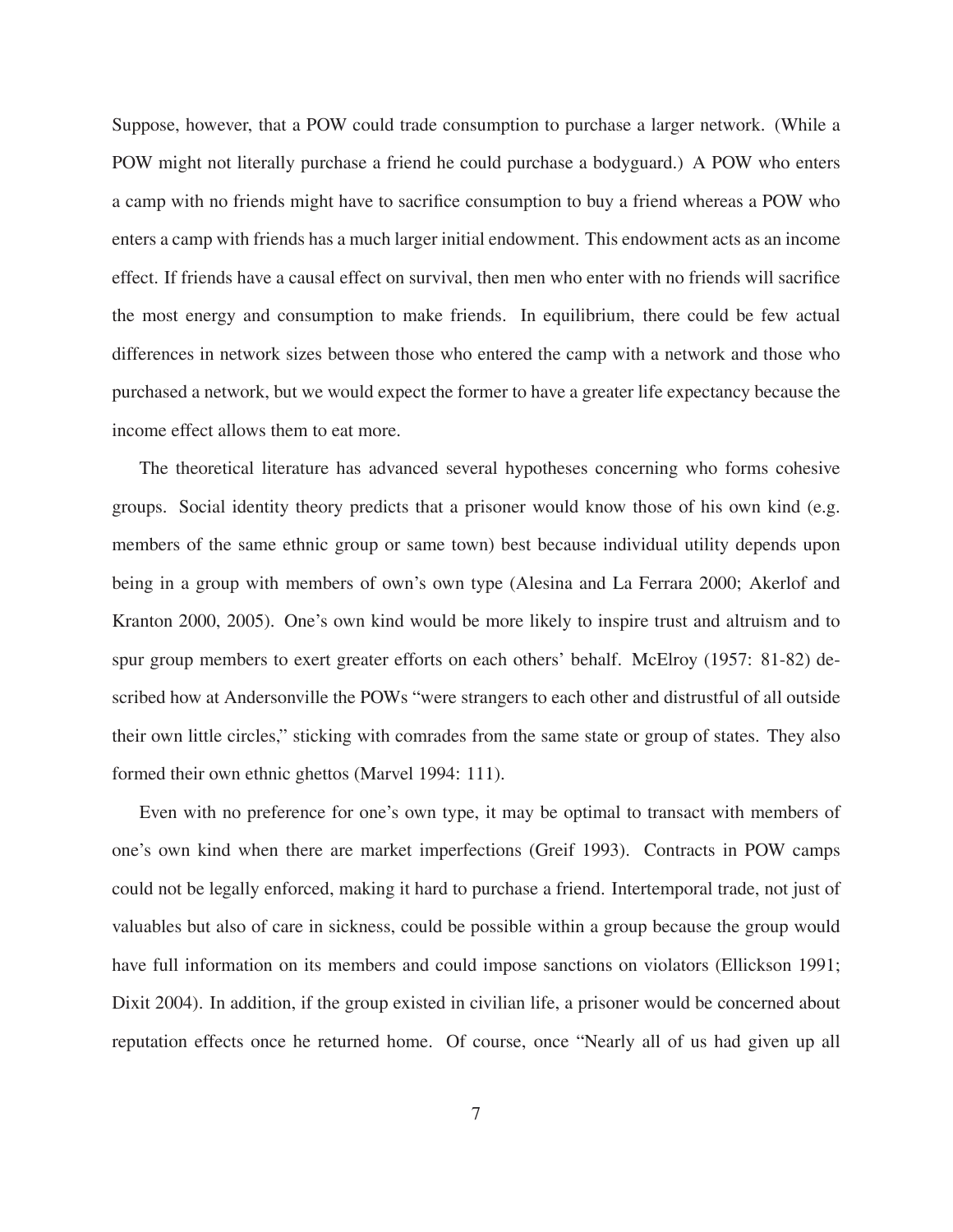Suppose, however, that a POW could trade consumption to purchase a larger network. (While a POW might not literally purchase a friend he could purchase a bodyguard.) A POW who enters a camp with no friends might have to sacrifice consumption to buy a friend whereas a POW who enters a camp with friends has a much larger initial endowment. This endowment acts as an income effect. If friends have a causal effect on survival, then men who enter with no friends will sacrifice the most energy and consumption to make friends. In equilibrium, there could be few actual differences in network sizes between those who entered the camp with a network and those who purchased a network, but we would expect the former to have a greater life expectancy because the income effect allows them to eat more.

The theoretical literature has advanced several hypotheses concerning who forms cohesive groups. Social identity theory predicts that a prisoner would know those of his own kind (e.g. members of the same ethnic group or same town) best because individual utility depends upon being in a group with members of own's own type (Alesina and La Ferrara 2000; Akerlof and Kranton 2000, 2005). One's own kind would be more likely to inspire trust and altruism and to spur group members to exert greater efforts on each others' behalf. McElroy (1957: 81-82) described how at Andersonville the POWs "were strangers to each other and distrustful of all outside their own little circles," sticking with comrades from the same state or group of states. They also formed their own ethnic ghettos (Marvel 1994: 111).

Even with no preference for one's own type, it may be optimal to transact with members of one's own kind when there are market imperfections (Greif 1993). Contracts in POW camps could not be legally enforced, making it hard to purchase a friend. Intertemporal trade, not just of valuables but also of care in sickness, could be possible within a group because the group would have full information on its members and could impose sanctions on violators (Ellickson 1991; Dixit 2004). In addition, if the group existed in civilian life, a prisoner would be concerned about reputation effects once he returned home. Of course, once "Nearly all of us had given up all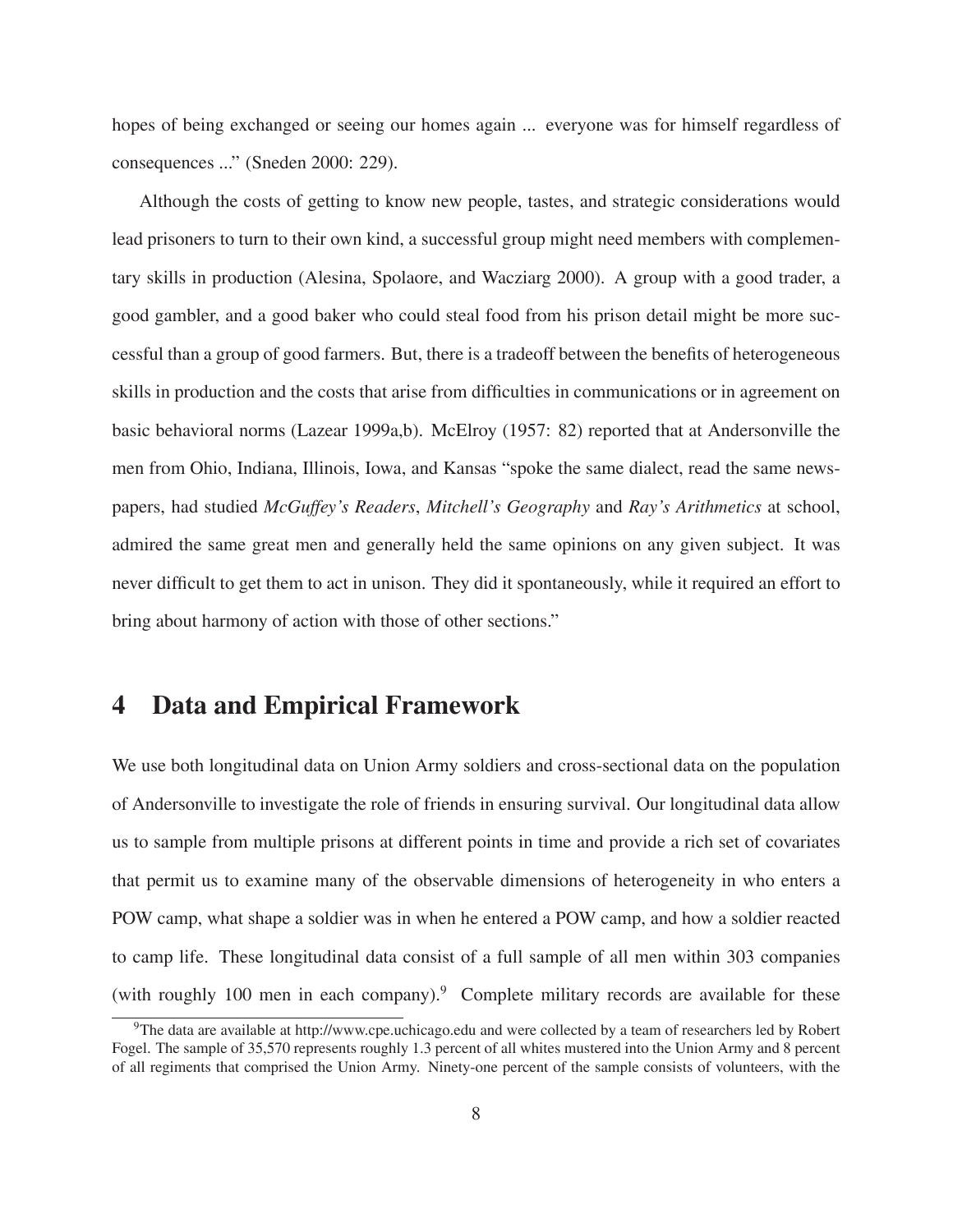hopes of being exchanged or seeing our homes again ... everyone was for himself regardless of consequences ..." (Sneden 2000: 229).

Although the costs of getting to know new people, tastes, and strategic considerations would lead prisoners to turn to their own kind, a successful group might need members with complementary skills in production (Alesina, Spolaore, and Wacziarg 2000). A group with a good trader, a good gambler, and a good baker who could steal food from his prison detail might be more successful than a group of good farmers. But, there is a tradeoff between the benefits of heterogeneous skills in production and the costs that arise from difficulties in communications or in agreement on basic behavioral norms (Lazear 1999a,b). McElroy (1957: 82) reported that at Andersonville the men from Ohio, Indiana, Illinois, Iowa, and Kansas "spoke the same dialect, read the same newspapers, had studied *McGuffey's Readers*, *Mitchell's Geography* and *Ray's Arithmetics* at school, admired the same great men and generally held the same opinions on any given subject. It was never difficult to get them to act in unison. They did it spontaneously, while it required an effort to bring about harmony of action with those of other sections."

## **4 Data and Empirical Framework**

We use both longitudinal data on Union Army soldiers and cross-sectional data on the population of Andersonville to investigate the role of friends in ensuring survival. Our longitudinal data allow us to sample from multiple prisons at different points in time and provide a rich set of covariates that permit us to examine many of the observable dimensions of heterogeneity in who enters a POW camp, what shape a soldier was in when he entered a POW camp, and how a soldier reacted to camp life. These longitudinal data consist of a full sample of all men within 303 companies (with roughly 100 men in each company).<sup>9</sup> Complete military records are available for these

 $9$ The data are available at http://www.cpe.uchicago.edu and were collected by a team of researchers led by Robert Fogel. The sample of 35,570 represents roughly 1.3 percent of all whites mustered into the Union Army and 8 percent of all regiments that comprised the Union Army. Ninety-one percent of the sample consists of volunteers, with the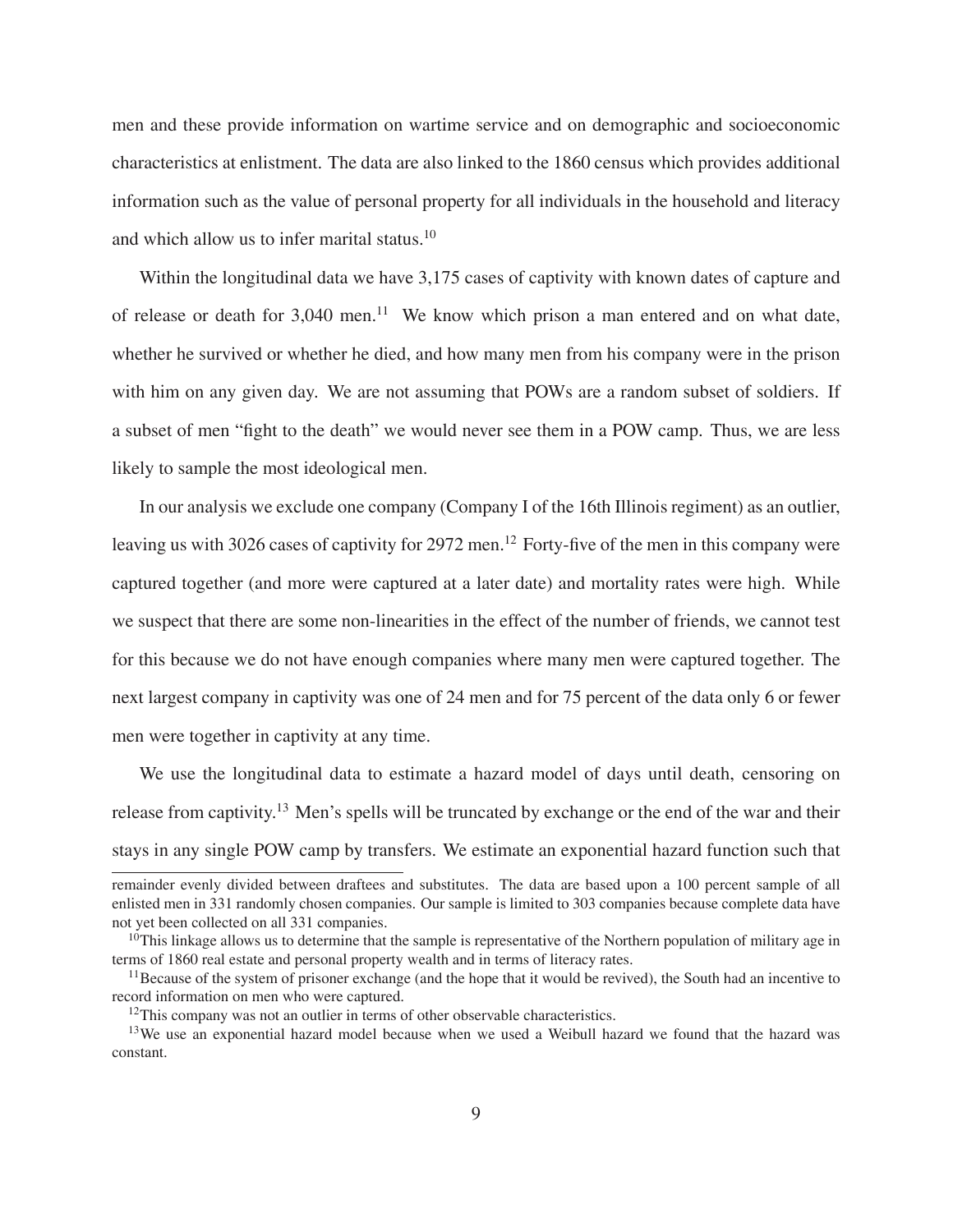men and these provide information on wartime service and on demographic and socioeconomic characteristics at enlistment. The data are also linked to the 1860 census which provides additional information such as the value of personal property for all individuals in the household and literacy and which allow us to infer marital status.<sup>10</sup>

Within the longitudinal data we have 3,175 cases of captivity with known dates of capture and of release or death for  $3,040$  men.<sup>11</sup> We know which prison a man entered and on what date, whether he survived or whether he died, and how many men from his company were in the prison with him on any given day. We are not assuming that POWs are a random subset of soldiers. If a subset of men "fight to the death" we would never see them in a POW camp. Thus, we are less likely to sample the most ideological men.

In our analysis we exclude one company (Company I of the 16th Illinois regiment) as an outlier, leaving us with 3026 cases of captivity for 2972 men.<sup>12</sup> Forty-five of the men in this company were captured together (and more were captured at a later date) and mortality rates were high. While we suspect that there are some non-linearities in the effect of the number of friends, we cannot test for this because we do not have enough companies where many men were captured together. The next largest company in captivity was one of 24 men and for 75 percent of the data only 6 or fewer men were together in captivity at any time.

We use the longitudinal data to estimate a hazard model of days until death, censoring on release from captivity.<sup>13</sup> Men's spells will be truncated by exchange or the end of the war and their stays in any single POW camp by transfers. We estimate an exponential hazard function such that

remainder evenly divided between draftees and substitutes. The data are based upon a 100 percent sample of all enlisted men in 331 randomly chosen companies. Our sample is limited to 303 companies because complete data have not yet been collected on all 331 companies.

 $10$ This linkage allows us to determine that the sample is representative of the Northern population of military age in terms of 1860 real estate and personal property wealth and in terms of literacy rates.

 $11$ Because of the system of prisoner exchange (and the hope that it would be revived), the South had an incentive to record information on men who were captured.

<sup>&</sup>lt;sup>12</sup>This company was not an outlier in terms of other observable characteristics.

<sup>&</sup>lt;sup>13</sup>We use an exponential hazard model because when we used a Weibull hazard we found that the hazard was constant.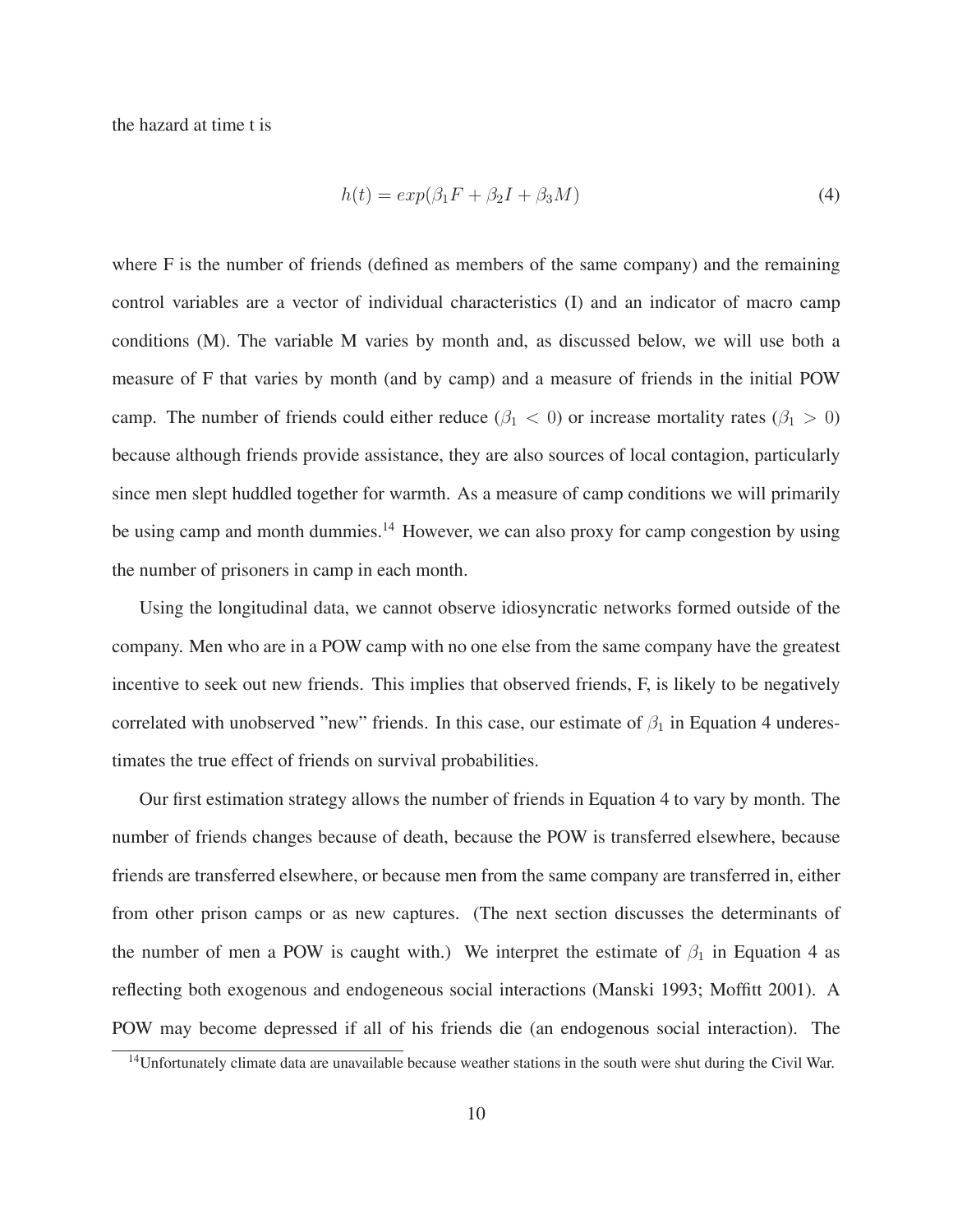the hazard at time t is

$$
h(t) = exp(\beta_1 F + \beta_2 I + \beta_3 M) \tag{4}
$$

where F is the number of friends (defined as members of the same company) and the remaining control variables are a vector of individual characteristics (I) and an indicator of macro camp conditions (M). The variable M varies by month and, as discussed below, we will use both a measure of F that varies by month (and by camp) and a measure of friends in the initial POW camp. The number of friends could either reduce ( $\beta_1 < 0$ ) or increase mortality rates ( $\beta_1 > 0$ ) because although friends provide assistance, they are also sources of local contagion, particularly since men slept huddled together for warmth. As a measure of camp conditions we will primarily be using camp and month dummies.<sup>14</sup> However, we can also proxy for camp congestion by using the number of prisoners in camp in each month.

Using the longitudinal data, we cannot observe idiosyncratic networks formed outside of the company. Men who are in a POW camp with no one else from the same company have the greatest incentive to seek out new friends. This implies that observed friends, F, is likely to be negatively correlated with unobserved "new" friends. In this case, our estimate of  $\beta_1$  in Equation 4 underestimates the true effect of friends on survival probabilities.

Our first estimation strategy allows the number of friends in Equation 4 to vary by month. The number of friends changes because of death, because the POW is transferred elsewhere, because friends are transferred elsewhere, or because men from the same company are transferred in, either from other prison camps or as new captures. (The next section discusses the determinants of the number of men a POW is caught with.) We interpret the estimate of  $\beta_1$  in Equation 4 as reflecting both exogenous and endogeneous social interactions (Manski 1993; Moffitt 2001). A POW may become depressed if all of his friends die (an endogenous social interaction). The

<sup>&</sup>lt;sup>14</sup>Unfortunately climate data are unavailable because weather stations in the south were shut during the Civil War.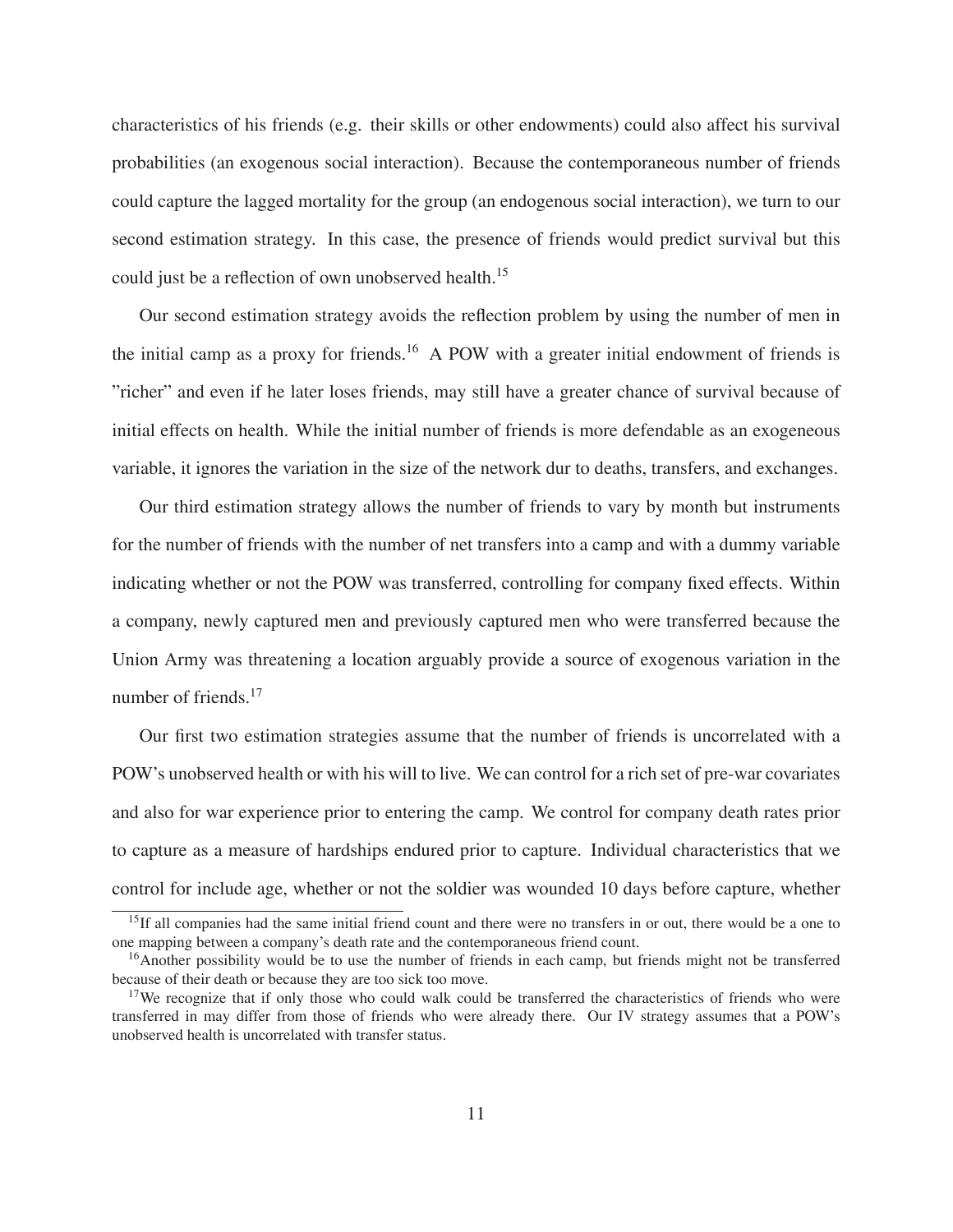characteristics of his friends (e.g. their skills or other endowments) could also affect his survival probabilities (an exogenous social interaction). Because the contemporaneous number of friends could capture the lagged mortality for the group (an endogenous social interaction), we turn to our second estimation strategy. In this case, the presence of friends would predict survival but this could just be a reflection of own unobserved health.<sup>15</sup>

Our second estimation strategy avoids the reflection problem by using the number of men in the initial camp as a proxy for friends.<sup>16</sup> A POW with a greater initial endowment of friends is "richer" and even if he later loses friends, may still have a greater chance of survival because of initial effects on health. While the initial number of friends is more defendable as an exogeneous variable, it ignores the variation in the size of the network dur to deaths, transfers, and exchanges.

Our third estimation strategy allows the number of friends to vary by month but instruments for the number of friends with the number of net transfers into a camp and with a dummy variable indicating whether or not the POW was transferred, controlling for company fixed effects. Within a company, newly captured men and previously captured men who were transferred because the Union Army was threatening a location arguably provide a source of exogenous variation in the number of friends.<sup>17</sup>

Our first two estimation strategies assume that the number of friends is uncorrelated with a POW's unobserved health or with his will to live. We can control for a rich set of pre-war covariates and also for war experience prior to entering the camp. We control for company death rates prior to capture as a measure of hardships endured prior to capture. Individual characteristics that we control for include age, whether or not the soldier was wounded 10 days before capture, whether

<sup>&</sup>lt;sup>15</sup>If all companies had the same initial friend count and there were no transfers in or out, there would be a one to one mapping between a company's death rate and the contemporaneous friend count.

<sup>&</sup>lt;sup>16</sup>Another possibility would be to use the number of friends in each camp, but friends might not be transferred because of their death or because they are too sick too move.

<sup>&</sup>lt;sup>17</sup>We recognize that if only those who could walk could be transferred the characteristics of friends who were transferred in may differ from those of friends who were already there. Our IV strategy assumes that a POW's unobserved health is uncorrelated with transfer status.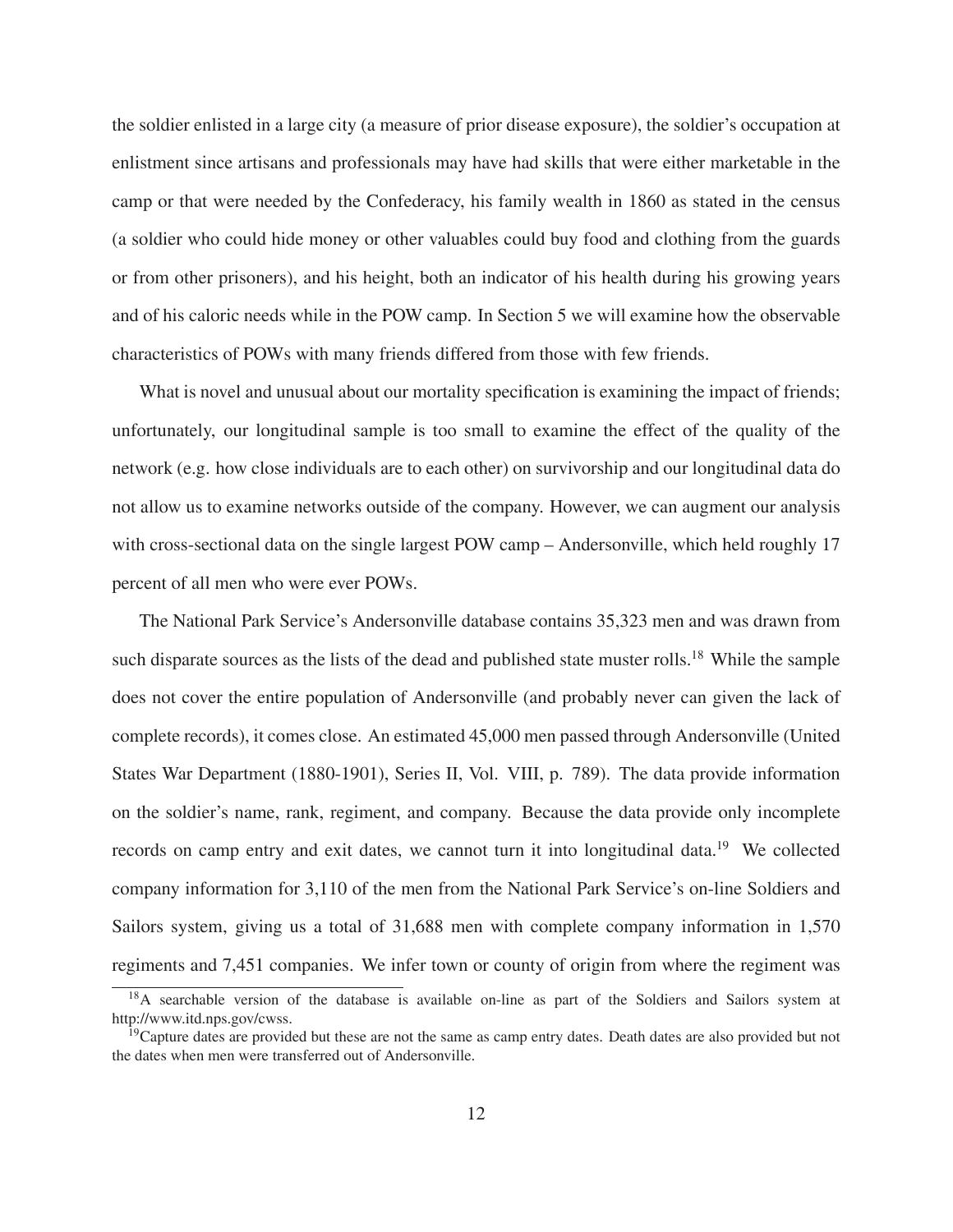the soldier enlisted in a large city (a measure of prior disease exposure), the soldier's occupation at enlistment since artisans and professionals may have had skills that were either marketable in the camp or that were needed by the Confederacy, his family wealth in 1860 as stated in the census (a soldier who could hide money or other valuables could buy food and clothing from the guards or from other prisoners), and his height, both an indicator of his health during his growing years and of his caloric needs while in the POW camp. In Section 5 we will examine how the observable characteristics of POWs with many friends differed from those with few friends.

What is novel and unusual about our mortality specification is examining the impact of friends; unfortunately, our longitudinal sample is too small to examine the effect of the quality of the network (e.g. how close individuals are to each other) on survivorship and our longitudinal data do not allow us to examine networks outside of the company. However, we can augment our analysis with cross-sectional data on the single largest POW camp – Andersonville, which held roughly 17 percent of all men who were ever POWs.

The National Park Service's Andersonville database contains 35,323 men and was drawn from such disparate sources as the lists of the dead and published state muster rolls.<sup>18</sup> While the sample does not cover the entire population of Andersonville (and probably never can given the lack of complete records), it comes close. An estimated 45,000 men passed through Andersonville (United States War Department (1880-1901), Series II, Vol. VIII, p. 789). The data provide information on the soldier's name, rank, regiment, and company. Because the data provide only incomplete records on camp entry and exit dates, we cannot turn it into longitudinal data.<sup>19</sup> We collected company information for 3,110 of the men from the National Park Service's on-line Soldiers and Sailors system, giving us a total of 31,688 men with complete company information in 1,570 regiments and 7,451 companies. We infer town or county of origin from where the regiment was

<sup>&</sup>lt;sup>18</sup>A searchable version of the database is available on-line as part of the Soldiers and Sailors system at http://www.itd.nps.gov/cwss.

 $19$ Capture dates are provided but these are not the same as camp entry dates. Death dates are also provided but not the dates when men were transferred out of Andersonville.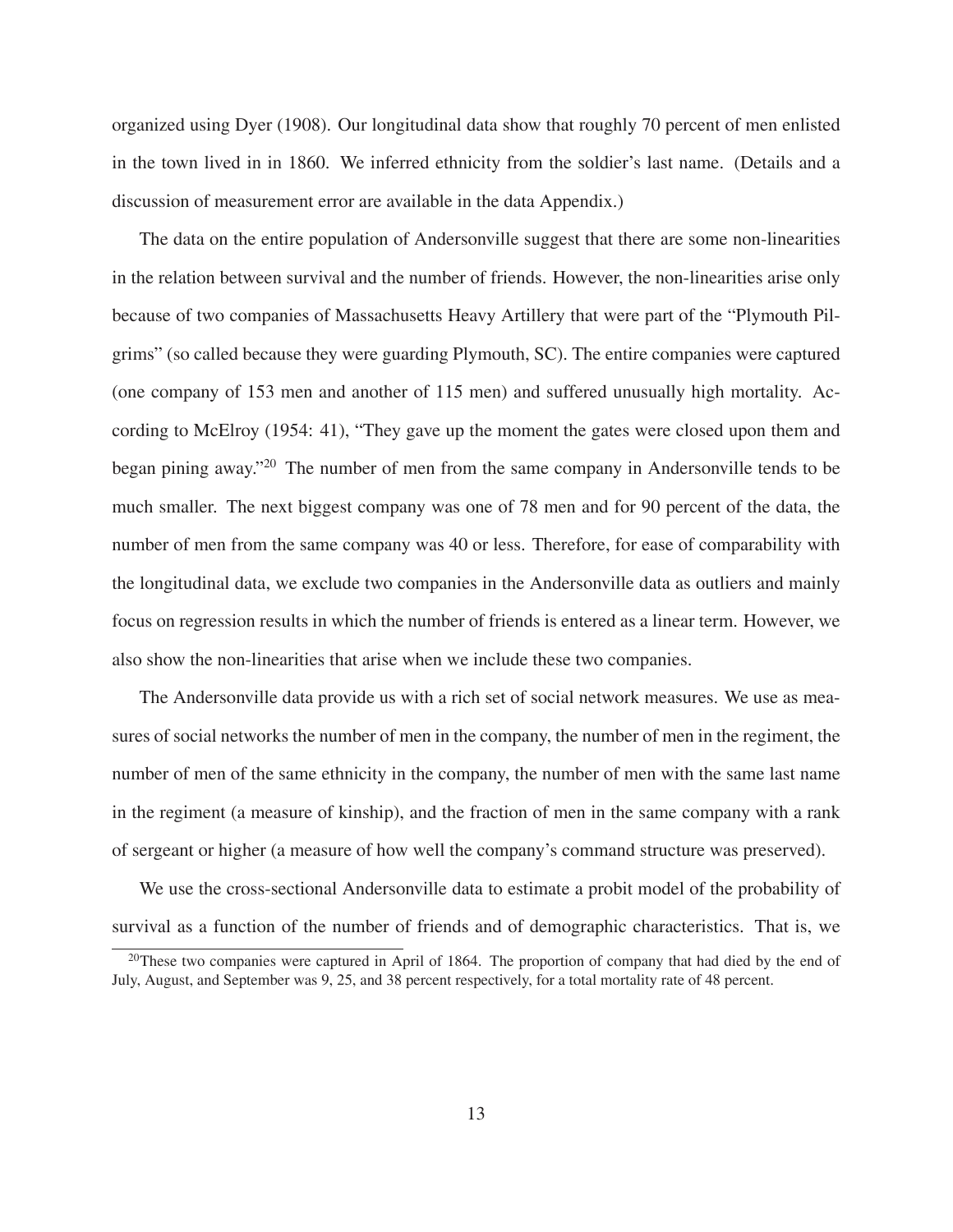organized using Dyer (1908). Our longitudinal data show that roughly 70 percent of men enlisted in the town lived in in 1860. We inferred ethnicity from the soldier's last name. (Details and a discussion of measurement error are available in the data Appendix.)

The data on the entire population of Andersonville suggest that there are some non-linearities in the relation between survival and the number of friends. However, the non-linearities arise only because of two companies of Massachusetts Heavy Artillery that were part of the "Plymouth Pilgrims" (so called because they were guarding Plymouth, SC). The entire companies were captured (one company of 153 men and another of 115 men) and suffered unusually high mortality. According to McElroy (1954: 41), "They gave up the moment the gates were closed upon them and began pining away."20 The number of men from the same company in Andersonville tends to be much smaller. The next biggest company was one of 78 men and for 90 percent of the data, the number of men from the same company was 40 or less. Therefore, for ease of comparability with the longitudinal data, we exclude two companies in the Andersonville data as outliers and mainly focus on regression results in which the number of friends is entered as a linear term. However, we also show the non-linearities that arise when we include these two companies.

The Andersonville data provide us with a rich set of social network measures. We use as measures of social networks the number of men in the company, the number of men in the regiment, the number of men of the same ethnicity in the company, the number of men with the same last name in the regiment (a measure of kinship), and the fraction of men in the same company with a rank of sergeant or higher (a measure of how well the company's command structure was preserved).

We use the cross-sectional Andersonville data to estimate a probit model of the probability of survival as a function of the number of friends and of demographic characteristics. That is, we

<sup>&</sup>lt;sup>20</sup>These two companies were captured in April of 1864. The proportion of company that had died by the end of July, August, and September was 9, 25, and 38 percent respectively, for a total mortality rate of 48 percent.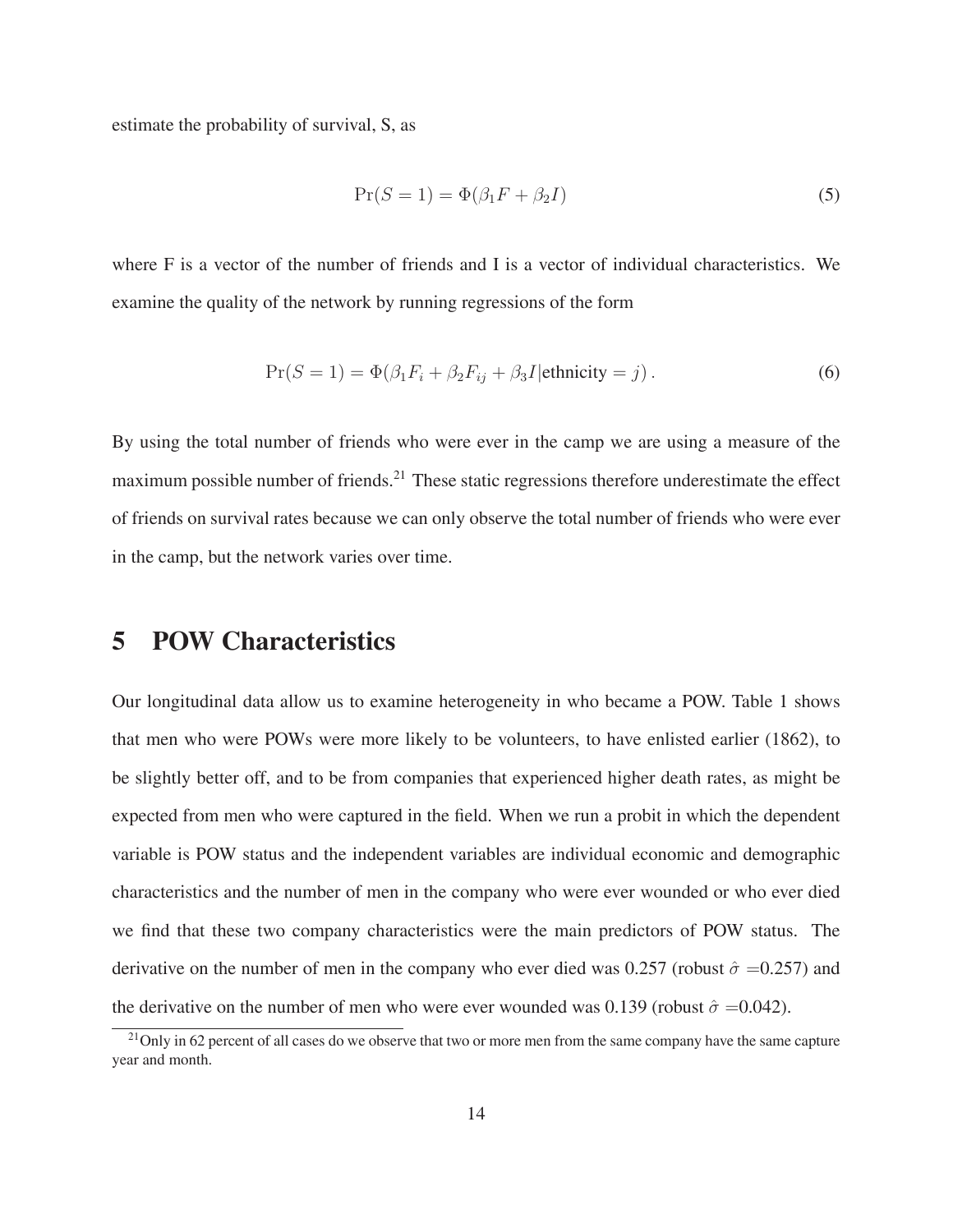estimate the probability of survival, S, as

$$
Pr(S = 1) = \Phi(\beta_1 F + \beta_2 I)
$$
\n<sup>(5)</sup>

where F is a vector of the number of friends and I is a vector of individual characteristics. We examine the quality of the network by running regressions of the form

$$
Pr(S = 1) = \Phi(\beta_1 F_i + \beta_2 F_{ij} + \beta_3 I | \text{ethnicity} = j).
$$
\n(6)

By using the total number of friends who were ever in the camp we are using a measure of the maximum possible number of friends.<sup>21</sup> These static regressions therefore underestimate the effect of friends on survival rates because we can only observe the total number of friends who were ever in the camp, but the network varies over time.

## **5 POW Characteristics**

Our longitudinal data allow us to examine heterogeneity in who became a POW. Table 1 shows that men who were POWs were more likely to be volunteers, to have enlisted earlier (1862), to be slightly better off, and to be from companies that experienced higher death rates, as might be expected from men who were captured in the field. When we run a probit in which the dependent variable is POW status and the independent variables are individual economic and demographic characteristics and the number of men in the company who were ever wounded or who ever died we find that these two company characteristics were the main predictors of POW status. The derivative on the number of men in the company who ever died was 0.257 (robust  $\hat{\sigma} = 0.257$ ) and the derivative on the number of men who were ever wounded was 0.139 (robust  $\hat{\sigma} = 0.042$ ).

<sup>&</sup>lt;sup>21</sup>Only in 62 percent of all cases do we observe that two or more men from the same company have the same capture year and month.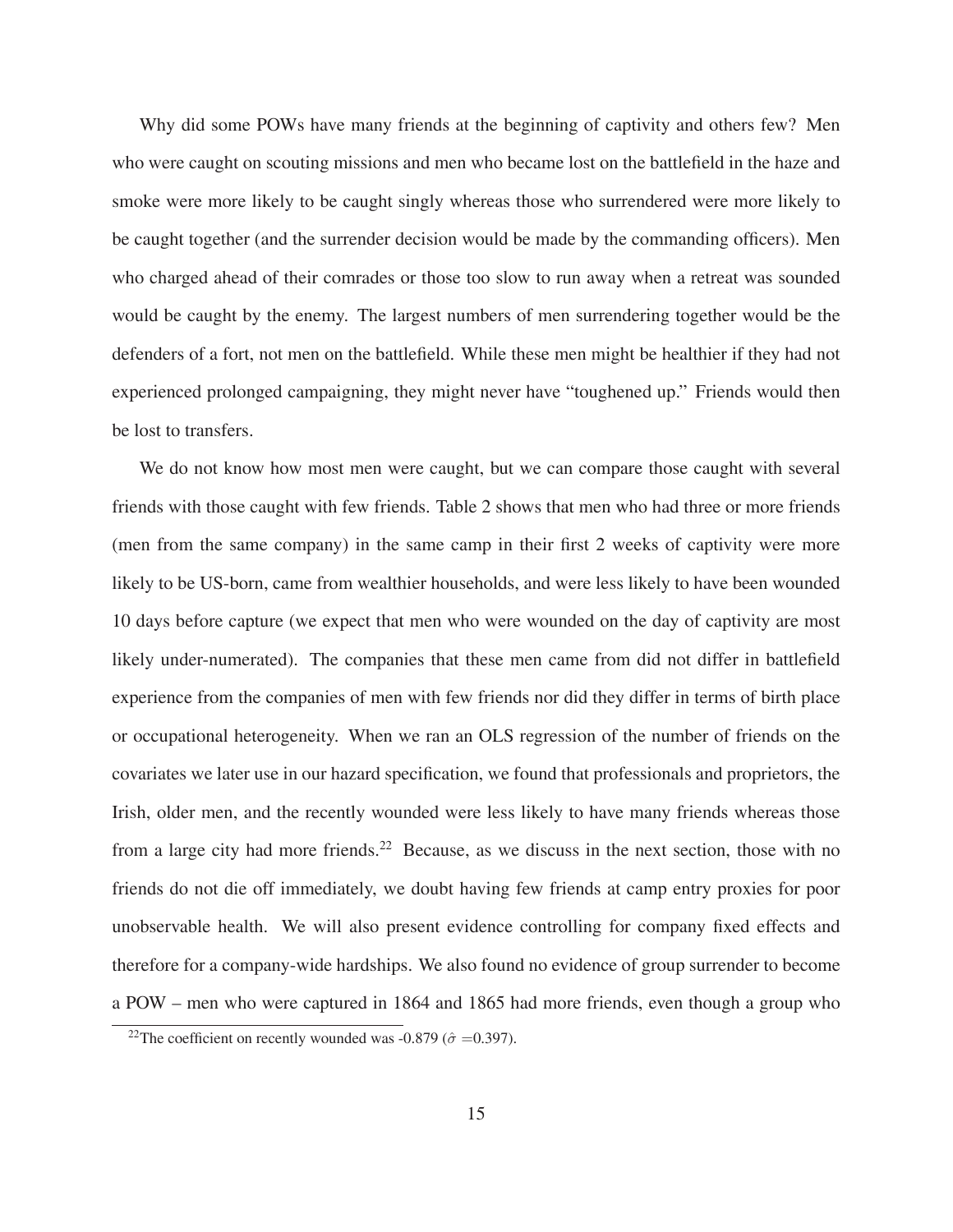Why did some POWs have many friends at the beginning of captivity and others few? Men who were caught on scouting missions and men who became lost on the battlefield in the haze and smoke were more likely to be caught singly whereas those who surrendered were more likely to be caught together (and the surrender decision would be made by the commanding officers). Men who charged ahead of their comrades or those too slow to run away when a retreat was sounded would be caught by the enemy. The largest numbers of men surrendering together would be the defenders of a fort, not men on the battlefield. While these men might be healthier if they had not experienced prolonged campaigning, they might never have "toughened up." Friends would then be lost to transfers.

We do not know how most men were caught, but we can compare those caught with several friends with those caught with few friends. Table 2 shows that men who had three or more friends (men from the same company) in the same camp in their first 2 weeks of captivity were more likely to be US-born, came from wealthier households, and were less likely to have been wounded 10 days before capture (we expect that men who were wounded on the day of captivity are most likely under-numerated). The companies that these men came from did not differ in battlefield experience from the companies of men with few friends nor did they differ in terms of birth place or occupational heterogeneity. When we ran an OLS regression of the number of friends on the covariates we later use in our hazard specification, we found that professionals and proprietors, the Irish, older men, and the recently wounded were less likely to have many friends whereas those from a large city had more friends.<sup>22</sup> Because, as we discuss in the next section, those with no friends do not die off immediately, we doubt having few friends at camp entry proxies for poor unobservable health. We will also present evidence controlling for company fixed effects and therefore for a company-wide hardships. We also found no evidence of group surrender to become a POW – men who were captured in 1864 and 1865 had more friends, even though a group who

<sup>&</sup>lt;sup>22</sup>The coefficient on recently wounded was -0.879 ( $\hat{\sigma}$  =0.397).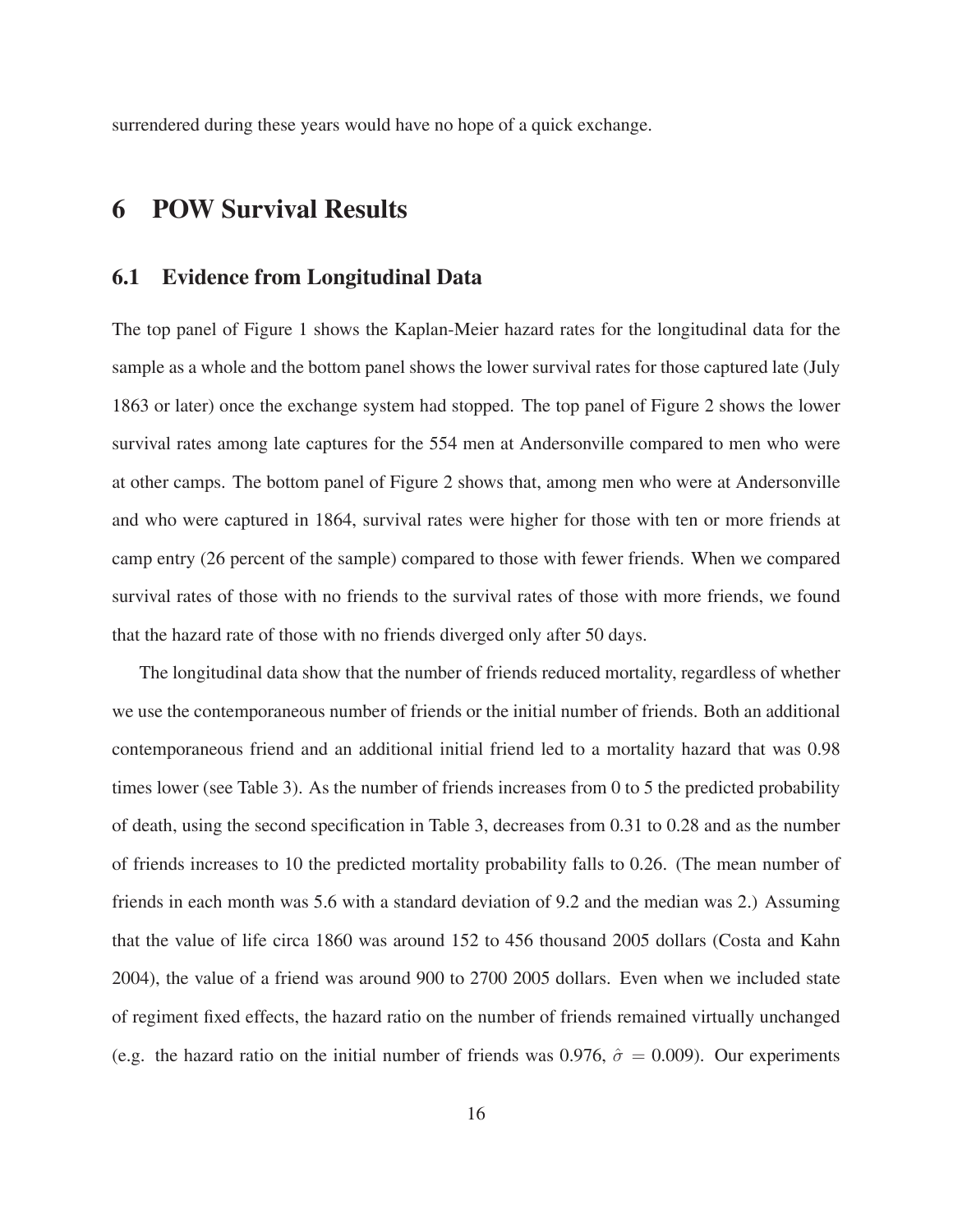surrendered during these years would have no hope of a quick exchange.

# **6 POW Survival Results**

### **6.1 Evidence from Longitudinal Data**

The top panel of Figure 1 shows the Kaplan-Meier hazard rates for the longitudinal data for the sample as a whole and the bottom panel shows the lower survival rates for those captured late (July 1863 or later) once the exchange system had stopped. The top panel of Figure 2 shows the lower survival rates among late captures for the 554 men at Andersonville compared to men who were at other camps. The bottom panel of Figure 2 shows that, among men who were at Andersonville and who were captured in 1864, survival rates were higher for those with ten or more friends at camp entry (26 percent of the sample) compared to those with fewer friends. When we compared survival rates of those with no friends to the survival rates of those with more friends, we found that the hazard rate of those with no friends diverged only after 50 days.

The longitudinal data show that the number of friends reduced mortality, regardless of whether we use the contemporaneous number of friends or the initial number of friends. Both an additional contemporaneous friend and an additional initial friend led to a mortality hazard that was 0.98 times lower (see Table 3). As the number of friends increases from 0 to 5 the predicted probability of death, using the second specification in Table 3, decreases from 0.31 to 0.28 and as the number of friends increases to 10 the predicted mortality probability falls to 0.26. (The mean number of friends in each month was 5.6 with a standard deviation of 9.2 and the median was 2.) Assuming that the value of life circa 1860 was around 152 to 456 thousand 2005 dollars (Costa and Kahn 2004), the value of a friend was around 900 to 2700 2005 dollars. Even when we included state of regiment fixed effects, the hazard ratio on the number of friends remained virtually unchanged (e.g. the hazard ratio on the initial number of friends was 0.976,  $\hat{\sigma} = 0.009$ ). Our experiments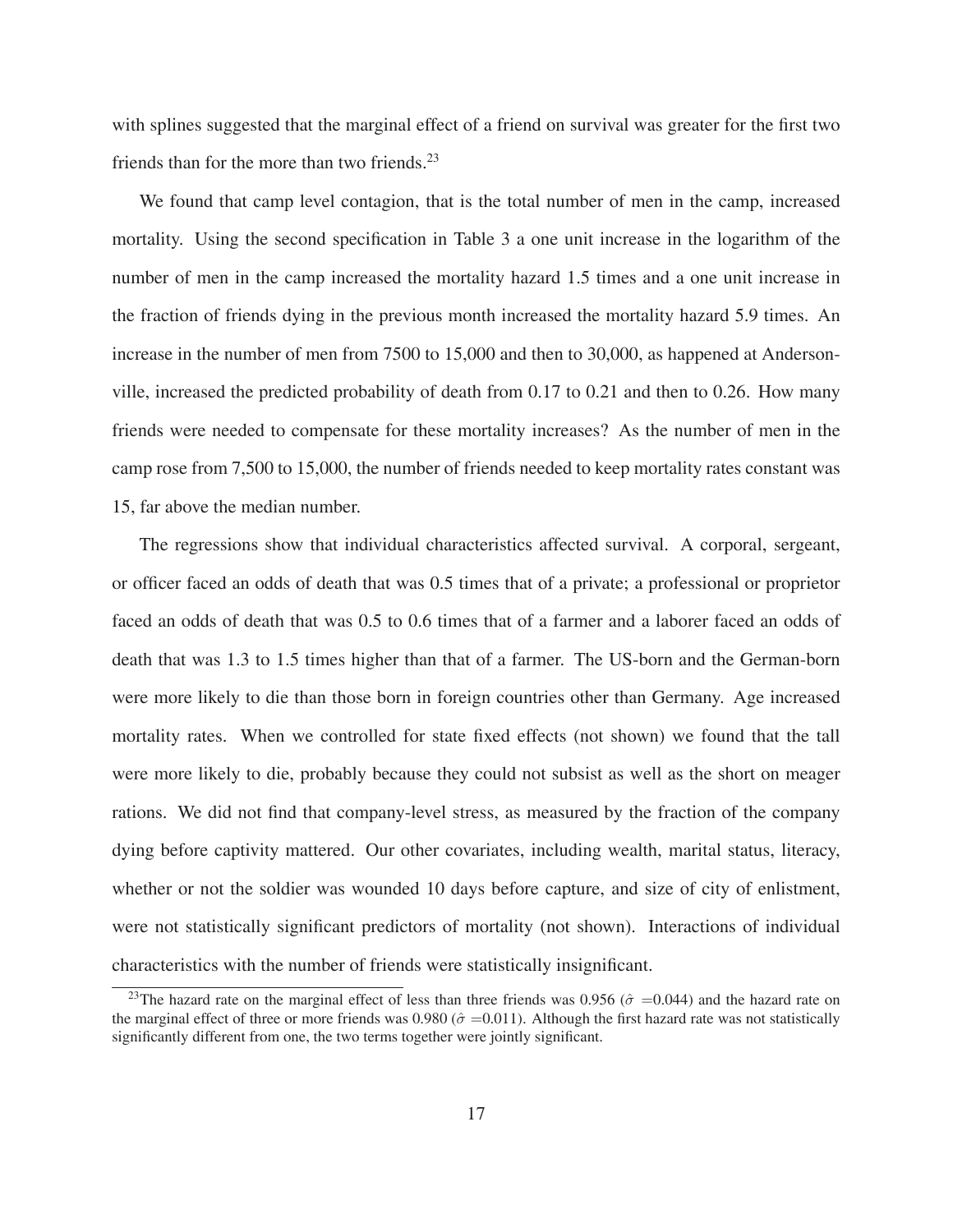with splines suggested that the marginal effect of a friend on survival was greater for the first two friends than for the more than two friends.<sup>23</sup>

We found that camp level contagion, that is the total number of men in the camp, increased mortality. Using the second specification in Table 3 a one unit increase in the logarithm of the number of men in the camp increased the mortality hazard 1.5 times and a one unit increase in the fraction of friends dying in the previous month increased the mortality hazard 5.9 times. An increase in the number of men from 7500 to 15,000 and then to 30,000, as happened at Andersonville, increased the predicted probability of death from 0.17 to 0.21 and then to 0.26. How many friends were needed to compensate for these mortality increases? As the number of men in the camp rose from 7,500 to 15,000, the number of friends needed to keep mortality rates constant was 15, far above the median number.

The regressions show that individual characteristics affected survival. A corporal, sergeant, or officer faced an odds of death that was 0.5 times that of a private; a professional or proprietor faced an odds of death that was 0.5 to 0.6 times that of a farmer and a laborer faced an odds of death that was 1.3 to 1.5 times higher than that of a farmer. The US-born and the German-born were more likely to die than those born in foreign countries other than Germany. Age increased mortality rates. When we controlled for state fixed effects (not shown) we found that the tall were more likely to die, probably because they could not subsist as well as the short on meager rations. We did not find that company-level stress, as measured by the fraction of the company dying before captivity mattered. Our other covariates, including wealth, marital status, literacy, whether or not the soldier was wounded 10 days before capture, and size of city of enlistment, were not statistically significant predictors of mortality (not shown). Interactions of individual characteristics with the number of friends were statistically insignificant.

<sup>&</sup>lt;sup>23</sup>The hazard rate on the marginal effect of less than three friends was 0.956 ( $\hat{\sigma}$  =0.044) and the hazard rate on the marginal effect of three or more friends was 0.980 ( $\hat{\sigma}$  =0.011). Although the first hazard rate was not statistically significantly different from one, the two terms together were jointly significant.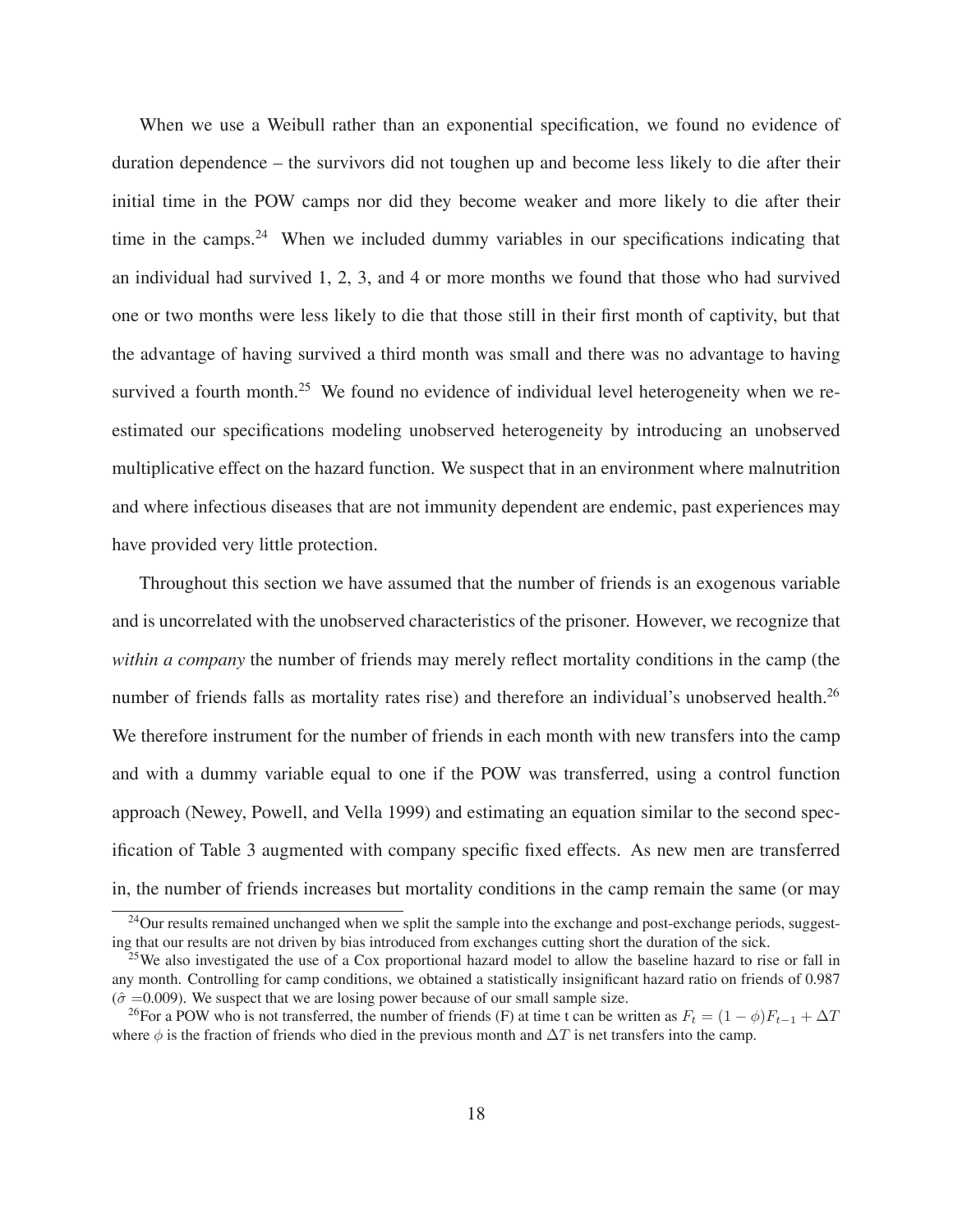When we use a Weibull rather than an exponential specification, we found no evidence of duration dependence – the survivors did not toughen up and become less likely to die after their initial time in the POW camps nor did they become weaker and more likely to die after their time in the camps.<sup>24</sup> When we included dummy variables in our specifications indicating that an individual had survived 1, 2, 3, and 4 or more months we found that those who had survived one or two months were less likely to die that those still in their first month of captivity, but that the advantage of having survived a third month was small and there was no advantage to having survived a fourth month.<sup>25</sup> We found no evidence of individual level heterogeneity when we reestimated our specifications modeling unobserved heterogeneity by introducing an unobserved multiplicative effect on the hazard function. We suspect that in an environment where malnutrition and where infectious diseases that are not immunity dependent are endemic, past experiences may have provided very little protection.

Throughout this section we have assumed that the number of friends is an exogenous variable and is uncorrelated with the unobserved characteristics of the prisoner. However, we recognize that *within a company* the number of friends may merely reflect mortality conditions in the camp (the number of friends falls as mortality rates rise) and therefore an individual's unobserved health.<sup>26</sup> We therefore instrument for the number of friends in each month with new transfers into the camp and with a dummy variable equal to one if the POW was transferred, using a control function approach (Newey, Powell, and Vella 1999) and estimating an equation similar to the second specification of Table 3 augmented with company specific fixed effects. As new men are transferred in, the number of friends increases but mortality conditions in the camp remain the same (or may

<sup>&</sup>lt;sup>24</sup>Our results remained unchanged when we split the sample into the exchange and post-exchange periods, suggesting that our results are not driven by bias introduced from exchanges cutting short the duration of the sick.

<sup>&</sup>lt;sup>25</sup>We also investigated the use of a Cox proportional hazard model to allow the baseline hazard to rise or fall in any month. Controlling for camp conditions, we obtained a statistically insignificant hazard ratio on friends of 0.987  $(\hat{\sigma} = 0.009)$ . We suspect that we are losing power because of our small sample size.

<sup>&</sup>lt;sup>26</sup>For a POW who is not transferred, the number of friends (F) at time t can be written as  $F_t = (1 - \phi)F_{t-1} + \Delta T$ where  $\phi$  is the fraction of friends who died in the previous month and  $\Delta T$  is net transfers into the camp.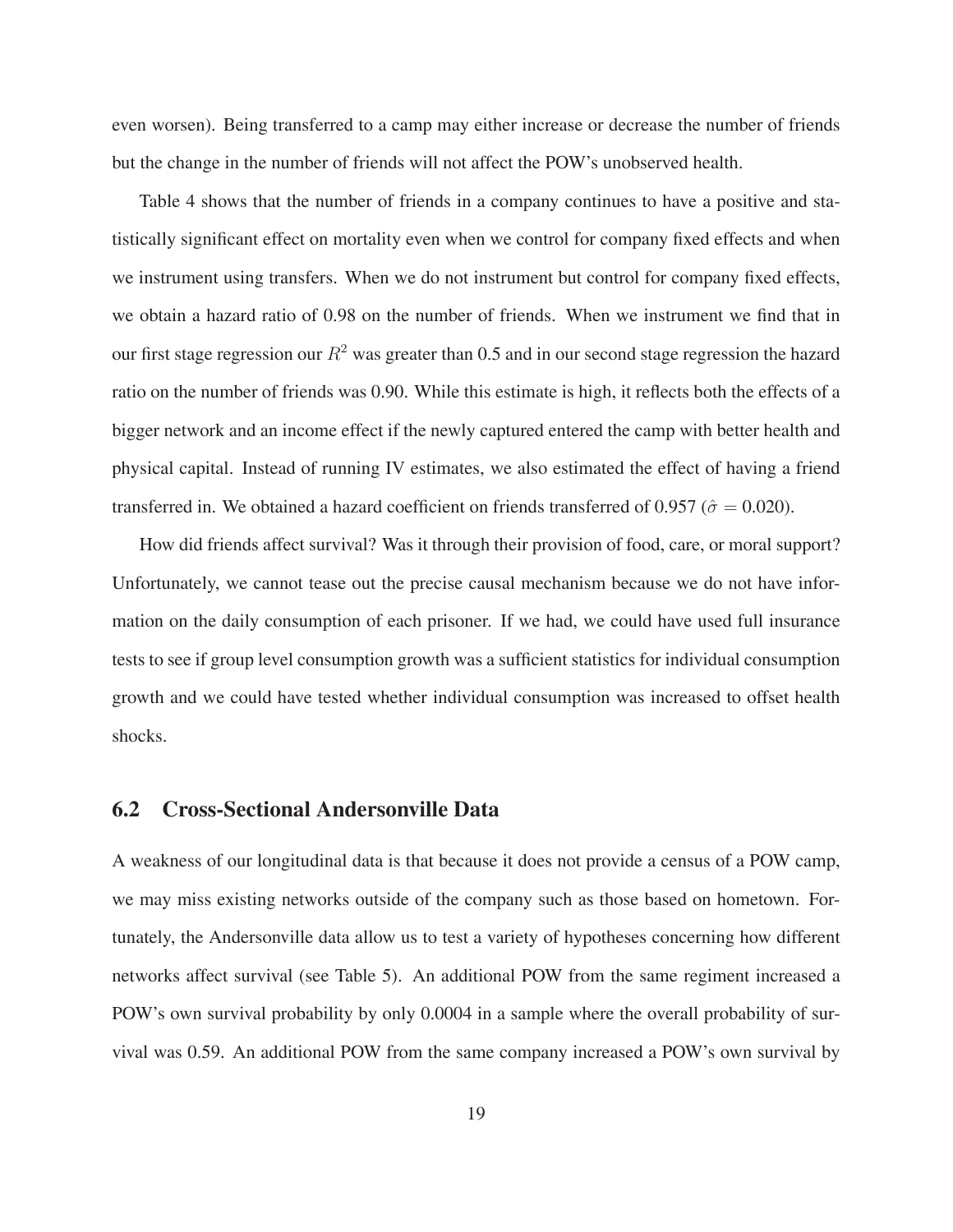even worsen). Being transferred to a camp may either increase or decrease the number of friends but the change in the number of friends will not affect the POW's unobserved health.

Table 4 shows that the number of friends in a company continues to have a positive and statistically significant effect on mortality even when we control for company fixed effects and when we instrument using transfers. When we do not instrument but control for company fixed effects, we obtain a hazard ratio of 0.98 on the number of friends. When we instrument we find that in our first stage regression our  $R^2$  was greater than 0.5 and in our second stage regression the hazard ratio on the number of friends was 0.90. While this estimate is high, it reflects both the effects of a bigger network and an income effect if the newly captured entered the camp with better health and physical capital. Instead of running IV estimates, we also estimated the effect of having a friend transferred in. We obtained a hazard coefficient on friends transferred of 0.957 ( $\hat{\sigma} = 0.020$ ).

How did friends affect survival? Was it through their provision of food, care, or moral support? Unfortunately, we cannot tease out the precise causal mechanism because we do not have information on the daily consumption of each prisoner. If we had, we could have used full insurance tests to see if group level consumption growth was a sufficient statistics for individual consumption growth and we could have tested whether individual consumption was increased to offset health shocks.

### **6.2 Cross-Sectional Andersonville Data**

A weakness of our longitudinal data is that because it does not provide a census of a POW camp, we may miss existing networks outside of the company such as those based on hometown. Fortunately, the Andersonville data allow us to test a variety of hypotheses concerning how different networks affect survival (see Table 5). An additional POW from the same regiment increased a POW's own survival probability by only 0.0004 in a sample where the overall probability of survival was 0.59. An additional POW from the same company increased a POW's own survival by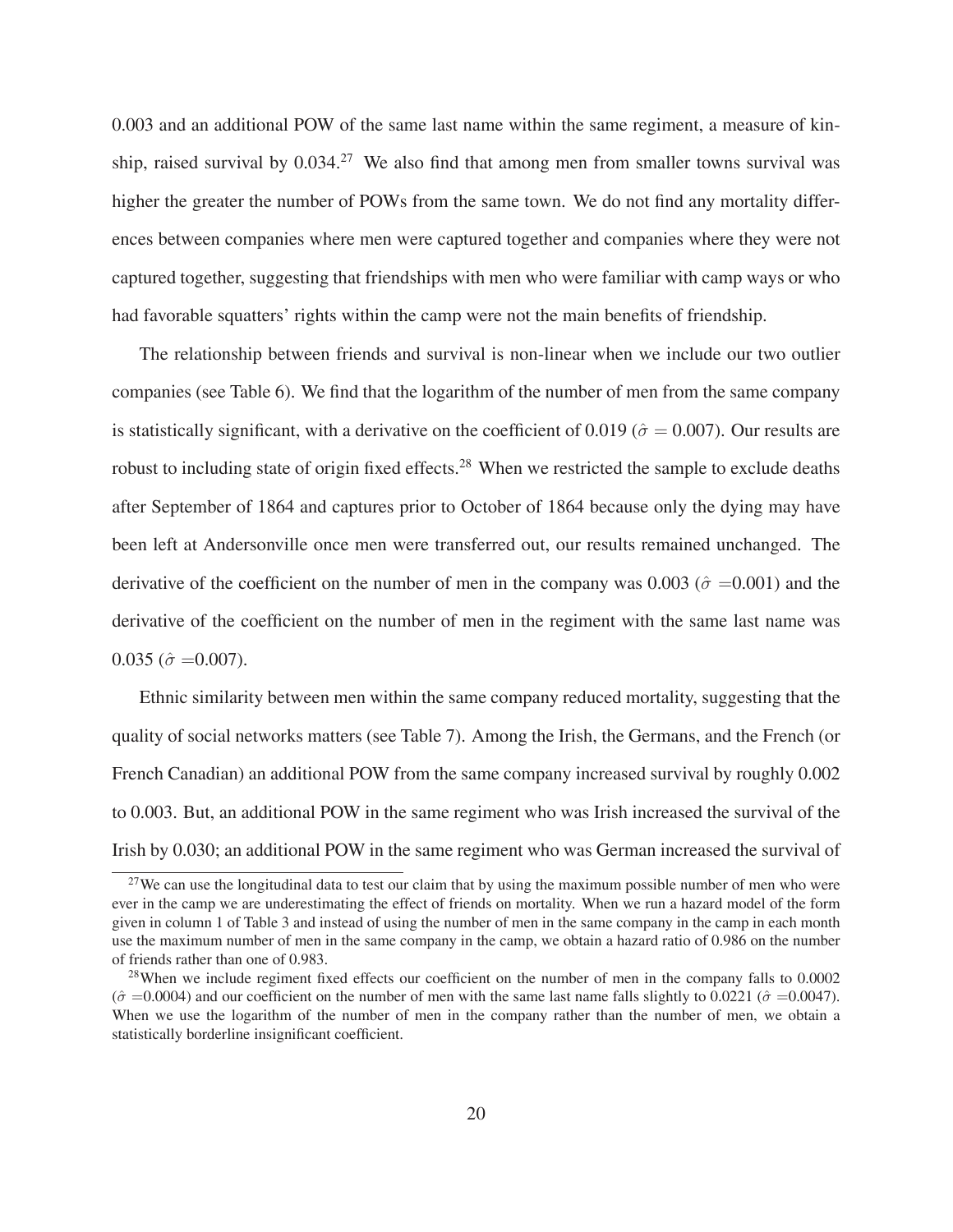0.003 and an additional POW of the same last name within the same regiment, a measure of kinship, raised survival by  $0.034<sup>27</sup>$  We also find that among men from smaller towns survival was higher the greater the number of POWs from the same town. We do not find any mortality differences between companies where men were captured together and companies where they were not captured together, suggesting that friendships with men who were familiar with camp ways or who had favorable squatters' rights within the camp were not the main benefits of friendship.

The relationship between friends and survival is non-linear when we include our two outlier companies (see Table 6). We find that the logarithm of the number of men from the same company is statistically significant, with a derivative on the coefficient of 0.019 ( $\hat{\sigma} = 0.007$ ). Our results are robust to including state of origin fixed effects.28 When we restricted the sample to exclude deaths after September of 1864 and captures prior to October of 1864 because only the dying may have been left at Andersonville once men were transferred out, our results remained unchanged. The derivative of the coefficient on the number of men in the company was 0.003 ( $\hat{\sigma}$  =0.001) and the derivative of the coefficient on the number of men in the regiment with the same last name was  $0.035$  ( $\hat{\sigma} = 0.007$ ).

Ethnic similarity between men within the same company reduced mortality, suggesting that the quality of social networks matters (see Table 7). Among the Irish, the Germans, and the French (or French Canadian) an additional POW from the same company increased survival by roughly 0.002 to 0.003. But, an additional POW in the same regiment who was Irish increased the survival of the Irish by 0.030; an additional POW in the same regiment who was German increased the survival of

<sup>&</sup>lt;sup>27</sup>We can use the longitudinal data to test our claim that by using the maximum possible number of men who were ever in the camp we are underestimating the effect of friends on mortality. When we run a hazard model of the form given in column 1 of Table 3 and instead of using the number of men in the same company in the camp in each month use the maximum number of men in the same company in the camp, we obtain a hazard ratio of 0.986 on the number of friends rather than one of 0.983.

<sup>&</sup>lt;sup>28</sup>When we include regiment fixed effects our coefficient on the number of men in the company falls to 0.0002  $(\hat{\sigma} = 0.0004)$  and our coefficient on the number of men with the same last name falls slightly to 0.0221 ( $\hat{\sigma} = 0.0047$ ). When we use the logarithm of the number of men in the company rather than the number of men, we obtain a statistically borderline insignificant coefficient.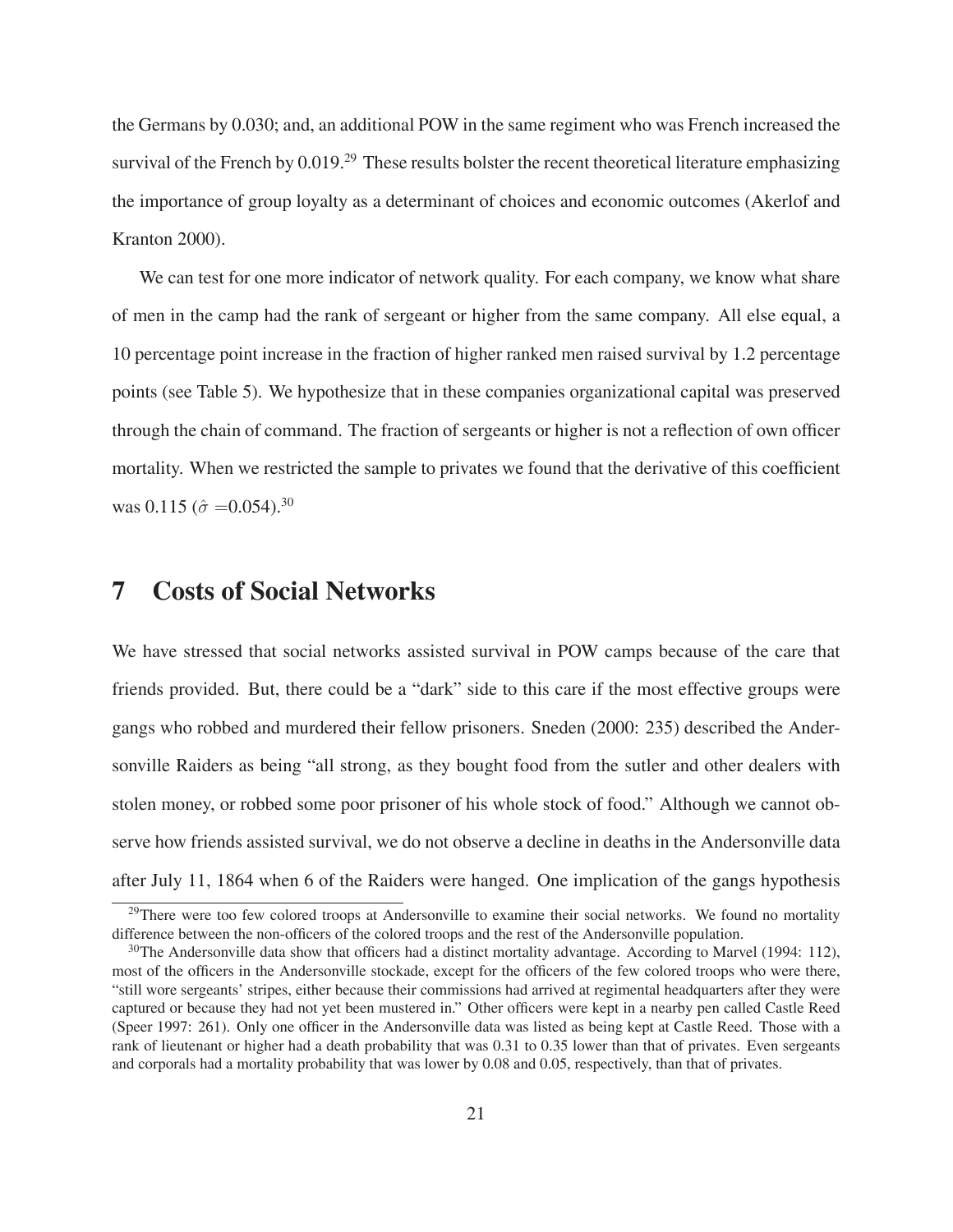the Germans by 0.030; and, an additional POW in the same regiment who was French increased the survival of the French by 0.019.<sup>29</sup> These results bolster the recent theoretical literature emphasizing the importance of group loyalty as a determinant of choices and economic outcomes (Akerlof and Kranton 2000).

We can test for one more indicator of network quality. For each company, we know what share of men in the camp had the rank of sergeant or higher from the same company. All else equal, a 10 percentage point increase in the fraction of higher ranked men raised survival by 1.2 percentage points (see Table 5). We hypothesize that in these companies organizational capital was preserved through the chain of command. The fraction of sergeants or higher is not a reflection of own officer mortality. When we restricted the sample to privates we found that the derivative of this coefficient was 0.115 ( $\hat{\sigma} = 0.054$ ).<sup>30</sup>

### **7 Costs of Social Networks**

We have stressed that social networks assisted survival in POW camps because of the care that friends provided. But, there could be a "dark" side to this care if the most effective groups were gangs who robbed and murdered their fellow prisoners. Sneden (2000: 235) described the Andersonville Raiders as being "all strong, as they bought food from the sutler and other dealers with stolen money, or robbed some poor prisoner of his whole stock of food." Although we cannot observe how friends assisted survival, we do not observe a decline in deaths in the Andersonville data after July 11, 1864 when 6 of the Raiders were hanged. One implication of the gangs hypothesis

<sup>&</sup>lt;sup>29</sup>There were too few colored troops at Andersonville to examine their social networks. We found no mortality difference between the non-officers of the colored troops and the rest of the Andersonville population.

 $30$ The Andersonville data show that officers had a distinct mortality advantage. According to Marvel (1994: 112), most of the officers in the Andersonville stockade, except for the officers of the few colored troops who were there, "still wore sergeants' stripes, either because their commissions had arrived at regimental headquarters after they were captured or because they had not yet been mustered in." Other officers were kept in a nearby pen called Castle Reed (Speer 1997: 261). Only one officer in the Andersonville data was listed as being kept at Castle Reed. Those with a rank of lieutenant or higher had a death probability that was 0.31 to 0.35 lower than that of privates. Even sergeants and corporals had a mortality probability that was lower by 0.08 and 0.05, respectively, than that of privates.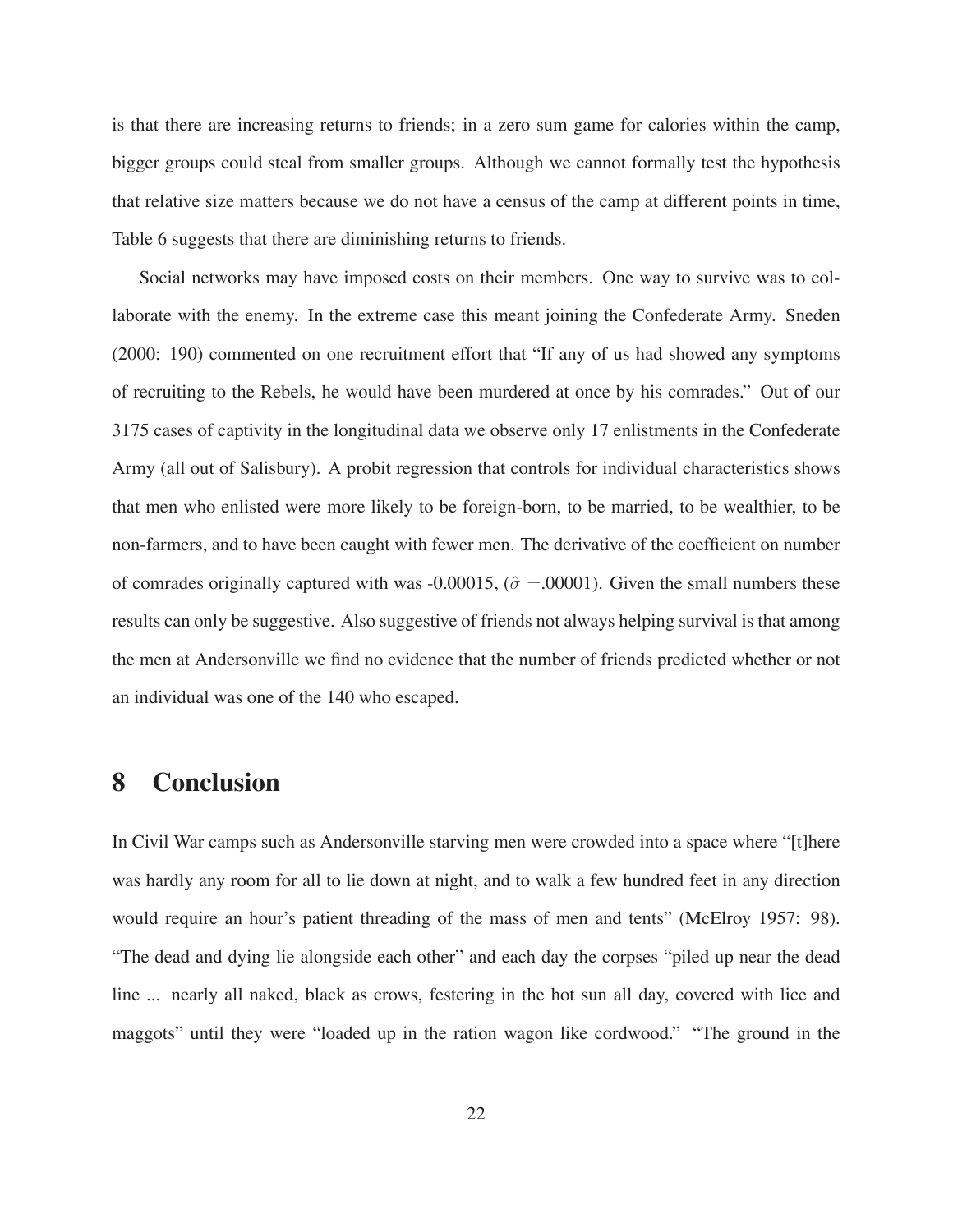is that there are increasing returns to friends; in a zero sum game for calories within the camp, bigger groups could steal from smaller groups. Although we cannot formally test the hypothesis that relative size matters because we do not have a census of the camp at different points in time, Table 6 suggests that there are diminishing returns to friends.

Social networks may have imposed costs on their members. One way to survive was to collaborate with the enemy. In the extreme case this meant joining the Confederate Army. Sneden (2000: 190) commented on one recruitment effort that "If any of us had showed any symptoms of recruiting to the Rebels, he would have been murdered at once by his comrades." Out of our 3175 cases of captivity in the longitudinal data we observe only 17 enlistments in the Confederate Army (all out of Salisbury). A probit regression that controls for individual characteristics shows that men who enlisted were more likely to be foreign-born, to be married, to be wealthier, to be non-farmers, and to have been caught with fewer men. The derivative of the coefficient on number of comrades originally captured with was -0.00015, ( $\hat{\sigma} = 0.0001$ ). Given the small numbers these results can only be suggestive. Also suggestive of friends not always helping survival is that among the men at Andersonville we find no evidence that the number of friends predicted whether or not an individual was one of the 140 who escaped.

### **8 Conclusion**

In Civil War camps such as Andersonville starving men were crowded into a space where "[t]here was hardly any room for all to lie down at night, and to walk a few hundred feet in any direction would require an hour's patient threading of the mass of men and tents" (McElroy 1957: 98). "The dead and dying lie alongside each other" and each day the corpses "piled up near the dead line ... nearly all naked, black as crows, festering in the hot sun all day, covered with lice and maggots" until they were "loaded up in the ration wagon like cordwood." "The ground in the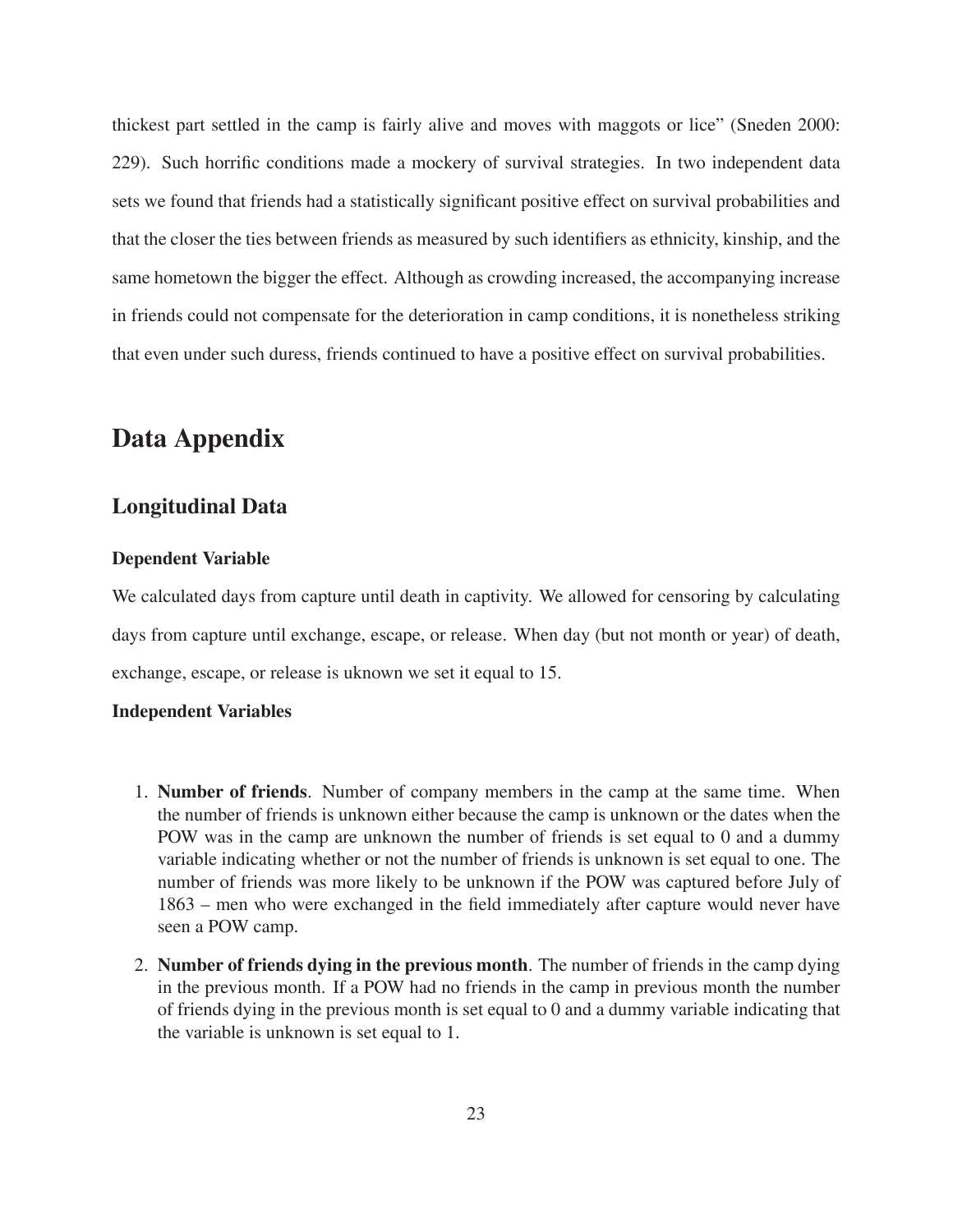thickest part settled in the camp is fairly alive and moves with maggots or lice" (Sneden 2000: 229). Such horrific conditions made a mockery of survival strategies. In two independent data sets we found that friends had a statistically significant positive effect on survival probabilities and that the closer the ties between friends as measured by such identifiers as ethnicity, kinship, and the same hometown the bigger the effect. Although as crowding increased, the accompanying increase in friends could not compensate for the deterioration in camp conditions, it is nonetheless striking that even under such duress, friends continued to have a positive effect on survival probabilities.

# **Data Appendix**

### **Longitudinal Data**

#### **Dependent Variable**

We calculated days from capture until death in captivity. We allowed for censoring by calculating days from capture until exchange, escape, or release. When day (but not month or year) of death, exchange, escape, or release is uknown we set it equal to 15.

### **Independent Variables**

- 1. **Number of friends**. Number of company members in the camp at the same time. When the number of friends is unknown either because the camp is unknown or the dates when the POW was in the camp are unknown the number of friends is set equal to 0 and a dummy variable indicating whether or not the number of friends is unknown is set equal to one. The number of friends was more likely to be unknown if the POW was captured before July of 1863 – men who were exchanged in the field immediately after capture would never have seen a POW camp.
- 2. **Number of friends dying in the previous month**. The number of friends in the camp dying in the previous month. If a POW had no friends in the camp in previous month the number of friends dying in the previous month is set equal to 0 and a dummy variable indicating that the variable is unknown is set equal to 1.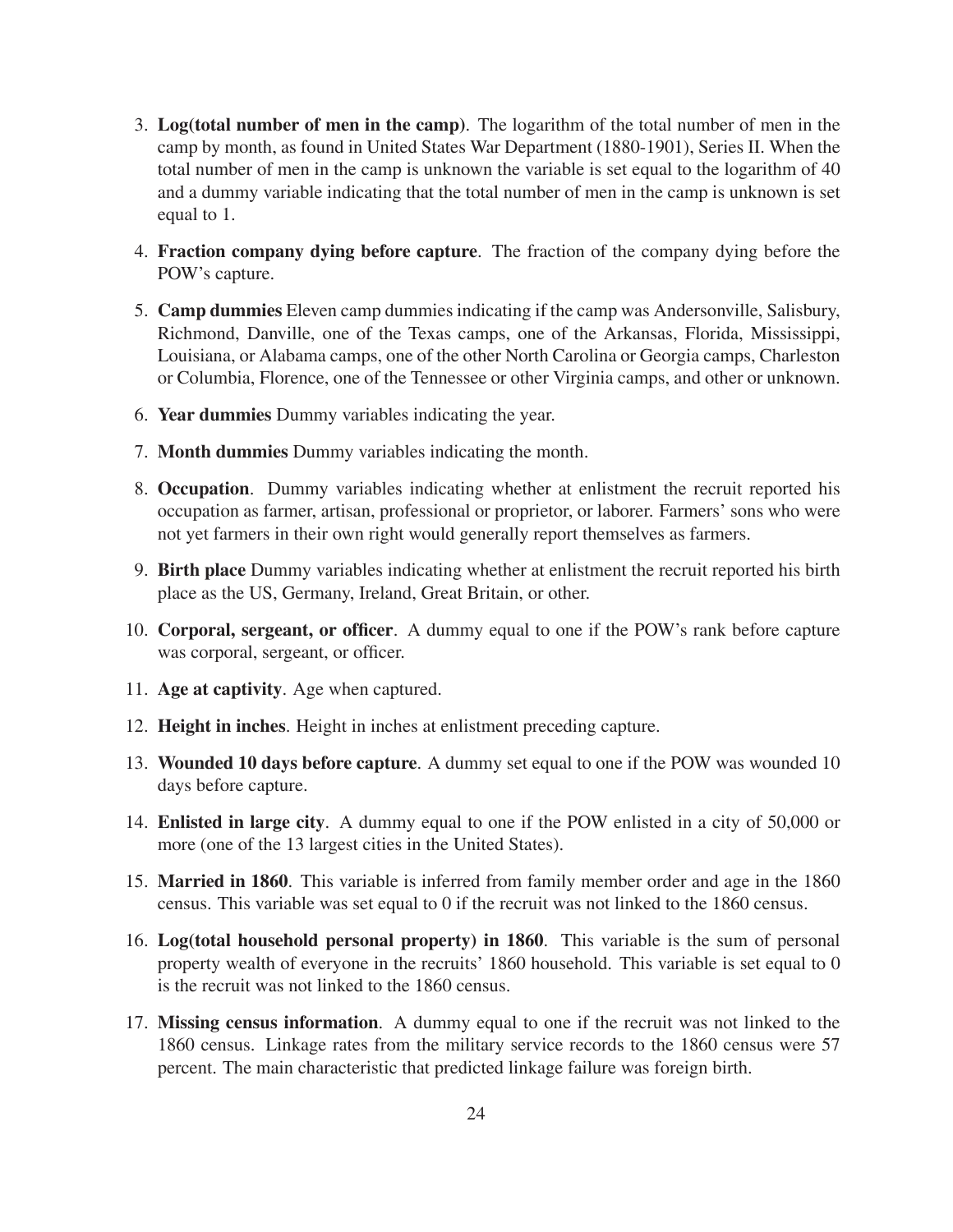- 3. **Log(total number of men in the camp)**. The logarithm of the total number of men in the camp by month, as found in United States War Department (1880-1901), Series II. When the total number of men in the camp is unknown the variable is set equal to the logarithm of 40 and a dummy variable indicating that the total number of men in the camp is unknown is set equal to 1.
- 4. **Fraction company dying before capture**. The fraction of the company dying before the POW's capture.
- 5. **Camp dummies** Eleven camp dummies indicating if the camp was Andersonville, Salisbury, Richmond, Danville, one of the Texas camps, one of the Arkansas, Florida, Mississippi, Louisiana, or Alabama camps, one of the other North Carolina or Georgia camps, Charleston or Columbia, Florence, one of the Tennessee or other Virginia camps, and other or unknown.
- 6. **Year dummies** Dummy variables indicating the year.
- 7. **Month dummies** Dummy variables indicating the month.
- 8. **Occupation**. Dummy variables indicating whether at enlistment the recruit reported his occupation as farmer, artisan, professional or proprietor, or laborer. Farmers' sons who were not yet farmers in their own right would generally report themselves as farmers.
- 9. **Birth place** Dummy variables indicating whether at enlistment the recruit reported his birth place as the US, Germany, Ireland, Great Britain, or other.
- 10. **Corporal, sergeant, or officer**. A dummy equal to one if the POW's rank before capture was corporal, sergeant, or officer.
- 11. **Age at captivity**. Age when captured.
- 12. **Height in inches**. Height in inches at enlistment preceding capture.
- 13. **Wounded 10 days before capture**. A dummy set equal to one if the POW was wounded 10 days before capture.
- 14. **Enlisted in large city**. A dummy equal to one if the POW enlisted in a city of 50,000 or more (one of the 13 largest cities in the United States).
- 15. **Married in 1860**. This variable is inferred from family member order and age in the 1860 census. This variable was set equal to 0 if the recruit was not linked to the 1860 census.
- 16. **Log(total household personal property) in 1860**. This variable is the sum of personal property wealth of everyone in the recruits' 1860 household. This variable is set equal to 0 is the recruit was not linked to the 1860 census.
- 17. **Missing census information**. A dummy equal to one if the recruit was not linked to the 1860 census. Linkage rates from the military service records to the 1860 census were 57 percent. The main characteristic that predicted linkage failure was foreign birth.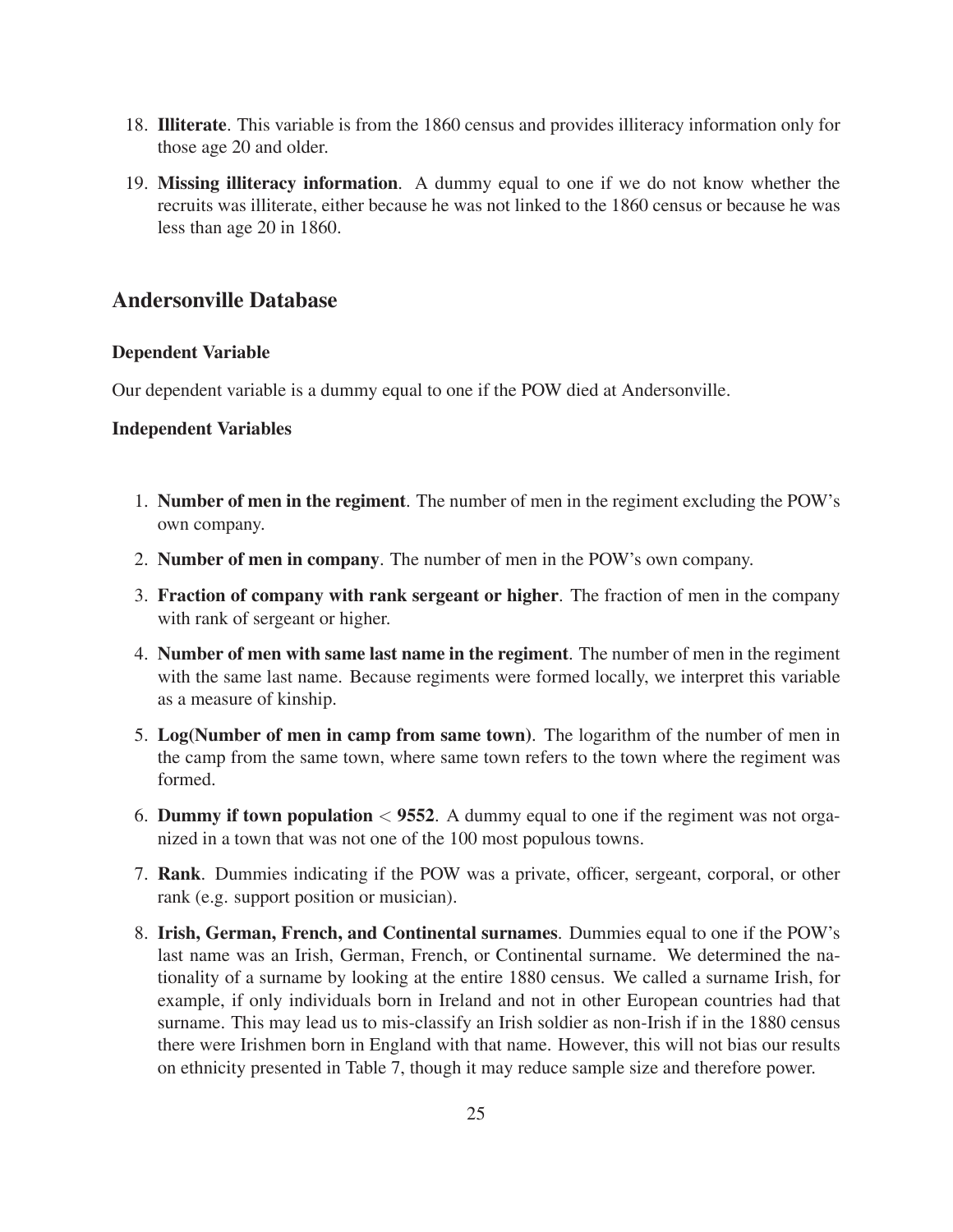- 18. **Illiterate**. This variable is from the 1860 census and provides illiteracy information only for those age 20 and older.
- 19. **Missing illiteracy information**. A dummy equal to one if we do not know whether the recruits was illiterate, either because he was not linked to the 1860 census or because he was less than age 20 in 1860.

### **Andersonville Database**

#### **Dependent Variable**

Our dependent variable is a dummy equal to one if the POW died at Andersonville.

#### **Independent Variables**

- 1. **Number of men in the regiment**. The number of men in the regiment excluding the POW's own company.
- 2. **Number of men in company**. The number of men in the POW's own company.
- 3. **Fraction of company with rank sergeant or higher**. The fraction of men in the company with rank of sergeant or higher.
- 4. **Number of men with same last name in the regiment**. The number of men in the regiment with the same last name. Because regiments were formed locally, we interpret this variable as a measure of kinship.
- 5. **Log(Number of men in camp from same town)**. The logarithm of the number of men in the camp from the same town, where same town refers to the town where the regiment was formed.
- 6. **Dummy if town population** < **<sup>9552</sup>**. A dummy equal to one if the regiment was not organized in a town that was not one of the 100 most populous towns.
- 7. **Rank**. Dummies indicating if the POW was a private, officer, sergeant, corporal, or other rank (e.g. support position or musician).
- 8. **Irish, German, French, and Continental surnames**. Dummies equal to one if the POW's last name was an Irish, German, French, or Continental surname. We determined the nationality of a surname by looking at the entire 1880 census. We called a surname Irish, for example, if only individuals born in Ireland and not in other European countries had that surname. This may lead us to mis-classify an Irish soldier as non-Irish if in the 1880 census there were Irishmen born in England with that name. However, this will not bias our results on ethnicity presented in Table 7, though it may reduce sample size and therefore power.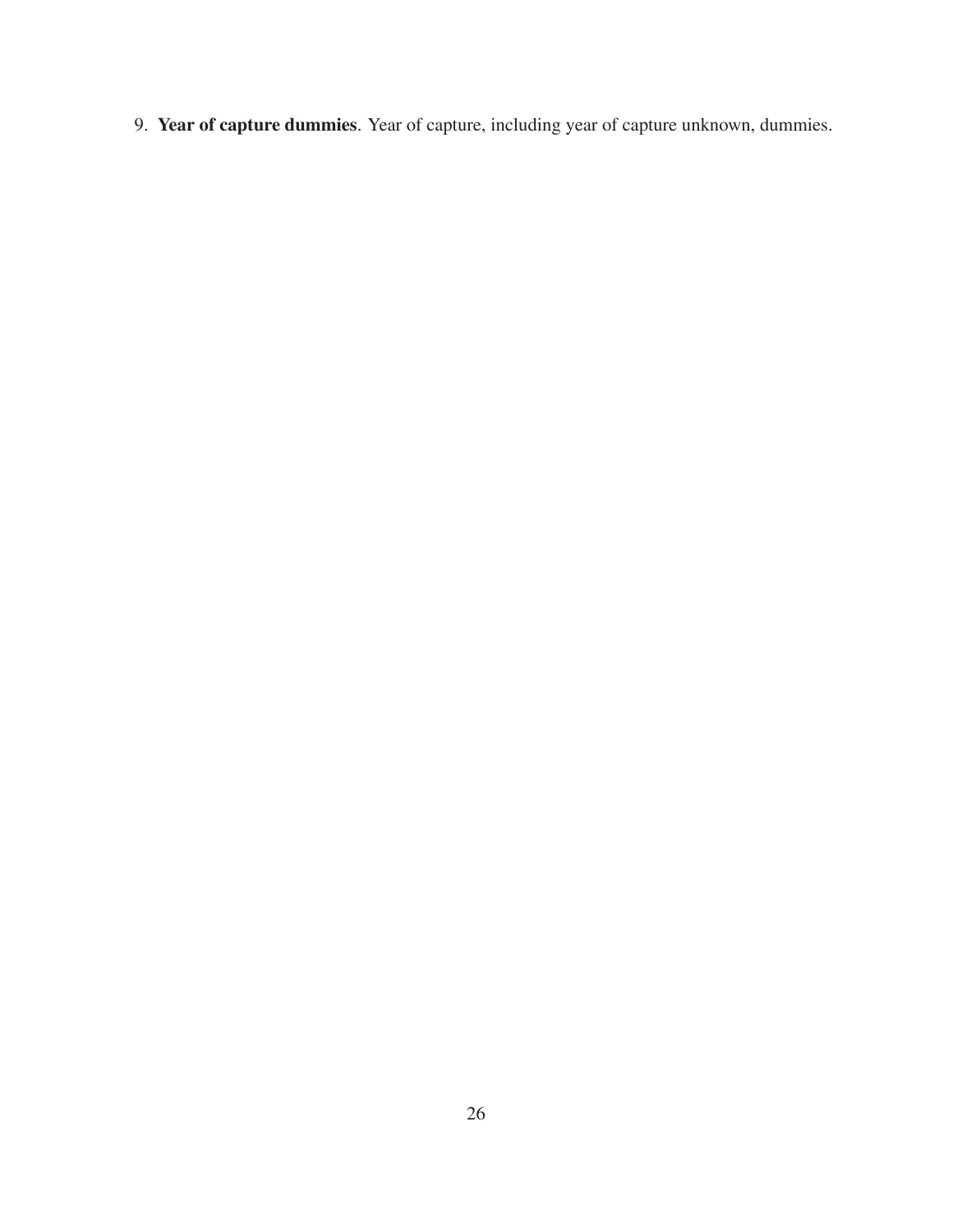9. **Year of capture dummies**. Year of capture, including year of capture unknown, dummies.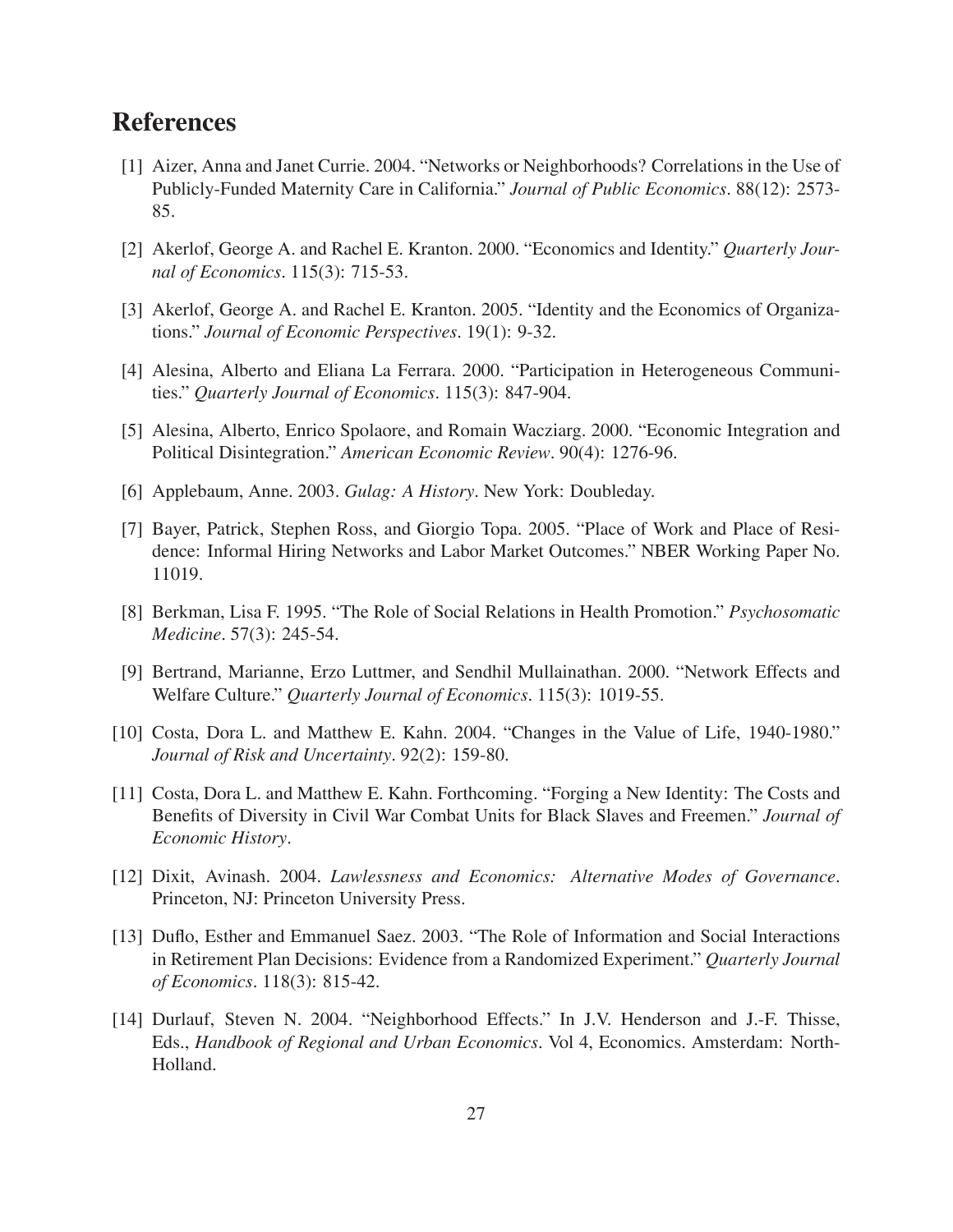## **References**

- [1] Aizer, Anna and Janet Currie. 2004. "Networks or Neighborhoods? Correlations in the Use of Publicly-Funded Maternity Care in California." *Journal of Public Economics*. 88(12): 2573- 85.
- [2] Akerlof, George A. and Rachel E. Kranton. 2000. "Economics and Identity." *Quarterly Journal of Economics*. 115(3): 715-53.
- [3] Akerlof, George A. and Rachel E. Kranton. 2005. "Identity and the Economics of Organizations." *Journal of Economic Perspectives*. 19(1): 9-32.
- [4] Alesina, Alberto and Eliana La Ferrara. 2000. "Participation in Heterogeneous Communities." *Quarterly Journal of Economics*. 115(3): 847-904.
- [5] Alesina, Alberto, Enrico Spolaore, and Romain Wacziarg. 2000. "Economic Integration and Political Disintegration." *American Economic Review*. 90(4): 1276-96.
- [6] Applebaum, Anne. 2003. *Gulag: A History*. New York: Doubleday.
- [7] Bayer, Patrick, Stephen Ross, and Giorgio Topa. 2005. "Place of Work and Place of Residence: Informal Hiring Networks and Labor Market Outcomes." NBER Working Paper No. 11019.
- [8] Berkman, Lisa F. 1995. "The Role of Social Relations in Health Promotion." *Psychosomatic Medicine*. 57(3): 245-54.
- [9] Bertrand, Marianne, Erzo Luttmer, and Sendhil Mullainathan. 2000. "Network Effects and Welfare Culture." *Quarterly Journal of Economics*. 115(3): 1019-55.
- [10] Costa, Dora L. and Matthew E. Kahn. 2004. "Changes in the Value of Life, 1940-1980." *Journal of Risk and Uncertainty*. 92(2): 159-80.
- [11] Costa, Dora L. and Matthew E. Kahn. Forthcoming. "Forging a New Identity: The Costs and Benefits of Diversity in Civil War Combat Units for Black Slaves and Freemen." *Journal of Economic History*.
- [12] Dixit, Avinash. 2004. *Lawlessness and Economics: Alternative Modes of Governance*. Princeton, NJ: Princeton University Press.
- [13] Duflo, Esther and Emmanuel Saez. 2003. "The Role of Information and Social Interactions in Retirement Plan Decisions: Evidence from a Randomized Experiment." *Quarterly Journal of Economics*. 118(3): 815-42.
- [14] Durlauf, Steven N. 2004. "Neighborhood Effects." In J.V. Henderson and J.-F. Thisse, Eds., *Handbook of Regional and Urban Economics*. Vol 4, Economics. Amsterdam: North-Holland.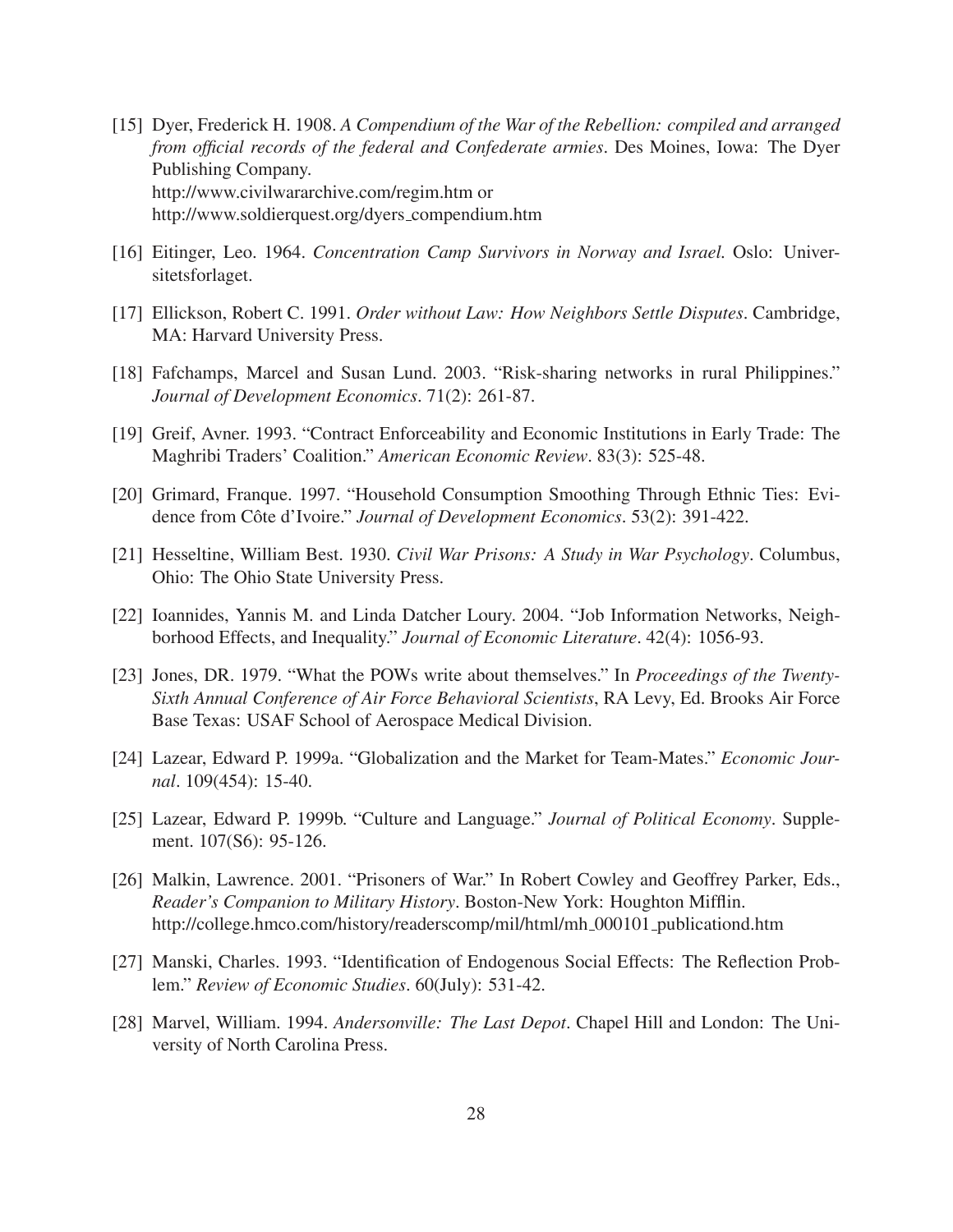- [15] Dyer, Frederick H. 1908. *A Compendium of the War of the Rebellion: compiled and arranged from official records of the federal and Confederate armies*. Des Moines, Iowa: The Dyer Publishing Company. http://www.civilwararchive.com/regim.htm or http://www.soldierquest.org/dyers compendium.htm
- [16] Eitinger, Leo. 1964. *Concentration Camp Survivors in Norway and Israel.* Oslo: Universitetsforlaget.
- [17] Ellickson, Robert C. 1991. *Order without Law: How Neighbors Settle Disputes*. Cambridge, MA: Harvard University Press.
- [18] Fafchamps, Marcel and Susan Lund. 2003. "Risk-sharing networks in rural Philippines." *Journal of Development Economics*. 71(2): 261-87.
- [19] Greif, Avner. 1993. "Contract Enforceability and Economic Institutions in Early Trade: The Maghribi Traders' Coalition." *American Economic Review*. 83(3): 525-48.
- [20] Grimard, Franque. 1997. "Household Consumption Smoothing Through Ethnic Ties: Evidence from Côte d'Ivoire." Journal of Development Economics. 53(2): 391-422.
- [21] Hesseltine, William Best. 1930. *Civil War Prisons: A Study in War Psychology*. Columbus, Ohio: The Ohio State University Press.
- [22] Ioannides, Yannis M. and Linda Datcher Loury. 2004. "Job Information Networks, Neighborhood Effects, and Inequality." *Journal of Economic Literature*. 42(4): 1056-93.
- [23] Jones, DR. 1979. "What the POWs write about themselves." In *Proceedings of the Twenty-Sixth Annual Conference of Air Force Behavioral Scientists*, RA Levy, Ed. Brooks Air Force Base Texas: USAF School of Aerospace Medical Division.
- [24] Lazear, Edward P. 1999a. "Globalization and the Market for Team-Mates." *Economic Journal*. 109(454): 15-40.
- [25] Lazear, Edward P. 1999b. "Culture and Language." *Journal of Political Economy*. Supplement. 107(S6): 95-126.
- [26] Malkin, Lawrence. 2001. "Prisoners of War." In Robert Cowley and Geoffrey Parker, Eds., *Reader's Companion to Military History*. Boston-New York: Houghton Mifflin. http://college.hmco.com/history/readerscomp/mil/html/mh 000101 publicationd.htm
- [27] Manski, Charles. 1993. "Identification of Endogenous Social Effects: The Reflection Problem." *Review of Economic Studies*. 60(July): 531-42.
- [28] Marvel, William. 1994. *Andersonville: The Last Depot*. Chapel Hill and London: The University of North Carolina Press.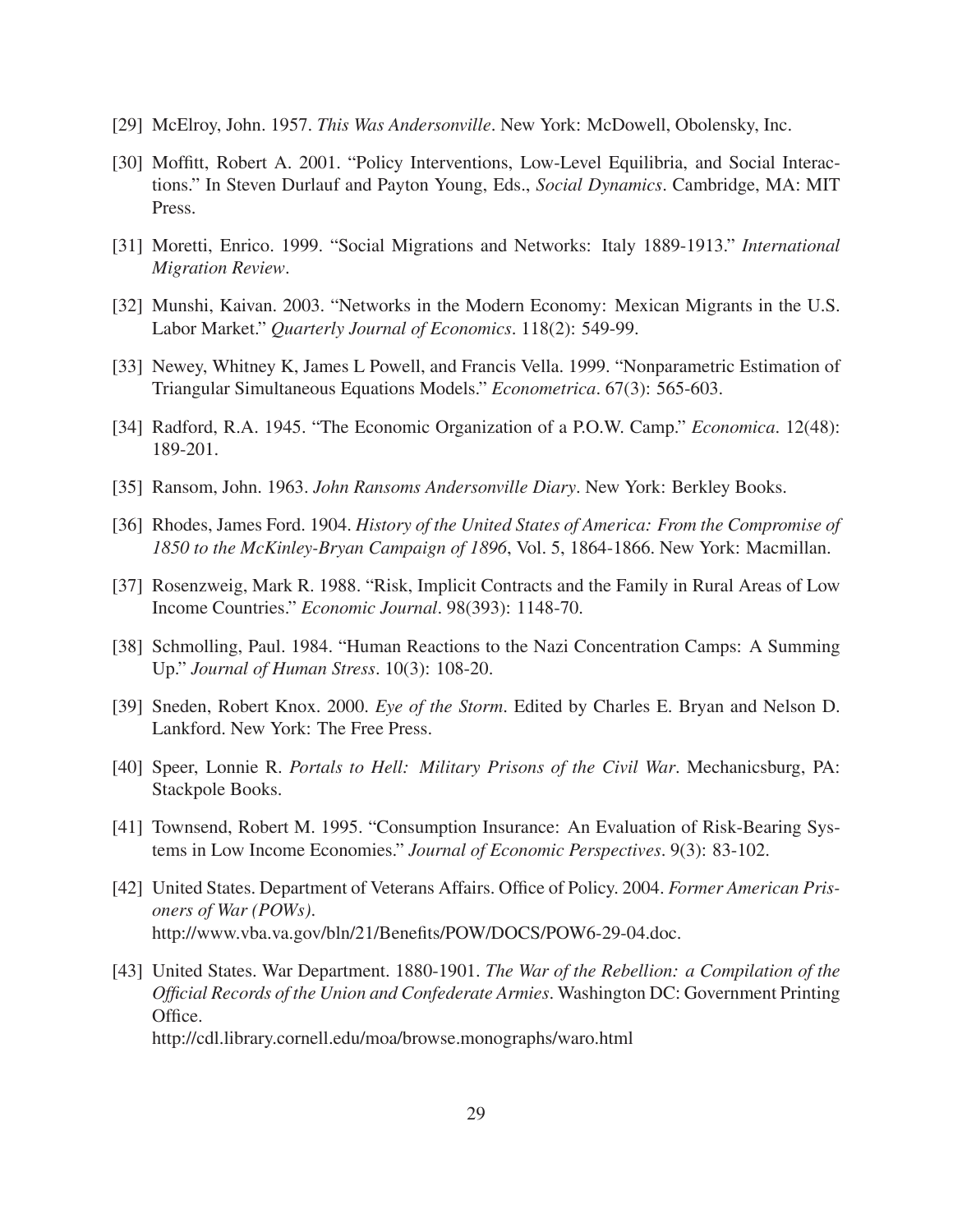- [29] McElroy, John. 1957. *This Was Andersonville*. New York: McDowell, Obolensky, Inc.
- [30] Moffitt, Robert A. 2001. "Policy Interventions, Low-Level Equilibria, and Social Interactions." In Steven Durlauf and Payton Young, Eds., *Social Dynamics*. Cambridge, MA: MIT Press.
- [31] Moretti, Enrico. 1999. "Social Migrations and Networks: Italy 1889-1913." *International Migration Review*.
- [32] Munshi, Kaivan. 2003. "Networks in the Modern Economy: Mexican Migrants in the U.S. Labor Market." *Quarterly Journal of Economics*. 118(2): 549-99.
- [33] Newey, Whitney K, James L Powell, and Francis Vella. 1999. "Nonparametric Estimation of Triangular Simultaneous Equations Models." *Econometrica*. 67(3): 565-603.
- [34] Radford, R.A. 1945. "The Economic Organization of a P.O.W. Camp." *Economica*. 12(48): 189-201.
- [35] Ransom, John. 1963. *John Ransoms Andersonville Diary*. New York: Berkley Books.
- [36] Rhodes, James Ford. 1904. *History of the United States of America: From the Compromise of 1850 to the McKinley-Bryan Campaign of 1896*, Vol. 5, 1864-1866. New York: Macmillan.
- [37] Rosenzweig, Mark R. 1988. "Risk, Implicit Contracts and the Family in Rural Areas of Low Income Countries." *Economic Journal*. 98(393): 1148-70.
- [38] Schmolling, Paul. 1984. "Human Reactions to the Nazi Concentration Camps: A Summing Up." *Journal of Human Stress*. 10(3): 108-20.
- [39] Sneden, Robert Knox. 2000. *Eye of the Storm*. Edited by Charles E. Bryan and Nelson D. Lankford. New York: The Free Press.
- [40] Speer, Lonnie R. *Portals to Hell: Military Prisons of the Civil War*. Mechanicsburg, PA: Stackpole Books.
- [41] Townsend, Robert M. 1995. "Consumption Insurance: An Evaluation of Risk-Bearing Systems in Low Income Economies." *Journal of Economic Perspectives*. 9(3): 83-102.
- [42] United States. Department of Veterans Affairs. Office of Policy. 2004. *Former American Prisoners of War (POWs)*. http://www.vba.va.gov/bln/21/Benefits/POW/DOCS/POW6-29-04.doc.
- [43] United States. War Department. 1880-1901. *The War of the Rebellion: a Compilation of the Official Records of the Union and Confederate Armies*. Washington DC: Government Printing Office.

http://cdl.library.cornell.edu/moa/browse.monographs/waro.html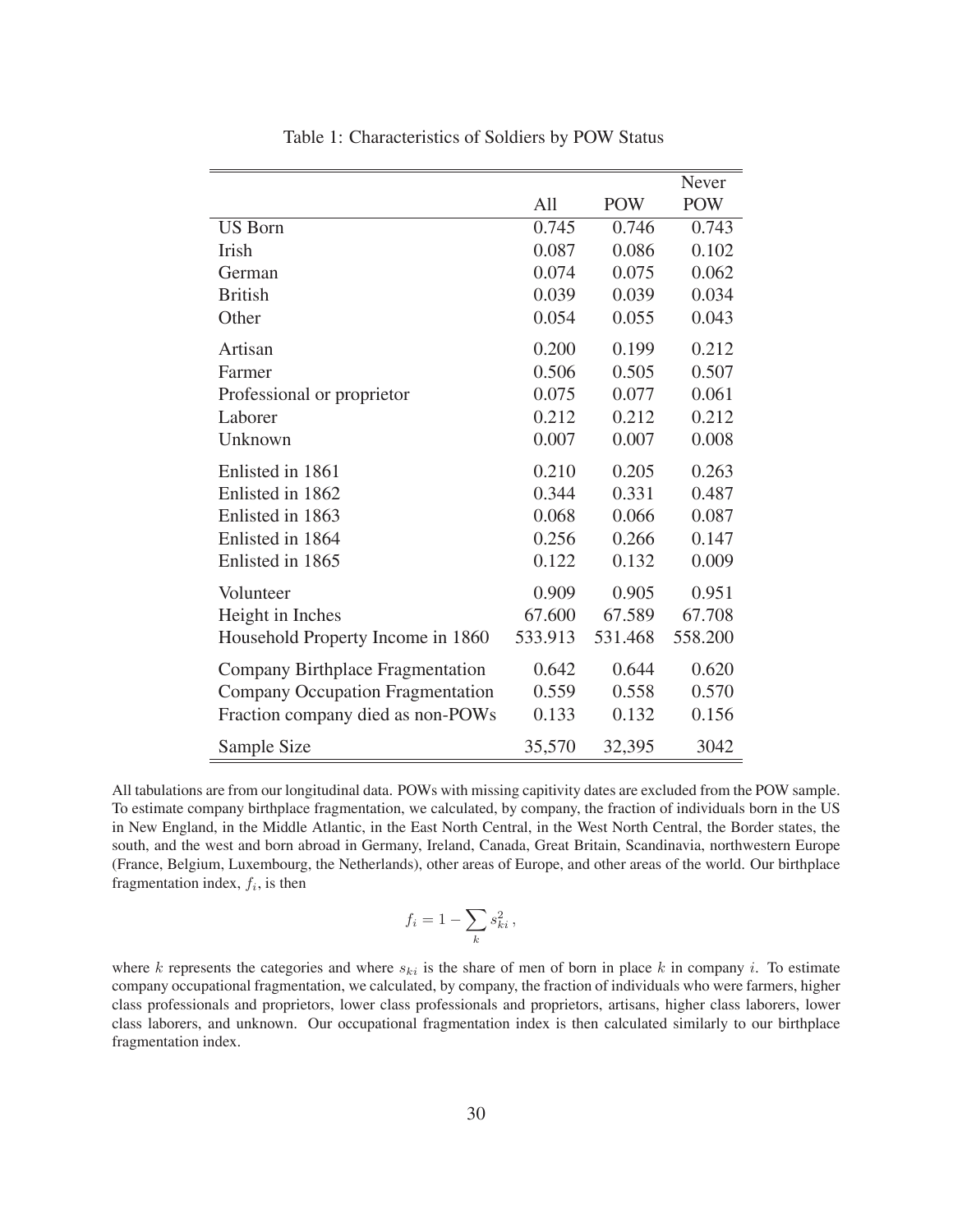|                                         |         |            | <b>Never</b> |
|-----------------------------------------|---------|------------|--------------|
|                                         | A11     | <b>POW</b> | <b>POW</b>   |
| <b>US Born</b>                          | 0.745   | 0.746      | 0.743        |
| Irish                                   | 0.087   | 0.086      | 0.102        |
| German                                  | 0.074   | 0.075      | 0.062        |
| <b>British</b>                          | 0.039   | 0.039      | 0.034        |
| Other                                   | 0.054   | 0.055      | 0.043        |
| Artisan                                 | 0.200   | 0.199      | 0.212        |
| Farmer                                  | 0.506   | 0.505      | 0.507        |
| Professional or proprietor              | 0.075   | 0.077      | 0.061        |
| Laborer                                 | 0.212   | 0.212      | 0.212        |
| Unknown                                 | 0.007   | 0.007      | 0.008        |
| Enlisted in 1861                        | 0.210   | 0.205      | 0.263        |
| Enlisted in 1862                        | 0.344   | 0.331      | 0.487        |
| Enlisted in 1863                        | 0.068   | 0.066      | 0.087        |
| Enlisted in 1864                        | 0.256   | 0.266      | 0.147        |
| Enlisted in 1865                        | 0.122   | 0.132      | 0.009        |
| Volunteer                               | 0.909   | 0.905      | 0.951        |
| Height in Inches                        | 67.600  | 67.589     | 67.708       |
| Household Property Income in 1860       | 533.913 | 531.468    | 558.200      |
| Company Birthplace Fragmentation        | 0.642   | 0.644      | 0.620        |
| <b>Company Occupation Fragmentation</b> | 0.559   | 0.558      | 0.570        |
| Fraction company died as non-POWs       | 0.133   | 0.132      | 0.156        |
| Sample Size                             | 35,570  | 32,395     | 3042         |

Table 1: Characteristics of Soldiers by POW Status

All tabulations are from our longitudinal data. POWs with missing capitivity dates are excluded from the POW sample. To estimate company birthplace fragmentation, we calculated, by company, the fraction of individuals born in the US in New England, in the Middle Atlantic, in the East North Central, in the West North Central, the Border states, the south, and the west and born abroad in Germany, Ireland, Canada, Great Britain, Scandinavia, northwestern Europe (France, Belgium, Luxembourg, the Netherlands), other areas of Europe, and other areas of the world. Our birthplace fragmentation index,  $f_i$ , is then

$$
f_i = 1 - \sum_k s_{ki}^2,
$$

where  $k$  represents the categories and where  $s_{ki}$  is the share of men of born in place  $k$  in company  $i$ . To estimate company occupational fragmentation, we calculated, by company, the fraction of individuals who were farmers, higher class professionals and proprietors, lower class professionals and proprietors, artisans, higher class laborers, lower class laborers, and unknown. Our occupational fragmentation index is then calculated similarly to our birthplace fragmentation index.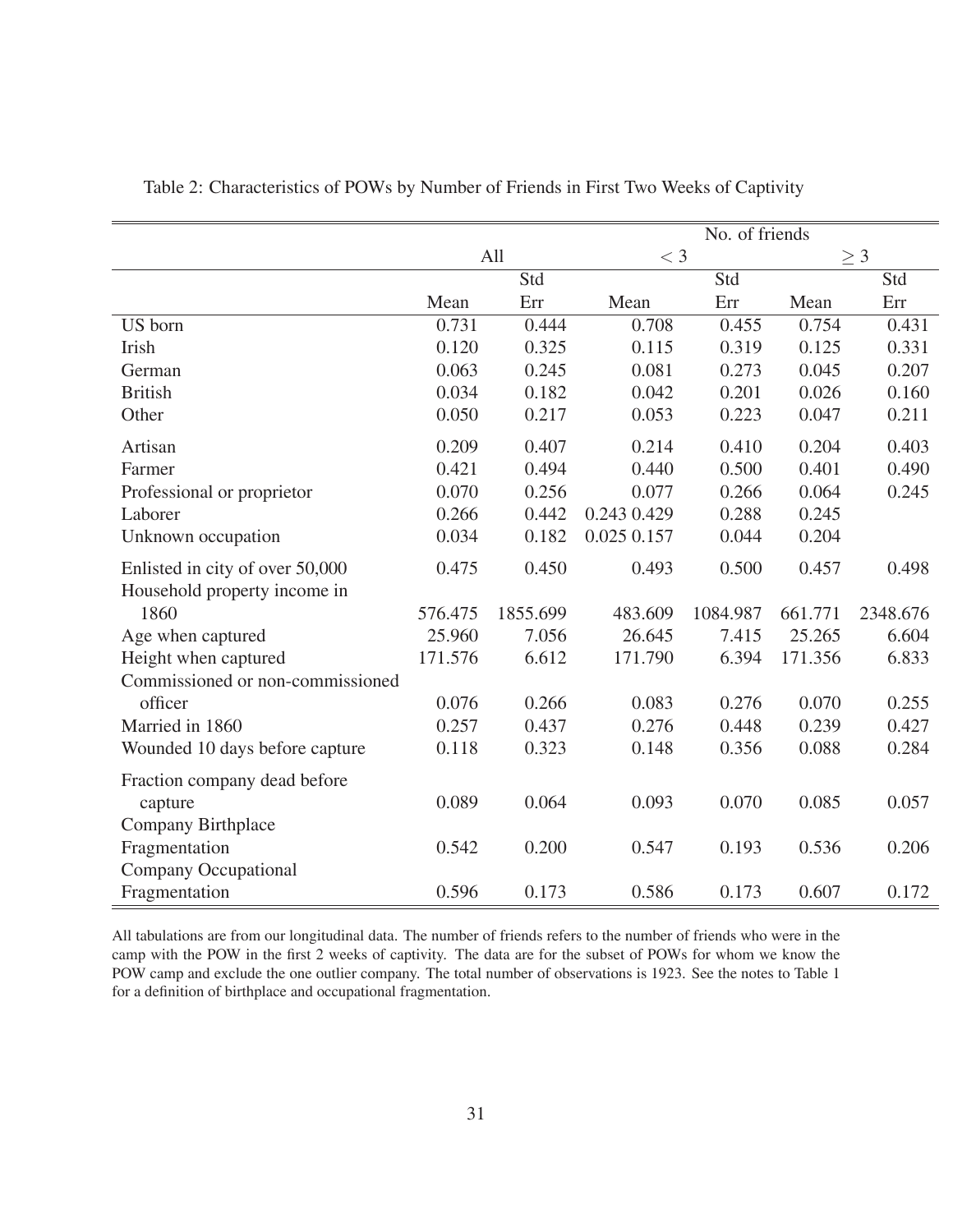|                                  | No. of friends |          |             |          |          |          |
|----------------------------------|----------------|----------|-------------|----------|----------|----------|
|                                  | All            |          | $<$ 3       |          | $\geq 3$ |          |
|                                  |                | Std      |             | Std      |          | Std      |
|                                  | Mean           | Err      | Mean        | Err      | Mean     | Err      |
| US born                          | 0.731          | 0.444    | 0.708       | 0.455    | 0.754    | 0.431    |
| Irish                            | 0.120          | 0.325    | 0.115       | 0.319    | 0.125    | 0.331    |
| German                           | 0.063          | 0.245    | 0.081       | 0.273    | 0.045    | 0.207    |
| <b>British</b>                   | 0.034          | 0.182    | 0.042       | 0.201    | 0.026    | 0.160    |
| Other                            | 0.050          | 0.217    | 0.053       | 0.223    | 0.047    | 0.211    |
| Artisan                          | 0.209          | 0.407    | 0.214       | 0.410    | 0.204    | 0.403    |
| Farmer                           | 0.421          | 0.494    | 0.440       | 0.500    | 0.401    | 0.490    |
| Professional or proprietor       | 0.070          | 0.256    | 0.077       | 0.266    | 0.064    | 0.245    |
| Laborer                          | 0.266          | 0.442    | 0.243 0.429 | 0.288    | 0.245    |          |
| Unknown occupation               | 0.034          | 0.182    | 0.025 0.157 | 0.044    | 0.204    |          |
| Enlisted in city of over 50,000  | 0.475          | 0.450    | 0.493       | 0.500    | 0.457    | 0.498    |
| Household property income in     |                |          |             |          |          |          |
| 1860                             | 576.475        | 1855.699 | 483.609     | 1084.987 | 661.771  | 2348.676 |
| Age when captured                | 25.960         | 7.056    | 26.645      | 7.415    | 25.265   | 6.604    |
| Height when captured             | 171.576        | 6.612    | 171.790     | 6.394    | 171.356  | 6.833    |
| Commissioned or non-commissioned |                |          |             |          |          |          |
| officer                          | 0.076          | 0.266    | 0.083       | 0.276    | 0.070    | 0.255    |
| Married in 1860                  | 0.257          | 0.437    | 0.276       | 0.448    | 0.239    | 0.427    |
| Wounded 10 days before capture   | 0.118          | 0.323    | 0.148       | 0.356    | 0.088    | 0.284    |
| Fraction company dead before     |                |          |             |          |          |          |
| capture                          | 0.089          | 0.064    | 0.093       | 0.070    | 0.085    | 0.057    |
| Company Birthplace               |                |          |             |          |          |          |
| Fragmentation                    | 0.542          | 0.200    | 0.547       | 0.193    | 0.536    | 0.206    |
| <b>Company Occupational</b>      |                |          |             |          |          |          |
| Fragmentation                    | 0.596          | 0.173    | 0.586       | 0.173    | 0.607    | 0.172    |

Table 2: Characteristics of POWs by Number of Friends in First Two Weeks of Captivity

All tabulations are from our longitudinal data. The number of friends refers to the number of friends who were in the camp with the POW in the first 2 weeks of captivity. The data are for the subset of POWs for whom we know the POW camp and exclude the one outlier company. The total number of observations is 1923. See the notes to Table 1 for a definition of birthplace and occupational fragmentation.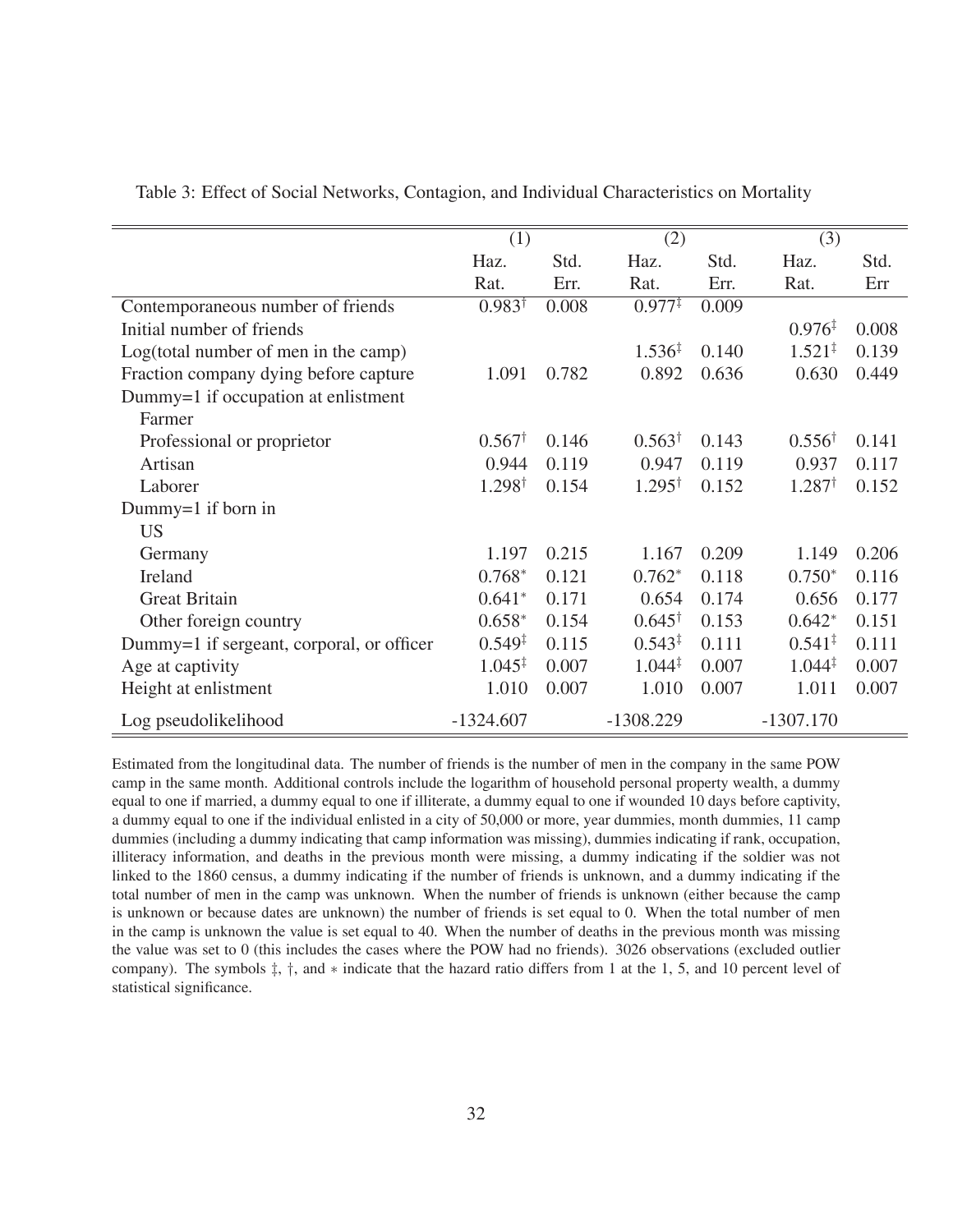|                                           | (1)                |       | (2)                |       | (3)                |       |
|-------------------------------------------|--------------------|-------|--------------------|-------|--------------------|-------|
|                                           | Haz.               | Std.  | Haz.               | Std.  | Haz.               | Std.  |
|                                           | Rat.               | Err.  | Rat.               | Err.  | Rat.               | Err   |
| Contemporaneous number of friends         | $0.983^{\dagger}$  | 0.008 | $0.977^{\ddagger}$ | 0.009 |                    |       |
| Initial number of friends                 |                    |       |                    |       | $0.976^{\ddagger}$ | 0.008 |
| Log(total number of men in the camp)      |                    |       | $1.536^{\ddagger}$ | 0.140 | $1.521^{\ddagger}$ | 0.139 |
| Fraction company dying before capture     | 1.091              | 0.782 | 0.892              | 0.636 | 0.630              | 0.449 |
| Dummy=1 if occupation at enlistment       |                    |       |                    |       |                    |       |
| Farmer                                    |                    |       |                    |       |                    |       |
| Professional or proprietor                | $0.567^{\dagger}$  | 0.146 | $0.563^{\dagger}$  | 0.143 | $0.556^{\dagger}$  | 0.141 |
| Artisan                                   | 0.944              | 0.119 | 0.947              | 0.119 | 0.937              | 0.117 |
| Laborer                                   | $1.298^{\dagger}$  | 0.154 | $1.295^{\dagger}$  | 0.152 | $1.287^{\dagger}$  | 0.152 |
| Dummy=1 if born in                        |                    |       |                    |       |                    |       |
| US <sub>1</sub>                           |                    |       |                    |       |                    |       |
| Germany                                   | 1.197              | 0.215 | 1.167              | 0.209 | 1.149              | 0.206 |
| Ireland                                   | $0.768*$           | 0.121 | $0.762*$           | 0.118 | $0.750*$           | 0.116 |
| <b>Great Britain</b>                      | $0.641*$           | 0.171 | 0.654              | 0.174 | 0.656              | 0.177 |
| Other foreign country                     | $0.658*$           | 0.154 | $0.645^{\dagger}$  | 0.153 | $0.642*$           | 0.151 |
| Dummy=1 if sergeant, corporal, or officer | $0.549^{\ddagger}$ | 0.115 | $0.543^{\ddagger}$ | 0.111 | $0.541^{\ddagger}$ | 0.111 |
| Age at captivity                          | $1.045^{\ddagger}$ | 0.007 | $1.044^{\ddagger}$ | 0.007 | $1.044^{\ddagger}$ | 0.007 |
| Height at enlistment                      | 1.010              | 0.007 | 1.010              | 0.007 | 1.011              | 0.007 |
| Log pseudolikelihood                      | $-1324.607$        |       | $-1308.229$        |       | $-1307.170$        |       |

Table 3: Effect of Social Networks, Contagion, and Individual Characteristics on Mortality

Estimated from the longitudinal data. The number of friends is the number of men in the company in the same POW camp in the same month. Additional controls include the logarithm of household personal property wealth, a dummy equal to one if married, a dummy equal to one if illiterate, a dummy equal to one if wounded 10 days before captivity, a dummy equal to one if the individual enlisted in a city of 50,000 or more, year dummies, month dummies, 11 camp dummies (including a dummy indicating that camp information was missing), dummies indicating if rank, occupation, illiteracy information, and deaths in the previous month were missing, a dummy indicating if the soldier was not linked to the 1860 census, a dummy indicating if the number of friends is unknown, and a dummy indicating if the total number of men in the camp was unknown. When the number of friends is unknown (either because the camp is unknown or because dates are unknown) the number of friends is set equal to 0. When the total number of men in the camp is unknown the value is set equal to 40. When the number of deaths in the previous month was missing the value was set to 0 (this includes the cases where the POW had no friends). 3026 observations (excluded outlier company). The symbols ‡, †, and ∗ indicate that the hazard ratio differs from 1 at the 1, 5, and 10 percent level of statistical significance.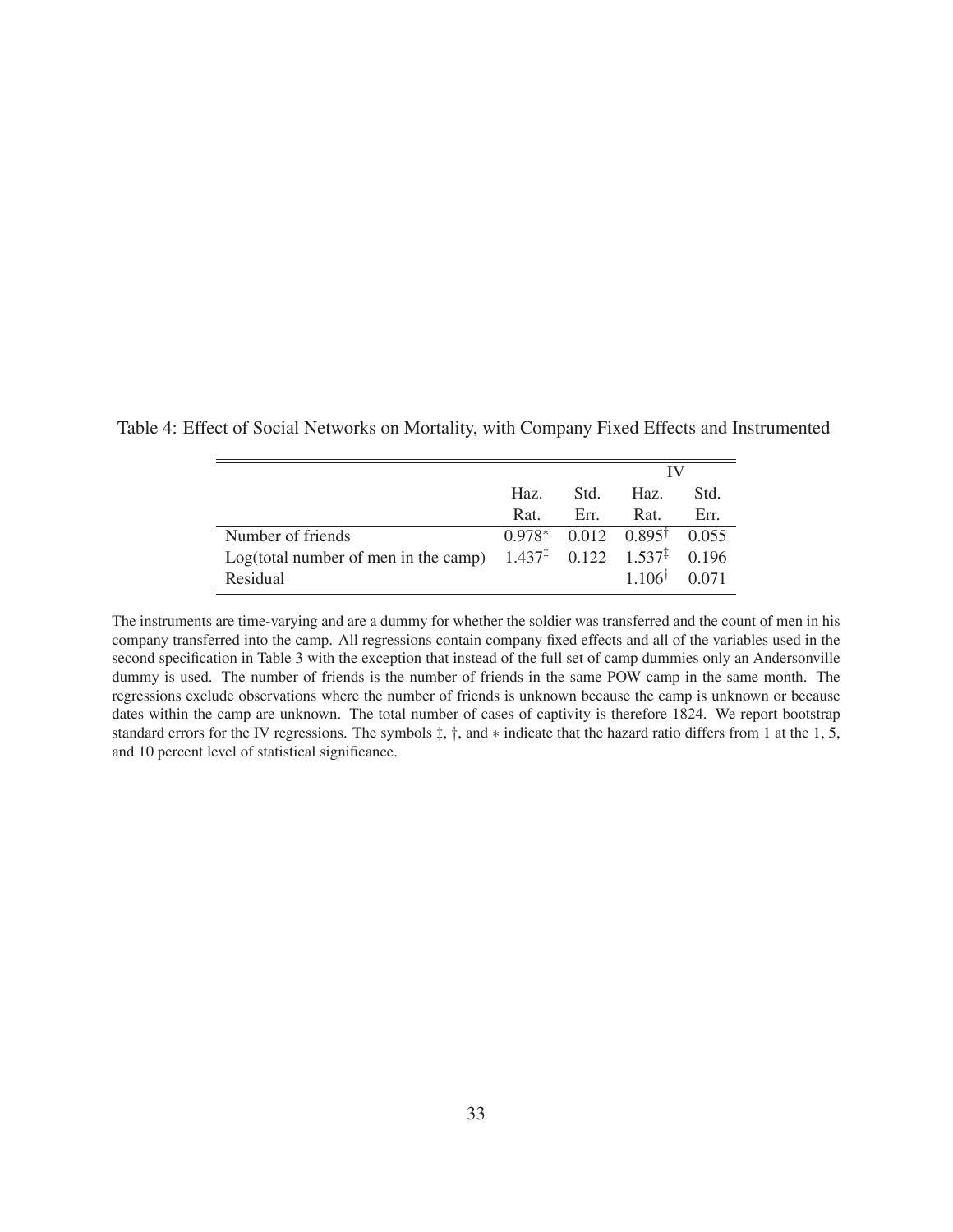|                                                                                        |      |      | IV                                      |       |
|----------------------------------------------------------------------------------------|------|------|-----------------------------------------|-------|
|                                                                                        | Haz. | Std. | Haz.                                    | Std.  |
|                                                                                        | Rat. | Err. | Rat.                                    | Err.  |
| Number of friends                                                                      |      |      | $0.978^*$ 0.012 $0.895^{\dagger}$ 0.055 |       |
| Log(total number of men in the camp) $1.437^{\ddagger}$ 0.122 $1.537^{\ddagger}$ 0.196 |      |      |                                         |       |
| Residual                                                                               |      |      | $1.106^{\dagger}$                       | 0.071 |

Table 4: Effect of Social Networks on Mortality, with Company Fixed Effects and Instrumented

The instruments are time-varying and are a dummy for whether the soldier was transferred and the count of men in his company transferred into the camp. All regressions contain company fixed effects and all of the variables used in the second specification in Table 3 with the exception that instead of the full set of camp dummies only an Andersonville dummy is used. The number of friends is the number of friends in the same POW camp in the same month. The regressions exclude observations where the number of friends is unknown because the camp is unknown or because dates within the camp are unknown. The total number of cases of captivity is therefore 1824. We report bootstrap standard errors for the IV regressions. The symbols ‡, †, and ∗ indicate that the hazard ratio differs from 1 at the 1, 5, and 10 percent level of statistical significance.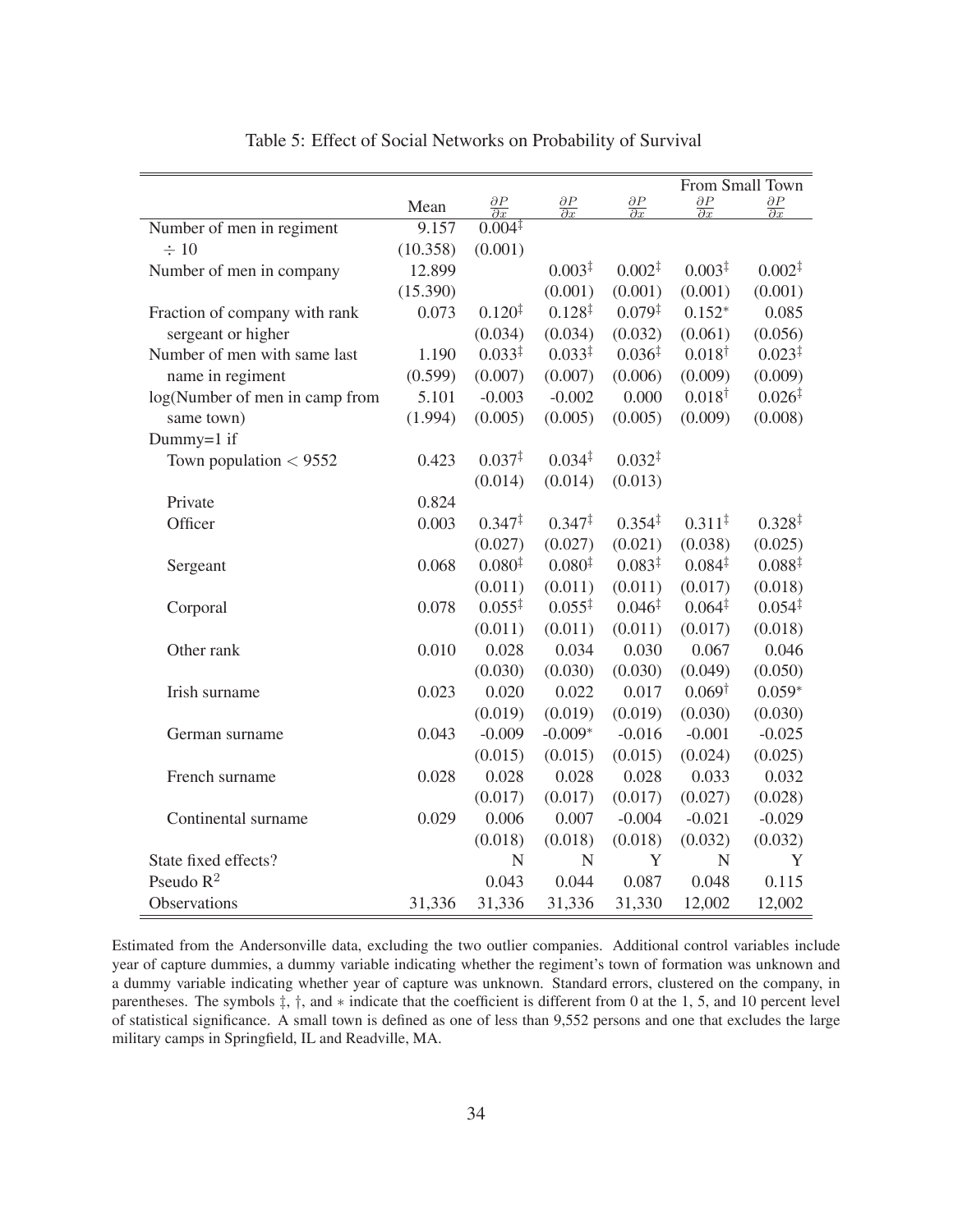|                                |          |                                 |                                 |                                 |                                 | From Small Town                 |
|--------------------------------|----------|---------------------------------|---------------------------------|---------------------------------|---------------------------------|---------------------------------|
|                                | Mean     | $\frac{\partial P}{\partial x}$ | $\frac{\partial P}{\partial x}$ | $\frac{\partial P}{\partial x}$ | $\frac{\partial P}{\partial x}$ | $\frac{\partial P}{\partial x}$ |
| Number of men in regiment      | 9.157    | $0.004^{\ddagger}$              |                                 |                                 |                                 |                                 |
| $\div 10$                      | (10.358) | (0.001)                         |                                 |                                 |                                 |                                 |
| Number of men in company       | 12.899   |                                 | $0.003^{\ddagger}$              | $0.002^{\ddagger}$              | $0.003^{\ddagger}$              | $0.002^{\ddagger}$              |
|                                | (15.390) |                                 | (0.001)                         | (0.001)                         | (0.001)                         | (0.001)                         |
| Fraction of company with rank  | 0.073    | $0.120^{1}$                     | $0.128^{\ddagger}$              | $0.079^{\ddagger}$              | $0.152*$                        | 0.085                           |
| sergeant or higher             |          | (0.034)                         | (0.034)                         | (0.032)                         | (0.061)                         | (0.056)                         |
| Number of men with same last   | 1.190    | $0.033^{\ddagger}$              | $0.033^{\ddagger}$              | $0.036^{\ddagger}$              | $0.018^{\dagger}$               | $0.023^{\ddagger}$              |
| name in regiment               | (0.599)  | (0.007)                         | (0.007)                         | (0.006)                         | (0.009)                         | (0.009)                         |
| log(Number of men in camp from | 5.101    | $-0.003$                        | $-0.002$                        | 0.000                           | $0.018^{\dagger}$               | $0.026^{\ddagger}$              |
| same town)                     | (1.994)  | (0.005)                         | (0.005)                         | (0.005)                         | (0.009)                         | (0.008)                         |
| Dummy=1 if                     |          |                                 |                                 |                                 |                                 |                                 |
| Town population $<$ 9552       | 0.423    | $0.037^{\ddagger}$              | $0.034^{\ddagger}$              | $0.032^{\ddagger}$              |                                 |                                 |
|                                |          | (0.014)                         | (0.014)                         | (0.013)                         |                                 |                                 |
| Private                        | 0.824    |                                 |                                 |                                 |                                 |                                 |
| Officer                        | 0.003    | $0.347^{\ddagger}$              | $0.347^{\ddagger}$              | $0.354^{\ddagger}$              | $0.311^{\ddagger}$              | $0.328^{\ddagger}$              |
|                                |          | (0.027)                         | (0.027)                         | (0.021)                         | (0.038)                         | (0.025)                         |
| Sergeant                       | 0.068    | $0.080^{\ddagger}$              | 0.080 <sup>‡</sup>              | $0.083^{\ddagger}$              | $0.084^{\ddagger}$              | $0.088^{\ddagger}$              |
|                                |          | (0.011)                         | (0.011)                         | (0.011)                         | (0.017)                         | (0.018)                         |
| Corporal                       | 0.078    | $0.055^{\ddagger}$              | $0.055^{\ddagger}$              | $0.046^{\ddagger}$              | $0.064^{\ddagger}$              | $0.054^{\ddagger}$              |
|                                |          | (0.011)                         | (0.011)                         | (0.011)                         | (0.017)                         | (0.018)                         |
| Other rank                     | 0.010    | 0.028                           | 0.034                           | 0.030                           | 0.067                           | 0.046                           |
|                                |          | (0.030)                         | (0.030)                         | (0.030)                         | (0.049)                         | (0.050)                         |
| Irish surname                  | 0.023    | 0.020                           | 0.022                           | 0.017                           | $0.069^{\dagger}$               | $0.059*$                        |
|                                |          | (0.019)                         | (0.019)                         | (0.019)                         | (0.030)                         | (0.030)                         |
| German surname                 | 0.043    | $-0.009$                        | $-0.009*$                       | $-0.016$                        | $-0.001$                        | $-0.025$                        |
|                                |          | (0.015)                         | (0.015)                         | (0.015)                         | (0.024)                         | (0.025)                         |
| French surname                 | 0.028    | 0.028                           | 0.028                           | 0.028                           | 0.033                           | 0.032                           |
|                                |          | (0.017)                         | (0.017)                         | (0.017)                         | (0.027)                         | (0.028)                         |
| Continental surname            | 0.029    | 0.006                           | 0.007                           | $-0.004$                        | $-0.021$                        | $-0.029$                        |
|                                |          | (0.018)                         | (0.018)                         | (0.018)                         | (0.032)                         | (0.032)                         |
| State fixed effects?           |          | $\mathbf N$                     | $\mathbf N$                     | Y                               | N                               | Y                               |
| Pseudo $R^2$                   |          | 0.043                           | 0.044                           | 0.087                           | 0.048                           | 0.115                           |
| Observations                   | 31,336   | 31,336                          | 31,336                          | 31,330                          | 12,002                          | 12,002                          |

Table 5: Effect of Social Networks on Probability of Survival

Estimated from the Andersonville data, excluding the two outlier companies. Additional control variables include year of capture dummies, a dummy variable indicating whether the regiment's town of formation was unknown and a dummy variable indicating whether year of capture was unknown. Standard errors, clustered on the company, in parentheses. The symbols ‡, †, and ∗ indicate that the coefficient is different from 0 at the 1, 5, and 10 percent level of statistical significance. A small town is defined as one of less than 9,552 persons and one that excludes the large military camps in Springfield, IL and Readville, MA.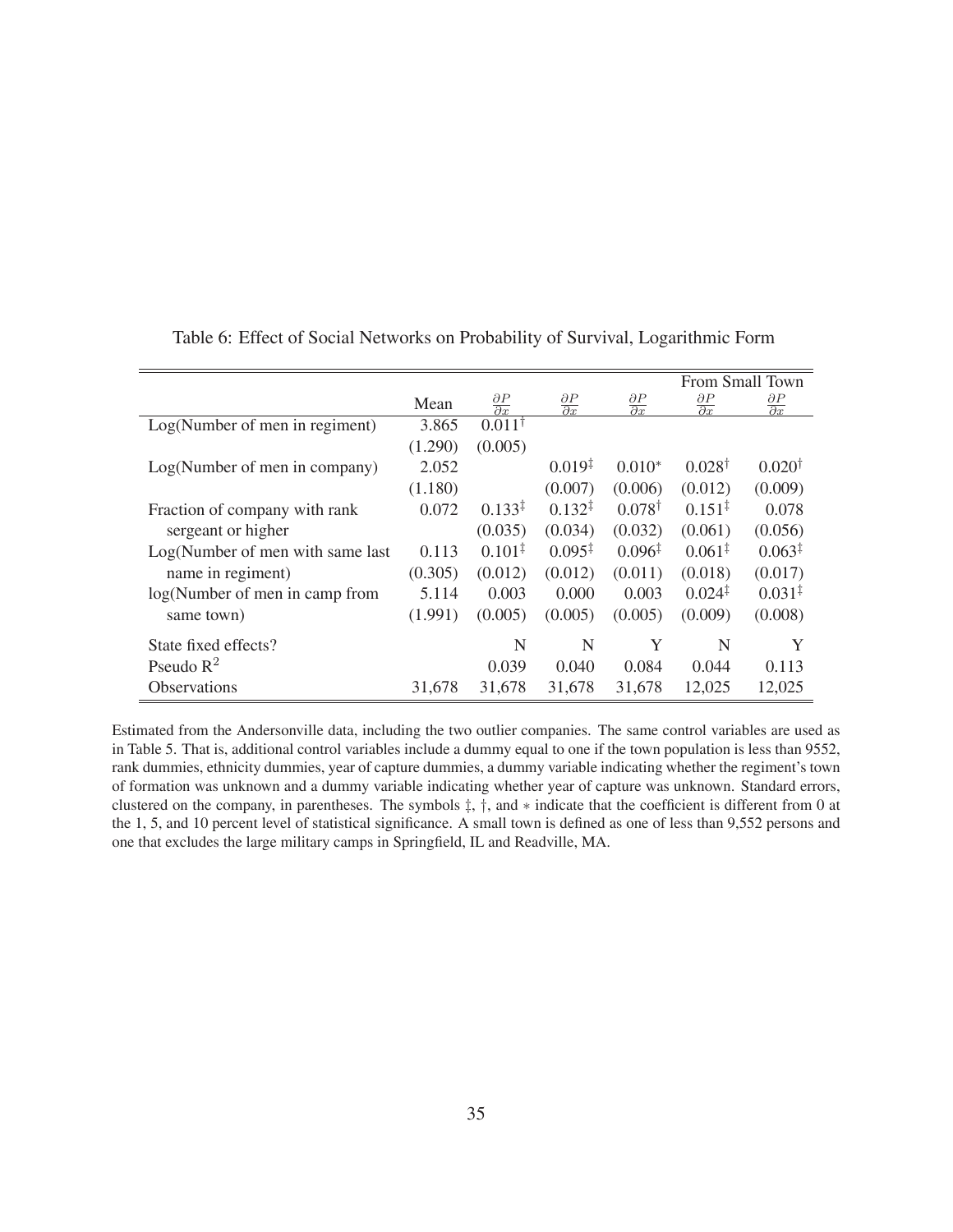|                                  |         |                                 |                                 |                                 |                                 | From Small Town                 |
|----------------------------------|---------|---------------------------------|---------------------------------|---------------------------------|---------------------------------|---------------------------------|
|                                  | Mean    | $\frac{\partial P}{\partial x}$ | $\frac{\partial P}{\partial x}$ | $\frac{\partial P}{\partial x}$ | $\frac{\partial P}{\partial x}$ | $\frac{\partial P}{\partial x}$ |
| Log(Number of men in regiment)   | 3.865   | $0.011^{\dagger}$               |                                 |                                 |                                 |                                 |
|                                  | (1.290) | (0.005)                         |                                 |                                 |                                 |                                 |
| Log(Number of men in company)    | 2.052   |                                 | $0.019^{1}$                     | $0.010*$                        | $0.028^{\dagger}$               | $0.020^{\dagger}$               |
|                                  | (1.180) |                                 | (0.007)                         | (0.006)                         | (0.012)                         | (0.009)                         |
| Fraction of company with rank    | 0.072   | $0.133^{\ddagger}$              | $0.132^{\ddagger}$              | $0.078^{\dagger}$               | $0.151^{\ddagger}$              | 0.078                           |
| sergeant or higher               |         | (0.035)                         | (0.034)                         | (0.032)                         | (0.061)                         | (0.056)                         |
| Log(Number of men with same last | 0.113   | $0.101^{\ddagger}$              | $0.095^{\ddagger}$              | $0.096^{\ddagger}$              | $0.061^{\ddagger}$              | $0.063^{\ddagger}$              |
| name in regiment)                | (0.305) | (0.012)                         | (0.012)                         | (0.011)                         | (0.018)                         | (0.017)                         |
| log(Number of men in camp from   | 5.114   | 0.003                           | 0.000                           | 0.003                           | $0.024^{\ddagger}$              | $0.031^{\ddagger}$              |
| same town)                       | (1.991) | (0.005)                         | (0.005)                         | (0.005)                         | (0.009)                         | (0.008)                         |
| State fixed effects?             |         | N                               | N                               | Y                               | N                               | Y                               |
| Pseudo $R^2$                     |         | 0.039                           | 0.040                           | 0.084                           | 0.044                           | 0.113                           |
| <b>Observations</b>              | 31,678  | 31,678                          | 31,678                          | 31,678                          | 12,025                          | 12,025                          |

Table 6: Effect of Social Networks on Probability of Survival, Logarithmic Form

Estimated from the Andersonville data, including the two outlier companies. The same control variables are used as in Table 5. That is, additional control variables include a dummy equal to one if the town population is less than 9552, rank dummies, ethnicity dummies, year of capture dummies, a dummy variable indicating whether the regiment's town of formation was unknown and a dummy variable indicating whether year of capture was unknown. Standard errors, clustered on the company, in parentheses. The symbols ‡, †, and ∗ indicate that the coefficient is different from 0 at the 1, 5, and 10 percent level of statistical significance. A small town is defined as one of less than 9,552 persons and one that excludes the large military camps in Springfield, IL and Readville, MA.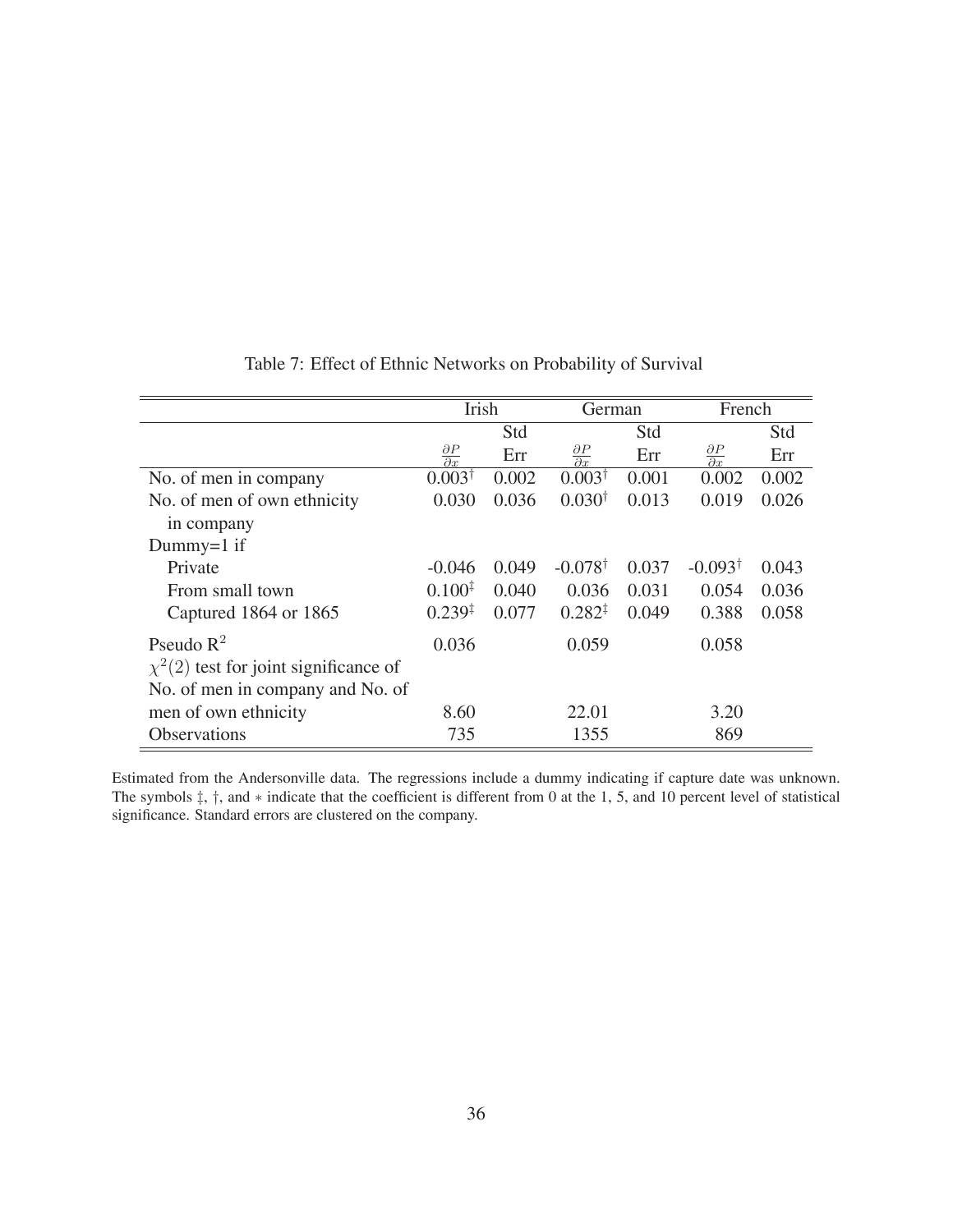|                                            | Irish                           |       | German                          |       | French                          |       |
|--------------------------------------------|---------------------------------|-------|---------------------------------|-------|---------------------------------|-------|
|                                            |                                 | Std   |                                 | Std   |                                 | Std   |
|                                            | $\frac{\partial P}{\partial x}$ | Err   | $\frac{\partial P}{\partial x}$ | Err   | $\frac{\partial P}{\partial x}$ | Err   |
| No. of men in company                      | $0.003^{\dagger}$               | 0.002 | $0.003^{\dagger}$               | 0.001 | 0.002                           | 0.002 |
| No. of men of own ethnicity                | 0.030                           | 0.036 | $0.030^{\dagger}$               | 0.013 | 0.019                           | 0.026 |
| in company                                 |                                 |       |                                 |       |                                 |       |
| Dummy= $1$ if                              |                                 |       |                                 |       |                                 |       |
| Private                                    | $-0.046$                        | 0.049 | $-0.078$ <sup>†</sup>           | 0.037 | $-0.093^{\dagger}$              | 0.043 |
| From small town                            | $0.100^{4}$                     | 0.040 | 0.036                           | 0.031 | 0.054                           | 0.036 |
| Captured 1864 or 1865                      | $0.239^{+}$                     | 0.077 | $0.282^{\ddagger}$              | 0.049 | 0.388                           | 0.058 |
| Pseudo $\mathbb{R}^2$                      | 0.036                           |       | 0.059                           |       | 0.058                           |       |
| $\chi^2(2)$ test for joint significance of |                                 |       |                                 |       |                                 |       |
| No. of men in company and No. of           |                                 |       |                                 |       |                                 |       |
| men of own ethnicity                       | 8.60                            |       | 22.01                           |       | 3.20                            |       |
| Observations                               | 735                             |       | 1355                            |       | 869                             |       |

Table 7: Effect of Ethnic Networks on Probability of Survival

Estimated from the Andersonville data. The regressions include a dummy indicating if capture date was unknown. The symbols ‡, †, and ∗ indicate that the coefficient is different from 0 at the 1, 5, and 10 percent level of statistical significance. Standard errors are clustered on the company.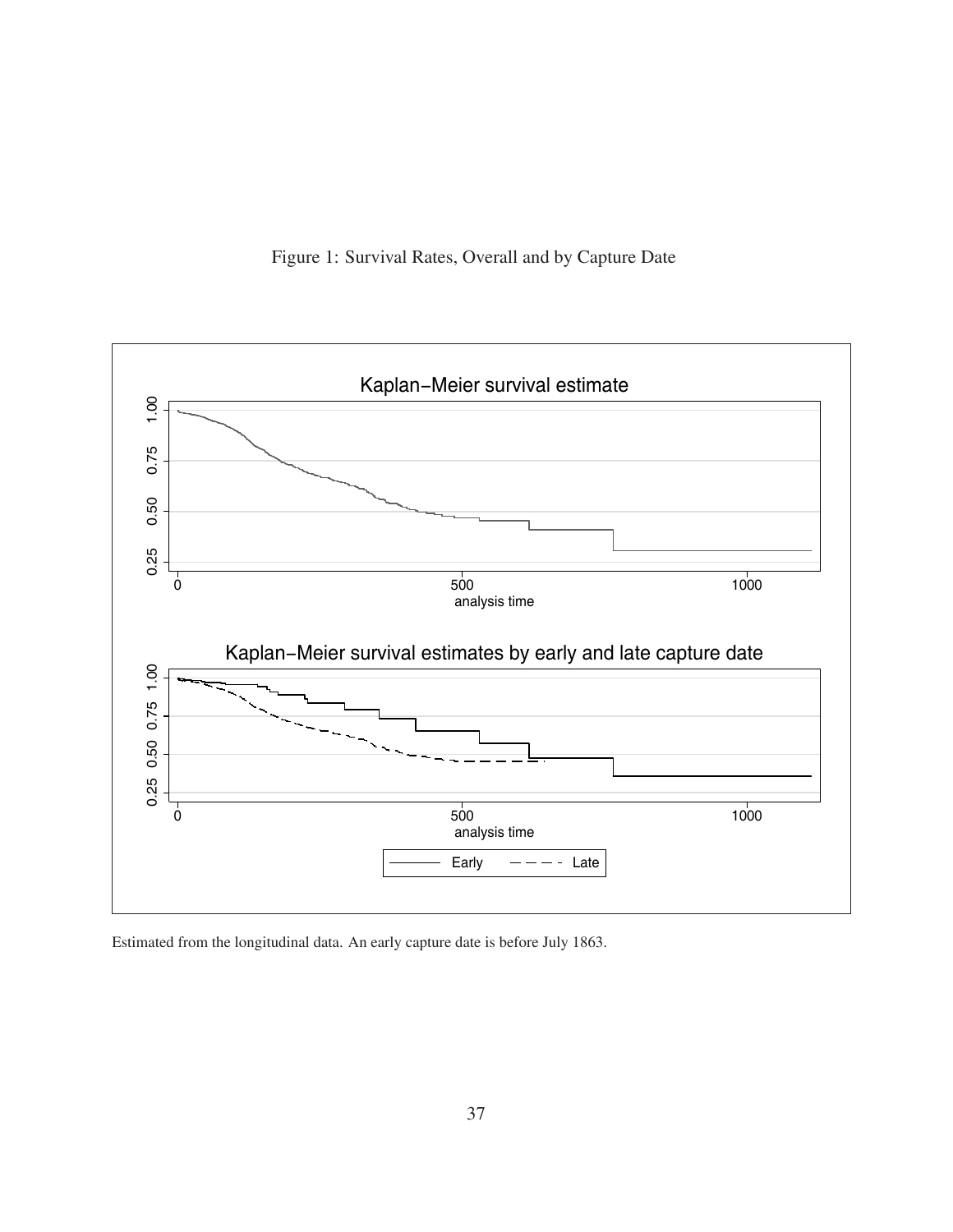



Estimated from the longitudinal data. An early capture date is before July 1863.